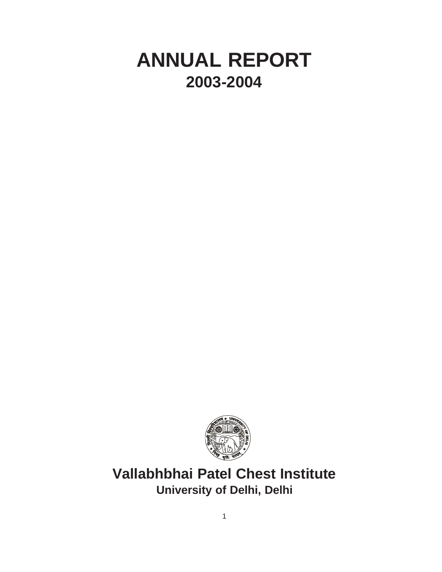# **ANNUAL REPORT 2003-2004**



**Vallabhbhai Patel Chest Institute University of Delhi, Delhi**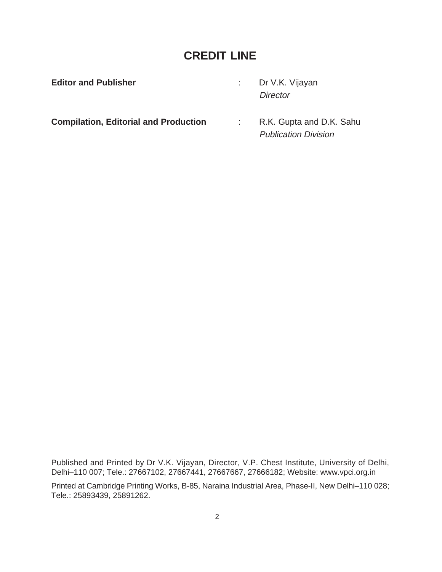# **CREDIT LINE**

Publication Division

| <b>Editor and Publisher</b>                  | : Dr V.K. Vijayan        |
|----------------------------------------------|--------------------------|
|                                              | Director                 |
| <b>Compilation, Editorial and Production</b> | R.K. Gupta and D.K. Sahu |

Published and Printed by Dr V.K. Vijayan, Director, V.P. Chest Institute, University of Delhi, Delhi–110 007; Tele.: 27667102, 27667441, 27667667, 27666182; Website: www.vpci.org.in

Printed at Cambridge Printing Works, B-85, Naraina Industrial Area, Phase-II, New Delhi–110 028; Tele.: 25893439, 25891262.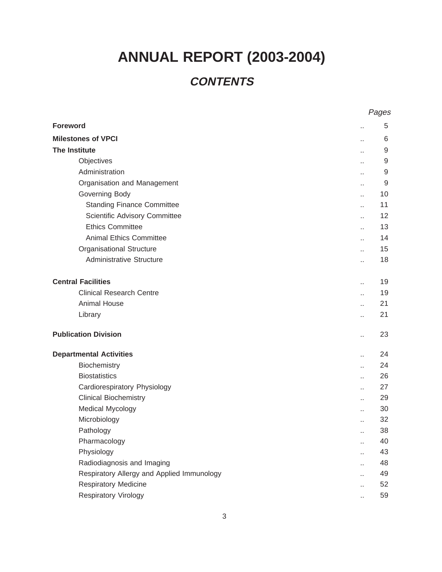# **ANNUAL REPORT (2003-2004)**

# **CONTENTS**

|                                            |                      | Pages |
|--------------------------------------------|----------------------|-------|
| <b>Foreword</b>                            | $\ddot{\phantom{a}}$ | 5     |
| <b>Milestones of VPCI</b>                  | $\ddotsc$            | 6     |
| <b>The Institute</b>                       | н.                   | 9     |
| Objectives                                 | $\ddot{\phantom{a}}$ | 9     |
| Administration                             | ò.                   | 9     |
| Organisation and Management                | ò.                   | 9     |
| Governing Body                             | ä,                   | 10    |
| <b>Standing Finance Committee</b>          | ä,                   | 11    |
| <b>Scientific Advisory Committee</b>       | ò.                   | 12    |
| <b>Ethics Committee</b>                    | ä.                   | 13    |
| <b>Animal Ethics Committee</b>             | Ω,                   | 14    |
| <b>Organisational Structure</b>            | ò.                   | 15    |
| <b>Administrative Structure</b>            | Ω,                   | 18    |
| <b>Central Facilities</b>                  | ò.                   | 19    |
| <b>Clinical Research Centre</b>            | ä.                   | 19    |
| <b>Animal House</b>                        | н.                   | 21    |
| Library                                    | ä.                   | 21    |
| <b>Publication Division</b>                | ò.                   | 23    |
| <b>Departmental Activities</b>             | ä.                   | 24    |
| Biochemistry                               | ä,                   | 24    |
| <b>Biostatistics</b>                       | ä.                   | 26    |
| Cardiorespiratory Physiology               | н.                   | 27    |
| <b>Clinical Biochemistry</b>               | ò.                   | 29    |
| <b>Medical Mycology</b>                    | ä,                   | 30    |
| Microbiology                               | ò.                   | 32    |
| Pathology                                  |                      | 38    |
| Pharmacology                               | ò.                   | 40    |
| Physiology                                 | ä.                   | 43    |
| Radiodiagnosis and Imaging                 | u.                   | 48    |
| Respiratory Allergy and Applied Immunology | ά¥,                  | 49    |
| <b>Respiratory Medicine</b>                | ä,                   | 52    |
| Respiratory Virology                       | ä,                   | 59    |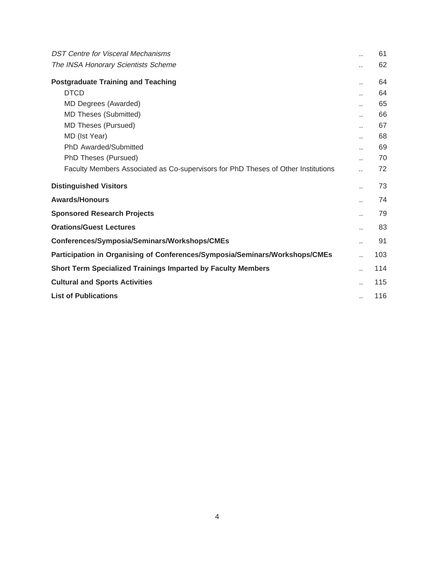| DST Centre for Visceral Mechanisms                                                |  | 61  |
|-----------------------------------------------------------------------------------|--|-----|
| The INSA Honorary Scientists Scheme                                               |  | 62  |
| <b>Postgraduate Training and Teaching</b>                                         |  | 64  |
| <b>DTCD</b>                                                                       |  | 64  |
| MD Degrees (Awarded)                                                              |  | 65  |
| <b>MD Theses (Submitted)</b>                                                      |  | 66  |
| <b>MD Theses (Pursued)</b>                                                        |  | 67  |
| MD (Ist Year)                                                                     |  | 68  |
| PhD Awarded/Submitted                                                             |  | 69  |
| PhD Theses (Pursued)                                                              |  | 70  |
| Faculty Members Associated as Co-supervisors for PhD Theses of Other Institutions |  | 72  |
| <b>Distinguished Visitors</b>                                                     |  | 73  |
| <b>Awards/Honours</b>                                                             |  | 74  |
| <b>Sponsored Research Projects</b>                                                |  | 79  |
| <b>Orations/Guest Lectures</b>                                                    |  | 83  |
| Conferences/Symposia/Seminars/Workshops/CMEs                                      |  | 91  |
| Participation in Organising of Conferences/Symposia/Seminars/Workshops/CMEs       |  | 103 |
| <b>Short Term Specialized Trainings Imparted by Faculty Members</b>               |  | 114 |
| <b>Cultural and Sports Activities</b>                                             |  | 115 |
| <b>List of Publications</b>                                                       |  | 116 |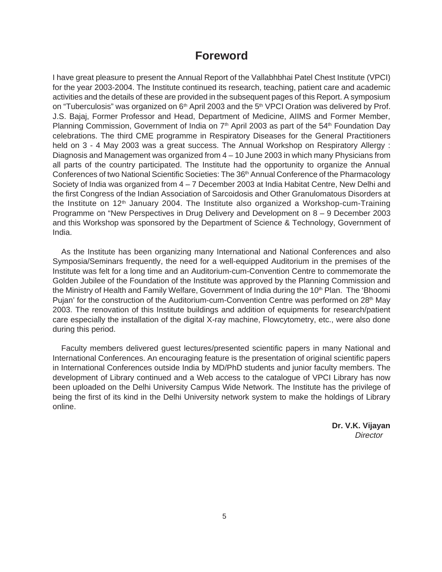# **Foreword**

I have great pleasure to present the Annual Report of the Vallabhbhai Patel Chest Institute (VPCI) for the year 2003-2004. The Institute continued its research, teaching, patient care and academic activities and the details of these are provided in the subsequent pages of this Report. A symposium on "Tuberculosis" was organized on 6<sup>th</sup> April 2003 and the 5<sup>th</sup> VPCI Oration was delivered by Prof. J.S. Bajaj, Former Professor and Head, Department of Medicine, AIIMS and Former Member, Planning Commission, Government of India on 7<sup>th</sup> April 2003 as part of the 54<sup>th</sup> Foundation Day celebrations. The third CME programme in Respiratory Diseases for the General Practitioners held on 3 - 4 May 2003 was a great success. The Annual Workshop on Respiratory Allergy : Diagnosis and Management was organized from 4 – 10 June 2003 in which many Physicians from all parts of the country participated. The Institute had the opportunity to organize the Annual Conferences of two National Scientific Societies: The 36<sup>th</sup> Annual Conference of the Pharmacology Society of India was organized from 4 – 7 December 2003 at India Habitat Centre, New Delhi and the first Congress of the Indian Association of Sarcoidosis and Other Granulomatous Disorders at the Institute on 12<sup>th</sup> January 2004. The Institute also organized a Workshop-cum-Training Programme on "New Perspectives in Drug Delivery and Development on 8 – 9 December 2003 and this Workshop was sponsored by the Department of Science & Technology, Government of India.

As the Institute has been organizing many International and National Conferences and also Symposia/Seminars frequently, the need for a well-equipped Auditorium in the premises of the Institute was felt for a long time and an Auditorium-cum-Convention Centre to commemorate the Golden Jubilee of the Foundation of the Institute was approved by the Planning Commission and the Ministry of Health and Family Welfare, Government of India during the 10<sup>th</sup> Plan. The 'Bhoomi Pujan' for the construction of the Auditorium-cum-Convention Centre was performed on 28<sup>th</sup> May 2003. The renovation of this Institute buildings and addition of equipments for research/patient care especially the installation of the digital X-ray machine, Flowcytometry, etc., were also done during this period.

Faculty members delivered guest lectures/presented scientific papers in many National and International Conferences. An encouraging feature is the presentation of original scientific papers in International Conferences outside India by MD/PhD students and junior faculty members. The development of Library continued and a Web access to the catalogue of VPCI Library has now been uploaded on the Delhi University Campus Wide Network. The Institute has the privilege of being the first of its kind in the Delhi University network system to make the holdings of Library online.

> **Dr. V.K. Vijayan Director**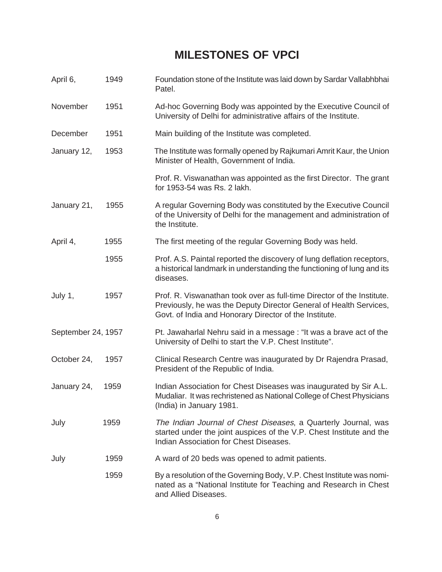# **MILESTONES OF VPCI**

| April 6,           | 1949 | Foundation stone of the Institute was laid down by Sardar Vallabhbhai<br>Patel.                                                                                                                        |
|--------------------|------|--------------------------------------------------------------------------------------------------------------------------------------------------------------------------------------------------------|
| November           | 1951 | Ad-hoc Governing Body was appointed by the Executive Council of<br>University of Delhi for administrative affairs of the Institute.                                                                    |
| December           | 1951 | Main building of the Institute was completed.                                                                                                                                                          |
| January 12,        | 1953 | The Institute was formally opened by Rajkumari Amrit Kaur, the Union<br>Minister of Health, Government of India.                                                                                       |
|                    |      | Prof. R. Viswanathan was appointed as the first Director. The grant<br>for 1953-54 was Rs. 2 lakh.                                                                                                     |
| January 21,        | 1955 | A regular Governing Body was constituted by the Executive Council<br>of the University of Delhi for the management and administration of<br>the Institute.                                             |
| April 4,           | 1955 | The first meeting of the regular Governing Body was held.                                                                                                                                              |
|                    | 1955 | Prof. A.S. Paintal reported the discovery of lung deflation receptors,<br>a historical landmark in understanding the functioning of lung and its<br>diseases.                                          |
| July 1,            | 1957 | Prof. R. Viswanathan took over as full-time Director of the Institute.<br>Previously, he was the Deputy Director General of Health Services,<br>Govt. of India and Honorary Director of the Institute. |
| September 24, 1957 |      | Pt. Jawaharlal Nehru said in a message: "It was a brave act of the<br>University of Delhi to start the V.P. Chest Institute".                                                                          |
| October 24,        | 1957 | Clinical Research Centre was inaugurated by Dr Rajendra Prasad,<br>President of the Republic of India.                                                                                                 |
| January 24,        | 1959 | Indian Association for Chest Diseases was inaugurated by Sir A.L.<br>Mudaliar. It was rechristened as National College of Chest Physicians<br>(India) in January 1981.                                 |
| July               | 1959 | The Indian Journal of Chest Diseases, a Quarterly Journal, was<br>started under the joint auspices of the V.P. Chest Institute and the<br>Indian Association for Chest Diseases.                       |
| July               | 1959 | A ward of 20 beds was opened to admit patients.                                                                                                                                                        |
|                    | 1959 | By a resolution of the Governing Body, V.P. Chest Institute was nomi-<br>nated as a "National Institute for Teaching and Research in Chest<br>and Allied Diseases.                                     |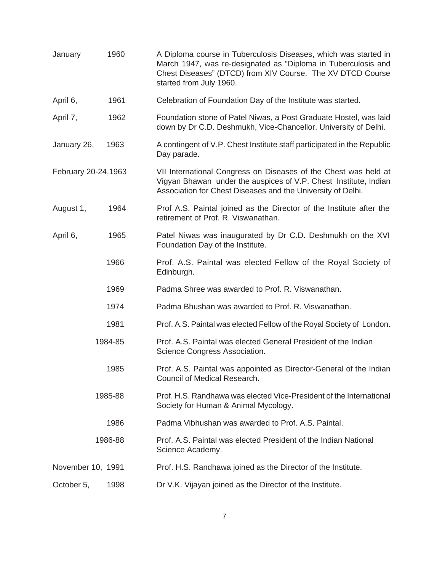| 1960<br>January         |      | A Diploma course in Tuberculosis Diseases, which was started in<br>March 1947, was re-designated as "Diploma in Tuberculosis and<br>Chest Diseases" (DTCD) from XIV Course. The XV DTCD Course<br>started from July 1960. |
|-------------------------|------|---------------------------------------------------------------------------------------------------------------------------------------------------------------------------------------------------------------------------|
| April 6,                | 1961 | Celebration of Foundation Day of the Institute was started.                                                                                                                                                               |
| April 7,                | 1962 | Foundation stone of Patel Niwas, a Post Graduate Hostel, was laid<br>down by Dr C.D. Deshmukh, Vice-Chancellor, University of Delhi.                                                                                      |
| January 26,             | 1963 | A contingent of V.P. Chest Institute staff participated in the Republic<br>Day parade.                                                                                                                                    |
| February 20-24,1963     |      | VII International Congress on Diseases of the Chest was held at<br>Vigyan Bhawan under the auspices of V.P. Chest Institute, Indian<br>Association for Chest Diseases and the University of Delhi.                        |
| August 1,               | 1964 | Prof A.S. Paintal joined as the Director of the Institute after the<br>retirement of Prof. R. Viswanathan.                                                                                                                |
| April 6,                | 1965 | Patel Niwas was inaugurated by Dr C.D. Deshmukh on the XVI<br>Foundation Day of the Institute.                                                                                                                            |
|                         | 1966 | Prof. A.S. Paintal was elected Fellow of the Royal Society of<br>Edinburgh.                                                                                                                                               |
|                         | 1969 | Padma Shree was awarded to Prof. R. Viswanathan.                                                                                                                                                                          |
|                         | 1974 | Padma Bhushan was awarded to Prof. R. Viswanathan.                                                                                                                                                                        |
| 1981<br>1984-85<br>1985 |      | Prof. A.S. Paintal was elected Fellow of the Royal Society of London.                                                                                                                                                     |
|                         |      | Prof. A.S. Paintal was elected General President of the Indian<br>Science Congress Association.                                                                                                                           |
|                         |      | Prof. A.S. Paintal was appointed as Director-General of the Indian<br>Council of Medical Research.                                                                                                                        |
| 1985-88                 |      | Prof. H.S. Randhawa was elected Vice-President of the International<br>Society for Human & Animal Mycology.                                                                                                               |
|                         | 1986 | Padma Vibhushan was awarded to Prof. A.S. Paintal.                                                                                                                                                                        |
| 1986-88                 |      | Prof. A.S. Paintal was elected President of the Indian National<br>Science Academy.                                                                                                                                       |
| November 10, 1991       |      | Prof. H.S. Randhawa joined as the Director of the Institute.                                                                                                                                                              |
| October 5,              | 1998 | Dr V.K. Vijayan joined as the Director of the Institute.                                                                                                                                                                  |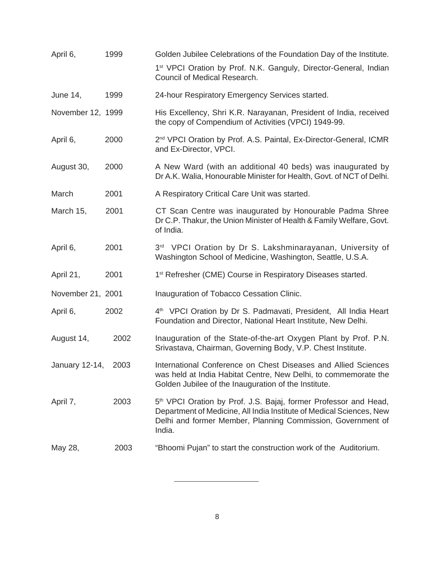| April 6,          | 1999 | Golden Jubilee Celebrations of the Foundation Day of the Institute.                                                                                                                                                           |
|-------------------|------|-------------------------------------------------------------------------------------------------------------------------------------------------------------------------------------------------------------------------------|
|                   |      | 1 <sup>st</sup> VPCI Oration by Prof. N.K. Ganguly, Director-General, Indian<br>Council of Medical Research.                                                                                                                  |
| <b>June 14,</b>   | 1999 | 24-hour Respiratory Emergency Services started.                                                                                                                                                                               |
| November 12, 1999 |      | His Excellency, Shri K.R. Narayanan, President of India, received<br>the copy of Compendium of Activities (VPCI) 1949-99.                                                                                                     |
| April 6,          | 2000 | 2 <sup>nd</sup> VPCI Oration by Prof. A.S. Paintal, Ex-Director-General, ICMR<br>and Ex-Director, VPCI.                                                                                                                       |
| August 30,        | 2000 | A New Ward (with an additional 40 beds) was inaugurated by<br>Dr A.K. Walia, Honourable Minister for Health, Govt. of NCT of Delhi.                                                                                           |
| March             | 2001 | A Respiratory Critical Care Unit was started.                                                                                                                                                                                 |
| March 15,         | 2001 | CT Scan Centre was inaugurated by Honourable Padma Shree<br>Dr C.P. Thakur, the Union Minister of Health & Family Welfare, Govt.<br>of India.                                                                                 |
| April 6,          | 2001 | 3rd VPCI Oration by Dr S. Lakshminarayanan, University of<br>Washington School of Medicine, Washington, Seattle, U.S.A.                                                                                                       |
| April 21,         | 2001 | 1 <sup>st</sup> Refresher (CME) Course in Respiratory Diseases started.                                                                                                                                                       |
| November 21, 2001 |      | Inauguration of Tobacco Cessation Clinic.                                                                                                                                                                                     |
| April 6,          | 2002 | 4 <sup>th</sup> VPCI Oration by Dr S. Padmavati, President, All India Heart<br>Foundation and Director, National Heart Institute, New Delhi.                                                                                  |
| August 14,        | 2002 | Inauguration of the State-of-the-art Oxygen Plant by Prof. P.N.<br>Srivastava, Chairman, Governing Body, V.P. Chest Institute.                                                                                                |
| January 12-14,    | 2003 | International Conference on Chest Diseases and Allied Sciences<br>was held at India Habitat Centre, New Delhi, to commemorate the<br>Golden Jubilee of the Inauguration of the Institute.                                     |
| April 7,          | 2003 | 5 <sup>th</sup> VPCI Oration by Prof. J.S. Bajaj, former Professor and Head,<br>Department of Medicine, All India Institute of Medical Sciences, New<br>Delhi and former Member, Planning Commission, Government of<br>India. |
| May 28,           | 2003 | "Bhoomi Pujan" to start the construction work of the Auditorium.                                                                                                                                                              |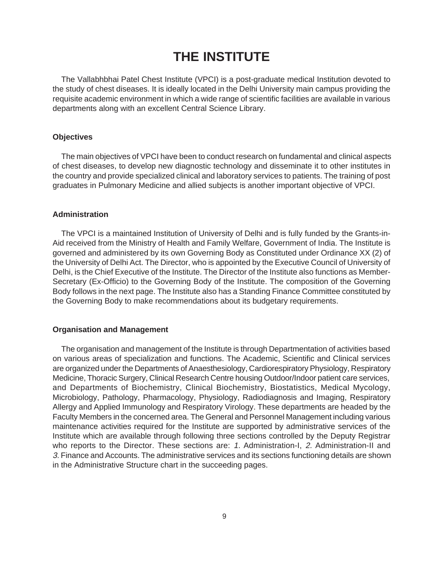# **THE INSTITUTE**

The Vallabhbhai Patel Chest Institute (VPCI) is a post-graduate medical Institution devoted to the study of chest diseases. It is ideally located in the Delhi University main campus providing the requisite academic environment in which a wide range of scientific facilities are available in various departments along with an excellent Central Science Library.

# **Objectives**

The main objectives of VPCI have been to conduct research on fundamental and clinical aspects of chest diseases, to develop new diagnostic technology and disseminate it to other institutes in the country and provide specialized clinical and laboratory services to patients. The training of post graduates in Pulmonary Medicine and allied subjects is another important objective of VPCI.

#### **Administration**

The VPCI is a maintained Institution of University of Delhi and is fully funded by the Grants-in-Aid received from the Ministry of Health and Family Welfare, Government of India. The Institute is governed and administered by its own Governing Body as Constituted under Ordinance XX (2) of the University of Delhi Act. The Director, who is appointed by the Executive Council of University of Delhi, is the Chief Executive of the Institute. The Director of the Institute also functions as Member-Secretary (Ex-Officio) to the Governing Body of the Institute. The composition of the Governing Body follows in the next page. The Institute also has a Standing Finance Committee constituted by the Governing Body to make recommendations about its budgetary requirements.

#### **Organisation and Management**

The organisation and management of the Institute is through Departmentation of activities based on various areas of specialization and functions. The Academic, Scientific and Clinical services are organized under the Departments of Anaesthesiology, Cardiorespiratory Physiology, Respiratory Medicine, Thoracic Surgery, Clinical Research Centre housing Outdoor/Indoor patient care services, and Departments of Biochemistry, Clinical Biochemistry, Biostatistics, Medical Mycology, Microbiology, Pathology, Pharmacology, Physiology, Radiodiagnosis and Imaging, Respiratory Allergy and Applied Immunology and Respiratory Virology. These departments are headed by the Faculty Members in the concerned area. The General and Personnel Management including various maintenance activities required for the Institute are supported by administrative services of the Institute which are available through following three sections controlled by the Deputy Registrar who reports to the Director. These sections are: 1. Administration-I, 2. Administration-II and 3. Finance and Accounts. The administrative services and its sections functioning details are shown in the Administrative Structure chart in the succeeding pages.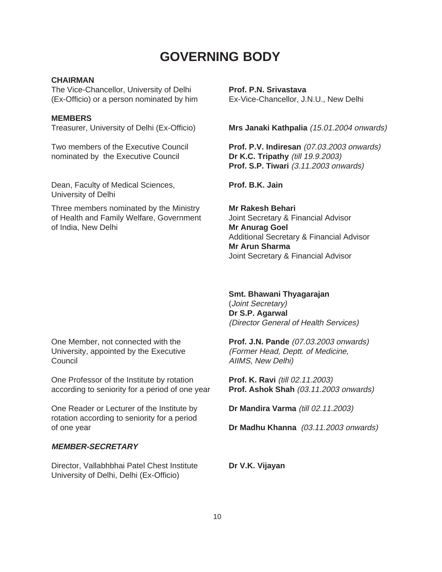# **GOVERNING BODY**

# **CHAIRMAN**

The Vice-Chancellor, University of Delhi **Prof. P.N. Srivastava** (Ex-Officio) or a person nominated by him Ex-Vice-Chancellor, J.N.U., New Delhi

#### **MEMBERS**

nominated by the Executive Council **Dr K.C. Tripathy** (till 19.9.2003)

Dean, Faculty of Medical Sciences, **Prof. B.K. Jain** University of Delhi

Three members nominated by the Ministry **Mr Rakesh Behari** of Health and Family Welfare, Government Joint Secretary & Financial Advisor of India, New Delhi **Mr Anurag Goel** 

Treasurer, University of Delhi (Ex-Officio) **Mrs Janaki Kathpalia** (15.01.2004 onwards)

Two members of the Executive Council **Prof. P.V. Indiresan** (07.03.2003 onwards) **Prof. S.P. Tiwari** (3.11.2003 onwards)

Additional Secretary & Financial Advisor **Mr Arun Sharma** Joint Secretary & Financial Advisor

**Smt. Bhawani Thyagarajan**

(Joint Secretary) **Dr S.P. Agarwal** (Director General of Health Services)

One Member, not connected with the **Prof. J.N. Pande** (07.03.2003 onwards) University, appointed by the Executive (Former Head, Deptt. of Medicine, Council **Council Council Council Council Council AIIMS**, **New Delhi**)

One Professor of the Institute by rotation **Prof. K. Ravi** (till 02.11.2003) according to seniority for a period of one year **Prof. Ashok Shah** (03.11.2003 onwards)

One Reader or Lecturer of the Institute by **Dr Mandira Varma** (till 02.11.2003) rotation according to seniority for a period of one year **Dr Madhu Khanna** (03.11.2003 onwards)

# **MEMBER-SECRETARY**

Director, Vallabhbhai Patel Chest Institute **Dr V.K. Vijayan** University of Delhi, Delhi (Ex-Officio)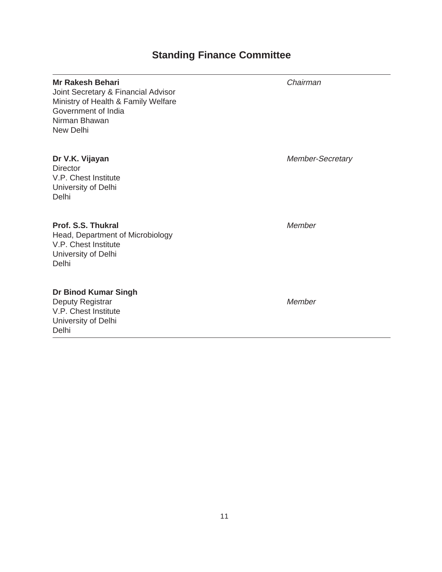# **Standing Finance Committee**

#### **Mr Rakesh Behari** Chairman

Joint Secretary & Financial Advisor Ministry of Health & Family Welfare Government of India Nirman Bhawan New Delhi

**Director** V.P. Chest Institute University of Delhi Delhi

# **Prof. S.S. Thukral** Member

Head, Department of Microbiology V.P. Chest Institute University of Delhi Delhi

#### **Dr Binod Kumar Singh**

Deputy Registrar Member V.P. Chest Institute University of Delhi Delhi

**Dr V.K. Vijayan** Member-Secretary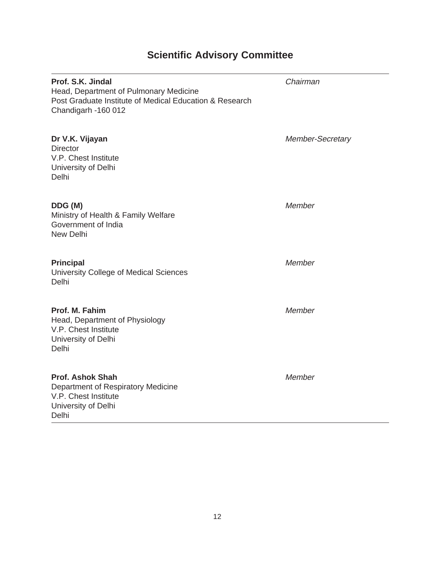# **Scientific Advisory Committee**

 $\overline{\phantom{0}}$ 

| Prof. S.K. Jindal<br>Head, Department of Pulmonary Medicine<br>Post Graduate Institute of Medical Education & Research<br>Chandigarh -160 012 | Chairman                |
|-----------------------------------------------------------------------------------------------------------------------------------------------|-------------------------|
| Dr V.K. Vijayan<br><b>Director</b><br>V.P. Chest Institute<br>University of Delhi<br>Delhi                                                    | <b>Member-Secretary</b> |
| DDG (M)<br>Ministry of Health & Family Welfare<br>Government of India<br><b>New Delhi</b>                                                     | Member                  |
| <b>Principal</b><br>University College of Medical Sciences<br>Delhi                                                                           | Member                  |
| Prof. M. Fahim<br>Head, Department of Physiology<br>V.P. Chest Institute<br>University of Delhi<br>Delhi                                      | Member                  |
| <b>Prof. Ashok Shah</b><br>Department of Respiratory Medicine<br>V.P. Chest Institute<br>University of Delhi<br>Delhi                         | Member                  |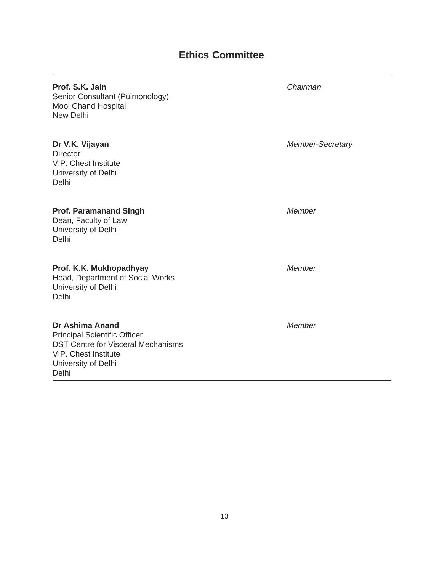# **Ethics Committee**

| Prof. S.K. Jain<br>Senior Consultant (Pulmonology)<br><b>Mool Chand Hospital</b><br>New Delhi                                      | Chairman                |
|------------------------------------------------------------------------------------------------------------------------------------|-------------------------|
| Dr V.K. Vijayan<br><b>Director</b><br>V.P. Chest Institute<br>University of Delhi<br>Delhi                                         | <b>Member-Secretary</b> |
| <b>Prof. Paramanand Singh</b><br>Dean, Faculty of Law<br>University of Delhi<br>Delhi                                              | Member                  |
| Prof. K.K. Mukhopadhyay<br>Head, Department of Social Works<br>University of Delhi<br>Delhi                                        | Member                  |
| <b>Dr Ashima Anand</b><br><b>Principal Scientific Officer</b><br><b>DST Centre for Visceral Mechanisms</b><br>V.P. Chest Institute | Member                  |

University of Delhi

Delhi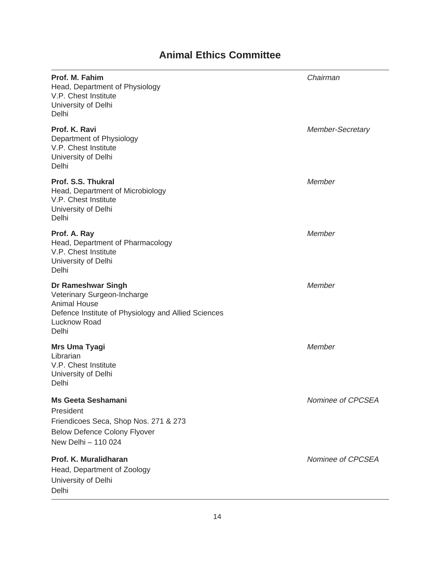# **Animal Ethics Committee**

| Prof. M. Fahim<br>Head, Department of Physiology<br>V.P. Chest Institute<br>University of Delhi<br>Delhi                                                 | Chairman                |
|----------------------------------------------------------------------------------------------------------------------------------------------------------|-------------------------|
| Prof. K. Ravi<br>Department of Physiology<br>V.P. Chest Institute<br>University of Delhi<br>Delhi                                                        | <b>Member-Secretary</b> |
| Prof. S.S. Thukral<br>Head, Department of Microbiology<br>V.P. Chest Institute<br>University of Delhi<br>Delhi                                           | Member                  |
| Prof. A. Ray<br>Head, Department of Pharmacology<br>V.P. Chest Institute<br>University of Delhi<br>Delhi                                                 | Member                  |
| Dr Rameshwar Singh<br>Veterinary Surgeon-Incharge<br><b>Animal House</b><br>Defence Institute of Physiology and Allied Sciences<br>Lucknow Road<br>Delhi | Member                  |
| <b>Mrs Uma Tyagi</b><br>Librarian<br>V.P. Chest Institute<br>University of Delhi<br>Delhi                                                                | Member                  |
| <b>Ms Geeta Seshamani</b><br>President<br>Friendicoes Seca, Shop Nos. 271 & 273<br><b>Below Defence Colony Flyover</b><br>New Delhi - 110 024            | Nominee of CPCSEA       |
| Prof. K. Muralidharan<br>Head, Department of Zoology<br>University of Delhi<br>Delhi                                                                     | Nominee of CPCSEA       |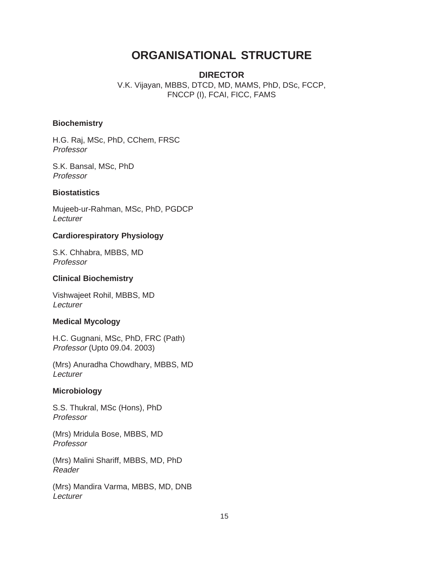# **ORGANISATIONAL STRUCTURE**

**DIRECTOR** V.K. Vijayan, MBBS, DTCD, MD, MAMS, PhD, DSc, FCCP, FNCCP (I), FCAI, FICC, FAMS

# **Biochemistry**

H.G. Raj, MSc, PhD, CChem, FRSC Professor

S.K. Bansal, MSc, PhD Professor

#### **Biostatistics**

Mujeeb-ur-Rahman, MSc, PhD, PGDCP Lecturer

#### **Cardiorespiratory Physiology**

S.K. Chhabra, MBBS, MD Professor

#### **Clinical Biochemistry**

Vishwajeet Rohil, MBBS, MD **Lecturer** 

# **Medical Mycology**

H.C. Gugnani, MSc, PhD, FRC (Path) Professor (Upto 09.04. 2003)

(Mrs) Anuradha Chowdhary, MBBS, MD **Lecturer** 

#### **Microbiology**

S.S. Thukral, MSc (Hons), PhD Professor

(Mrs) Mridula Bose, MBBS, MD Professor

(Mrs) Malini Shariff, MBBS, MD, PhD Reader

(Mrs) Mandira Varma, MBBS, MD, DNB **Lecturer**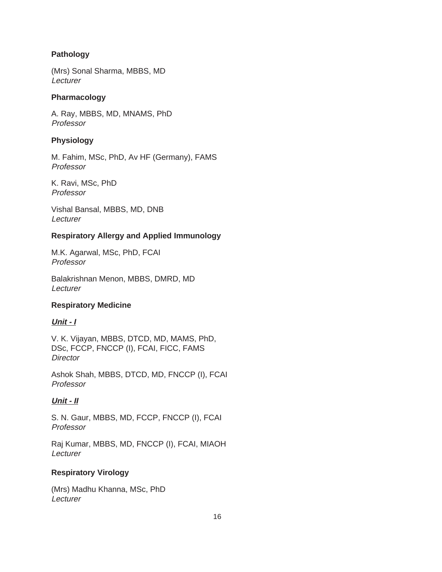# **Pathology**

(Mrs) Sonal Sharma, MBBS, MD **Lecturer** 

# **Pharmacology**

A. Ray, MBBS, MD, MNAMS, PhD Professor

# **Physiology**

M. Fahim, MSc, PhD, Av HF (Germany), FAMS Professor

K. Ravi, MSc, PhD Professor

Vishal Bansal, MBBS, MD, DNB Lecturer

# **Respiratory Allergy and Applied Immunology**

M.K. Agarwal, MSc, PhD, FCAI Professor

Balakrishnan Menon, MBBS, DMRD, MD **Lecturer** 

# **Respiratory Medicine**

# **Unit - I**

V. K. Vijayan, MBBS, DTCD, MD, MAMS, PhD, DSc, FCCP, FNCCP (I), FCAI, FICC, FAMS **Director** 

Ashok Shah, MBBS, DTCD, MD, FNCCP (I), FCAI Professor

# **Unit - II**

S. N. Gaur, MBBS, MD, FCCP, FNCCP (I), FCAI Professor

Raj Kumar, MBBS, MD, FNCCP (I), FCAI, MIAOH Lecturer

# **Respiratory Virology**

(Mrs) Madhu Khanna, MSc, PhD **Lecturer**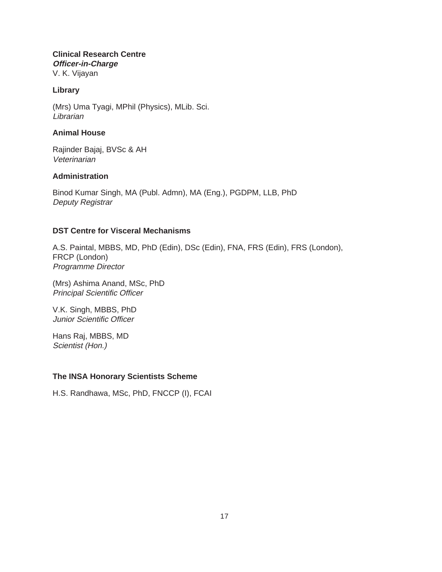**Clinical Research Centre Officer-in-Charge** V. K. Vijayan

# **Library**

(Mrs) Uma Tyagi, MPhil (Physics), MLib. Sci. **Librarian** 

# **Animal House**

Rajinder Bajaj, BVSc & AH Veterinarian

# **Administration**

Binod Kumar Singh, MA (Publ. Admn), MA (Eng.), PGDPM, LLB, PhD Deputy Registrar

# **DST Centre for Visceral Mechanisms**

A.S. Paintal, MBBS, MD, PhD (Edin), DSc (Edin), FNA, FRS (Edin), FRS (London), FRCP (London) Programme Director

(Mrs) Ashima Anand, MSc, PhD Principal Scientific Officer

V.K. Singh, MBBS, PhD Junior Scientific Officer

Hans Raj, MBBS, MD Scientist (Hon.)

# **The INSA Honorary Scientists Scheme**

H.S. Randhawa, MSc, PhD, FNCCP (I), FCAI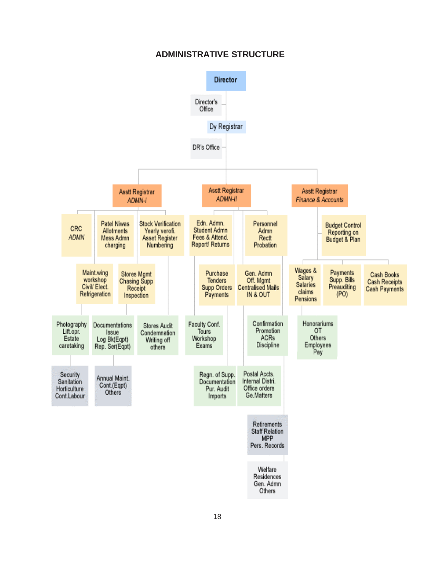# **ADMINISTRATIVE STRUCTURE**

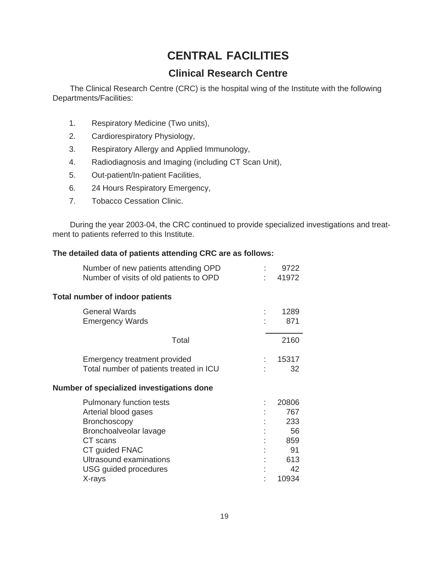# **CENTRAL FACILITIES**

# **Clinical Research Centre**

The Clinical Research Centre (CRC) is the hospital wing of the Institute with the following Departments/Facilities:

- 1. Respiratory Medicine (Two units),
- 2. Cardiorespiratory Physiology,
- 3. Respiratory Allergy and Applied Immunology,
- 4. Radiodiagnosis and Imaging (including CT Scan Unit),
- 5. Out-patient/In-patient Facilities,
- 6. 24 Hours Respiratory Emergency,
- 7. Tobacco Cessation Clinic.

During the year 2003-04, the CRC continued to provide specialized investigations and treatment to patients referred to this Institute.

# **The detailed data of patients attending CRC are as follows:**

| Number of new patients attending OPD<br>Number of visits of old patients to OPD | ۰. | 9722<br>41972 |
|---------------------------------------------------------------------------------|----|---------------|
| <b>Total number of indoor patients</b>                                          |    |               |
| <b>General Wards</b>                                                            |    | 1289          |
| <b>Emergency Wards</b>                                                          |    | 871           |
| Total                                                                           |    | 2160          |
| Emergency treatment provided                                                    |    | 15317         |
| Total number of patients treated in ICU                                         |    | 32            |
| Number of specialized investigations done                                       |    |               |
| <b>Pulmonary function tests</b>                                                 |    | 20806         |
| Arterial blood gases                                                            |    | 767           |
| <b>Bronchoscopy</b>                                                             |    | 233           |
| Bronchoalveolar lavage                                                          |    | 56            |
| CT scans                                                                        |    | 859           |
| CT guided FNAC                                                                  |    | 91            |
| Ultrasound examinations                                                         |    | 613           |
| USG guided procedures                                                           |    | 42            |
| X-rays                                                                          |    | 10934         |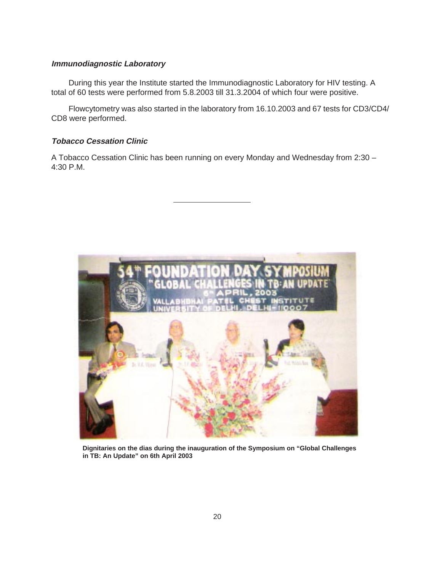# **Immunodiagnostic Laboratory**

During this year the Institute started the Immunodiagnostic Laboratory for HIV testing. A total of 60 tests were performed from 5.8.2003 till 31.3.2004 of which four were positive.

Flowcytometry was also started in the laboratory from 16.10.2003 and 67 tests for CD3/CD4/ CD8 were performed.

# **Tobacco Cessation Clinic**

A Tobacco Cessation Clinic has been running on every Monday and Wednesday from 2:30 – 4:30 P.M.



**Dignitaries on the dias during the inauguration of the Symposium on "Global Challenges in TB: An Update" on 6th April 2003**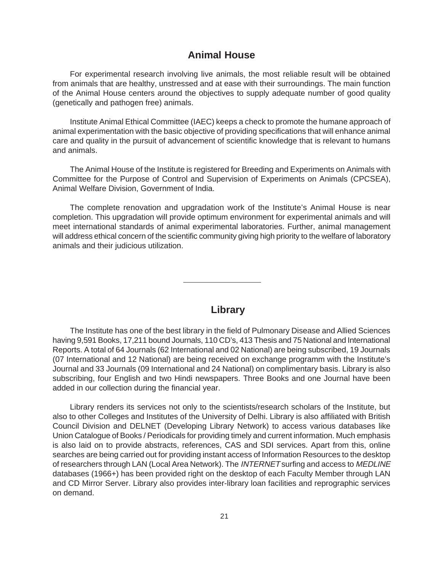# **Animal House**

For experimental research involving live animals, the most reliable result will be obtained from animals that are healthy, unstressed and at ease with their surroundings. The main function of the Animal House centers around the objectives to supply adequate number of good quality (genetically and pathogen free) animals.

Institute Animal Ethical Committee (IAEC) keeps a check to promote the humane approach of animal experimentation with the basic objective of providing specifications that will enhance animal care and quality in the pursuit of advancement of scientific knowledge that is relevant to humans and animals.

The Animal House of the Institute is registered for Breeding and Experiments on Animals with Committee for the Purpose of Control and Supervision of Experiments on Animals (CPCSEA), Animal Welfare Division, Government of India.

The complete renovation and upgradation work of the Institute's Animal House is near completion. This upgradation will provide optimum environment for experimental animals and will meet international standards of animal experimental laboratories. Further, animal management will address ethical concern of the scientific community giving high priority to the welfare of laboratory animals and their judicious utilization.

# **Library**

The Institute has one of the best library in the field of Pulmonary Disease and Allied Sciences having 9,591 Books, 17,211 bound Journals, 110 CD's, 413 Thesis and 75 National and International Reports. A total of 64 Journals (62 International and 02 National) are being subscribed, 19 Journals (07 International and 12 National) are being received on exchange programm with the Institute's Journal and 33 Journals (09 International and 24 National) on complimentary basis. Library is also subscribing, four English and two Hindi newspapers. Three Books and one Journal have been added in our collection during the financial year.

Library renders its services not only to the scientists/research scholars of the Institute, but also to other Colleges and Institutes of the University of Delhi. Library is also affiliated with British Council Division and DELNET (Developing Library Network) to access various databases like Union Catalogue of Books / Periodicals for providing timely and current information. Much emphasis is also laid on to provide abstracts, references, CAS and SDI services. Apart from this, online searches are being carried out for providing instant access of Information Resources to the desktop of researchers through LAN (Local Area Network). The INTERNET surfing and access to MEDLINE databases (1966+) has been provided right on the desktop of each Faculty Member through LAN and CD Mirror Server. Library also provides inter-library loan facilities and reprographic services on demand.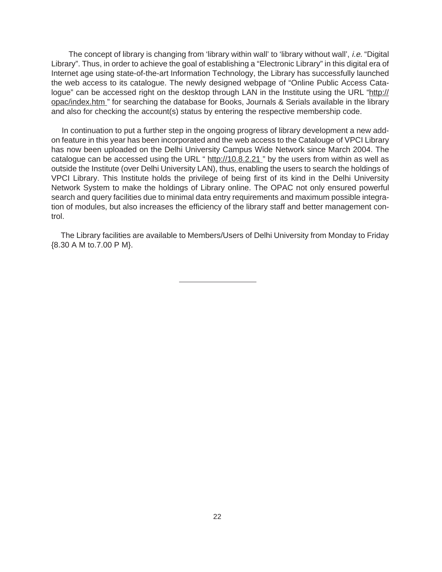The concept of library is changing from 'library within wall' to 'library without wall', *i.e.* "Digital" Library". Thus, in order to achieve the goal of establishing a "Electronic Library" in this digital era of Internet age using state-of-the-art Information Technology, the Library has successfully launched the web access to its catalogue. The newly designed webpage of "Online Public Access Catalogue" can be accessed right on the desktop through LAN in the Institute using the URL "http:// opac/index.htm " for searching the database for Books, Journals & Serials available in the library and also for checking the account(s) status by entering the respective membership code.

 In continuation to put a further step in the ongoing progress of library development a new addon feature in this year has been incorporated and the web access to the Catalouge of VPCI Library has now been uploaded on the Delhi University Campus Wide Network since March 2004. The catalogue can be accessed using the URL " http://10.8.2.21 " by the users from within as well as outside the Institute (over Delhi University LAN), thus, enabling the users to search the holdings of VPCI Library. This Institute holds the privilege of being first of its kind in the Delhi University Network System to make the holdings of Library online. The OPAC not only ensured powerful search and query facilities due to minimal data entry requirements and maximum possible integration of modules, but also increases the efficiency of the library staff and better management control.

 The Library facilities are available to Members/Users of Delhi University from Monday to Friday {8.30 A M to.7.00 P M}.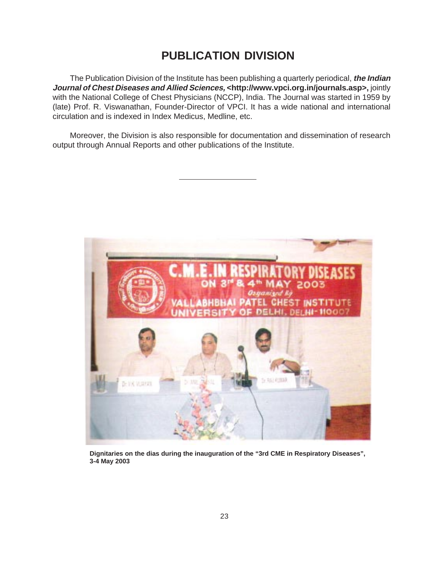# **PUBLICATION DIVISION**

The Publication Division of the Institute has been publishing a quarterly periodical, **the Indian Journal of Chest Diseases and Allied Sciences, <http://www.vpci.org.in/journals.asp>,** jointly with the National College of Chest Physicians (NCCP), India. The Journal was started in 1959 by (late) Prof. R. Viswanathan, Founder-Director of VPCI. It has a wide national and international circulation and is indexed in Index Medicus, Medline, etc.

Moreover, the Division is also responsible for documentation and dissemination of research output through Annual Reports and other publications of the Institute.



**Dignitaries on the dias during the inauguration of the "3rd CME in Respiratory Diseases", 3-4 May 2003**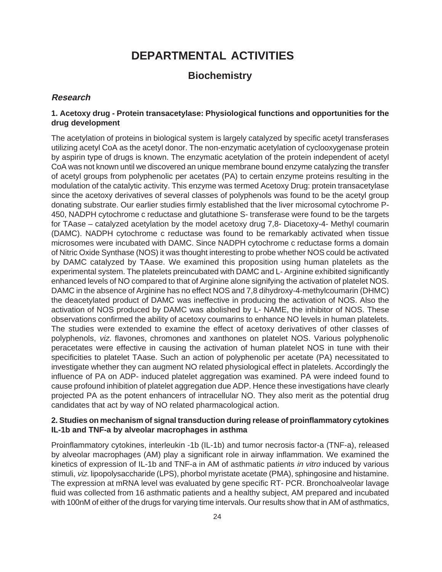# **DEPARTMENTAL ACTIVITIES**

# **Biochemistry**

# **Research**

# **1. Acetoxy drug - Protein transacetylase: Physiological functions and opportunities for the drug development**

The acetylation of proteins in biological system is largely catalyzed by specific acetyl transferases utilizing acetyl CoA as the acetyl donor. The non-enzymatic acetylation of cyclooxygenase protein by aspirin type of drugs is known. The enzymatic acetylation of the protein independent of acetyl CoA was not known until we discovered an unique membrane bound enzyme catalyzing the transfer of acetyl groups from polyphenolic per acetates (PA) to certain enzyme proteins resulting in the modulation of the catalytic activity. This enzyme was termed Acetoxy Drug: protein transacetylase since the acetoxy derivatives of several classes of polyphenols was found to be the acetyl group donating substrate. Our earlier studies firmly established that the liver microsomal cytochrome P-450, NADPH cytochrome c reductase and glutathione S- transferase were found to be the targets for TAase – catalyzed acetylation by the model acetoxy drug 7,8- Diacetoxy-4- Methyl coumarin (DAMC). NADPH cytochrome c reductase was found to be remarkably activated when tissue microsomes were incubated with DAMC. Since NADPH cytochrome c reductase forms a domain of Nitric Oxide Synthase (NOS) it was thought interesting to probe whether NOS could be activated by DAMC catalyzed by TAase. We examined this proposition using human platelets as the experimental system. The platelets preincubated with DAMC and L- Arginine exhibited significantly enhanced levels of NO compared to that of Arginine alone signifying the activation of platelet NOS. DAMC in the absence of Arginine has no effect NOS and 7,8 dihydroxy-4-methylcoumarin (DHMC) the deacetylated product of DAMC was ineffective in producing the activation of NOS. Also the activation of NOS produced by DAMC was abolished by L- NAME, the inhibitor of NOS. These observations confirmed the ability of acetoxy coumarins to enhance NO levels in human platelets. The studies were extended to examine the effect of acetoxy derivatives of other classes of polyphenols, viz. flavones, chromones and xanthones on platelet NOS. Various polyphenolic peracetates were effective in causing the activation of human platelet NOS in tune with their specificities to platelet TAase. Such an action of polyphenolic per acetate (PA) necessitated to investigate whether they can augment NO related physiological effect in platelets. Accordingly the influence of PA on ADP- induced platelet aggregation was examined. PA were indeed found to cause profound inhibition of platelet aggregation due ADP. Hence these investigations have clearly projected PA as the potent enhancers of intracellular NO. They also merit as the potential drug candidates that act by way of NO related pharmacological action.

# **2. Studies on mechanism of signal transduction during release of proinflammatory cytokines IL-1b and TNF-a by alveolar macrophages in asthma**

Proinflammatory cytokines, interleukin -1b (IL-1b) and tumor necrosis factor-a (TNF-a), released by alveolar macrophages (AM) play a significant role in airway inflammation. We examined the kinetics of expression of IL-1b and TNF-a in AM of asthmatic patients in vitro induced by various stimuli, viz. lipopolysaccharide (LPS), phorbol myristate acetate (PMA), sphingosine and histamine. The expression at mRNA level was evaluated by gene specific RT- PCR. Bronchoalveolar lavage fluid was collected from 16 asthmatic patients and a healthy subject, AM prepared and incubated with 100nM of either of the drugs for varying time intervals. Our results show that in AM of asthmatics,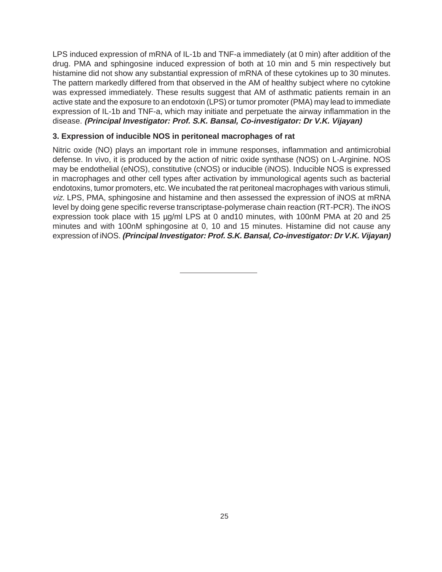LPS induced expression of mRNA of IL-1b and TNF-a immediately (at 0 min) after addition of the drug. PMA and sphingosine induced expression of both at 10 min and 5 min respectively but histamine did not show any substantial expression of mRNA of these cytokines up to 30 minutes. The pattern markedly differed from that observed in the AM of healthy subject where no cytokine was expressed immediately. These results suggest that AM of asthmatic patients remain in an active state and the exposure to an endotoxin (LPS) or tumor promoter (PMA) may lead to immediate expression of IL-1b and TNF-a, which may initiate and perpetuate the airway inflammation in the disease. **(Principal Investigator: Prof. S.K. Bansal, Co-investigator: Dr V.K. Vijayan)**

# **3. Expression of inducible NOS in peritoneal macrophages of rat**

Nitric oxide (NO) plays an important role in immune responses, inflammation and antimicrobial defense. In vivo, it is produced by the action of nitric oxide synthase (NOS) on L-Arginine. NOS may be endothelial (eNOS), constitutive (cNOS) or inducible (iNOS). Inducible NOS is expressed in macrophages and other cell types after activation by immunological agents such as bacterial endotoxins, tumor promoters, etc. We incubated the rat peritoneal macrophages with various stimuli, viz. LPS, PMA, sphingosine and histamine and then assessed the expression of iNOS at mRNA level by doing gene specific reverse transcriptase-polymerase chain reaction (RT-PCR). The iNOS expression took place with 15 µg/ml LPS at 0 and 10 minutes, with 100nM PMA at 20 and 25 minutes and with 100nM sphingosine at 0, 10 and 15 minutes. Histamine did not cause any expression of iNOS. **(Principal Investigator: Prof. S.K. Bansal, Co-investigator: Dr V.K. Vijayan)**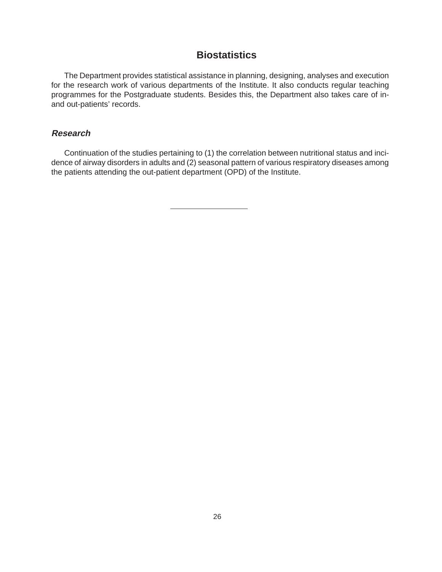# **Biostatistics**

The Department provides statistical assistance in planning, designing, analyses and execution for the research work of various departments of the Institute. It also conducts regular teaching programmes for the Postgraduate students. Besides this, the Department also takes care of inand out-patients' records.

# **Research**

Continuation of the studies pertaining to (1) the correlation between nutritional status and incidence of airway disorders in adults and (2) seasonal pattern of various respiratory diseases among the patients attending the out-patient department (OPD) of the Institute.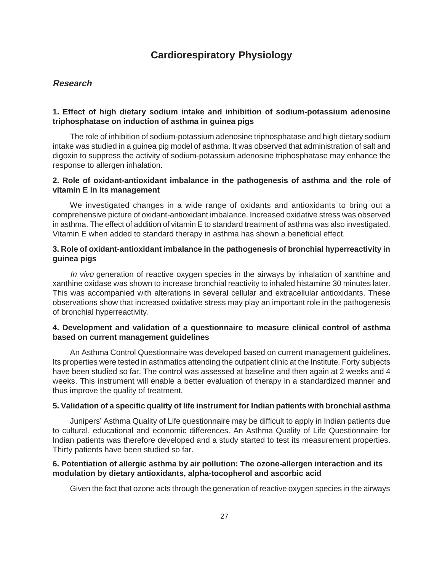# **Cardiorespiratory Physiology**

# **Research**

# **1. Effect of high dietary sodium intake and inhibition of sodium-potassium adenosine triphosphatase on induction of asthma in guinea pigs**

The role of inhibition of sodium-potassium adenosine triphosphatase and high dietary sodium intake was studied in a guinea pig model of asthma. It was observed that administration of salt and digoxin to suppress the activity of sodium-potassium adenosine triphosphatase may enhance the response to allergen inhalation.

# **2. Role of oxidant-antioxidant imbalance in the pathogenesis of asthma and the role of vitamin E in its management**

We investigated changes in a wide range of oxidants and antioxidants to bring out a comprehensive picture of oxidant-antioxidant imbalance. Increased oxidative stress was observed in asthma. The effect of addition of vitamin E to standard treatment of asthma was also investigated. Vitamin E when added to standard therapy in asthma has shown a beneficial effect.

# **3. Role of oxidant-antioxidant imbalance in the pathogenesis of bronchial hyperreactivity in guinea pigs**

In vivo generation of reactive oxygen species in the airways by inhalation of xanthine and xanthine oxidase was shown to increase bronchial reactivity to inhaled histamine 30 minutes later. This was accompanied with alterations in several cellular and extracellular antioxidants. These observations show that increased oxidative stress may play an important role in the pathogenesis of bronchial hyperreactivity.

# **4. Development and validation of a questionnaire to measure clinical control of asthma based on current management guidelines**

An Asthma Control Questionnaire was developed based on current management guidelines. Its properties were tested in asthmatics attending the outpatient clinic at the Institute. Forty subjects have been studied so far. The control was assessed at baseline and then again at 2 weeks and 4 weeks. This instrument will enable a better evaluation of therapy in a standardized manner and thus improve the quality of treatment.

# **5. Validation of a specific quality of life instrument for Indian patients with bronchial asthma**

Junipers' Asthma Quality of Life questionnaire may be difficult to apply in Indian patients due to cultural, educational and economic differences. An Asthma Quality of Life Questionnaire for Indian patients was therefore developed and a study started to test its measurement properties. Thirty patients have been studied so far.

# **6. Potentiation of allergic asthma by air pollution: The ozone-allergen interaction and its modulation by dietary antioxidants, alpha-tocopherol and ascorbic acid**

Given the fact that ozone acts through the generation of reactive oxygen species in the airways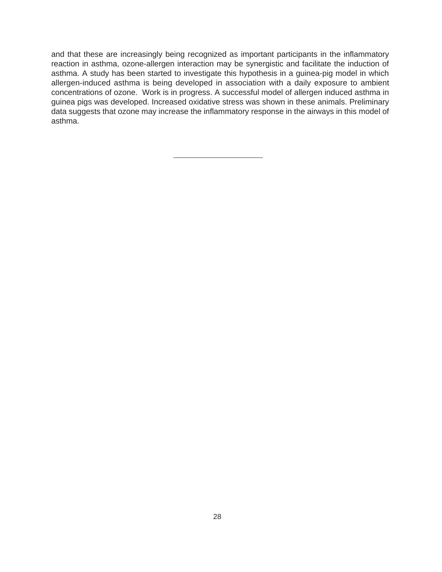and that these are increasingly being recognized as important participants in the inflammatory reaction in asthma, ozone-allergen interaction may be synergistic and facilitate the induction of asthma. A study has been started to investigate this hypothesis in a guinea-pig model in which allergen-induced asthma is being developed in association with a daily exposure to ambient concentrations of ozone. Work is in progress. A successful model of allergen induced asthma in guinea pigs was developed. Increased oxidative stress was shown in these animals. Preliminary data suggests that ozone may increase the inflammatory response in the airways in this model of asthma.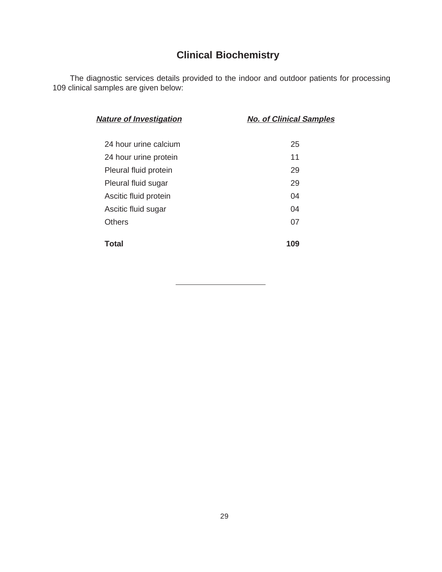# **Clinical Biochemistry**

The diagnostic services details provided to the indoor and outdoor patients for processing 109 clinical samples are given below:

| <b>Nature of Investigation</b> | <b>No. of Clinical Samples</b> |
|--------------------------------|--------------------------------|
| 24 hour urine calcium          | 25                             |
| 24 hour urine protein          | 11                             |
| Pleural fluid protein          | 29                             |
| Pleural fluid sugar            | 29                             |
| Ascitic fluid protein          | 04                             |
| Ascitic fluid sugar            | 04                             |
| <b>Others</b>                  | 07                             |
| Total                          | 109                            |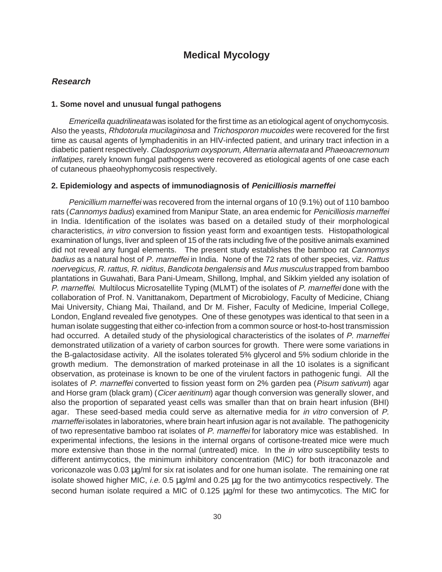# **Medical Mycology**

# **Research**

#### **1. Some novel and unusual fungal pathogens**

Emericella quadrilineata was isolated for the first time as an etiological agent of onychomycosis. Also the yeasts, Rhdotorula mucilaginosa and Trichosporon mucoides were recovered for the first time as causal agents of lymphadenitis in an HIV-infected patient, and urinary tract infection in a diabetic patient respectively. Cladosporium oxysporum, Alternaria alternata and Phaeoacremonum inflatipes, rarely known fungal pathogens were recovered as etiological agents of one case each of cutaneous phaeohyphomycosis respectively.

#### **2. Epidemiology and aspects of immunodiagnosis of Penicilliosis marneffei**

Penicillium marneffei was recovered from the internal organs of 10 (9.1%) out of 110 bamboo rats (Cannomys badius) examined from Manipur State, an area endemic for Penicilliosis marneffei in India. Identification of the isolates was based on a detailed study of their morphological characteristics, in vitro conversion to fission yeast form and exoantigen tests. Histopathological examination of lungs, liver and spleen of 15 of the rats including five of the positive animals examined did not reveal any fungal elements. The present study establishes the bamboo rat Cannomys badius as a natural host of P. marneffei in India. None of the 72 rats of other species, viz. Rattus noervegicus, R. rattus, R. niditus, Bandicota bengalensis and Mus musculus trapped from bamboo plantations in Guwahati, Bara Pani-Umeam, Shillong, Imphal, and Sikkim yielded any isolation of P. marneffei. Multilocus Microsatellite Typing (MLMT) of the isolates of P. marneffei done with the collaboration of Prof. N. Vanittanakom, Department of Microbiology, Faculty of Medicine, Chiang Mai University, Chiang Mai, Thailand, and Dr M. Fisher, Faculty of Medicine, Imperial College, London, England revealed five genotypes. One of these genotypes was identical to that seen in a human isolate suggesting that either co-infection from a common source or host-to-host transmission had occurred. A detailed study of the physiological characteristics of the isolates of P. marneffei demonstrated utilization of a variety of carbon sources for growth. There were some variations in the B-galactosidase activity. All the isolates tolerated 5% glycerol and 5% sodium chloride in the growth medium. The demonstration of marked proteinase in all the 10 isolates is a significant observation, as proteinase is known to be one of the virulent factors in pathogenic fungi. All the isolates of P. marneffei converted to fission yeast form on 2% garden pea (Pisum sativum) agar and Horse gram (black gram) (Cicer aeritinum) agar though conversion was generally slower, and also the proportion of separated yeast cells was smaller than that on brain heart infusion (BHI) agar. These seed-based media could serve as alternative media for *in vitro* conversion of P. marneffei isolates in laboratories, where brain heart infusion agar is not available. The pathogenicity of two representative bamboo rat isolates of P. marneffei for laboratory mice was established. In experimental infections, the lesions in the internal organs of cortisone-treated mice were much more extensive than those in the normal (untreated) mice. In the *in vitro* susceptibility tests to different antimycotics, the minimum inhibitory concentration (MIC) for both itraconazole and voriconazole was 0.03 µg/ml for six rat isolates and for one human isolate. The remaining one rat isolate showed higher MIC, i.e.  $0.5 \mu g/ml$  and  $0.25 \mu g$  for the two antimycotics respectively. The second human isolate required a MIC of 0.125  $\mu$ g/ml for these two antimycotics. The MIC for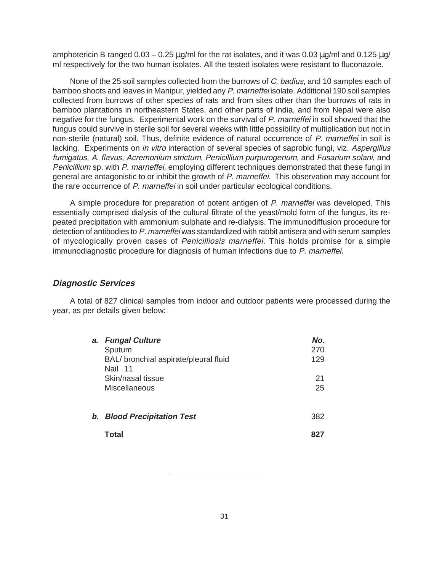amphotericin B ranged  $0.03 - 0.25 \,\mu\text{g/ml}$  for the rat isolates, and it was  $0.03 \,\mu\text{g/ml}$  and  $0.125 \,\mu\text{g/ml}$ ml respectively for the two human isolates. All the tested isolates were resistant to fluconazole.

None of the 25 soil samples collected from the burrows of C. badius, and 10 samples each of bamboo shoots and leaves in Manipur, yielded any P. marneffei isolate. Additional 190 soil samples collected from burrows of other species of rats and from sites other than the burrows of rats in bamboo plantations in northeastern States, and other parts of India, and from Nepal were also negative for the fungus. Experimental work on the survival of P. marneffei in soil showed that the fungus could survive in sterile soil for several weeks with little possibility of multiplication but not in non-sterile (natural) soil. Thus, definite evidence of natural occurrence of P. marneffei in soil is lacking. Experiments on *in vitro* interaction of several species of saprobic fungi, viz. Aspergillus fumigatus, A. flavus, Acremonium strictum, Penicillium purpurogenum, and Fusarium solani, and Penicillium sp. with P. marneffei, employing different techniques demonstrated that these fungi in general are antagonistic to or inhibit the growth of P. marneffei. This observation may account for the rare occurrence of P. marneffei in soil under particular ecological conditions.

A simple procedure for preparation of potent antigen of P. marneffei was developed. This essentially comprised dialysis of the cultural filtrate of the yeast/mold form of the fungus, its repeated precipitation with ammonium sulphate and re-dialysis. The immunodiffusion procedure for detection of antibodies to P. marneffei was standardized with rabbit antisera and with serum samples of mycologically proven cases of Penicilliosis marneffei. This holds promise for a simple immunodiagnostic procedure for diagnosis of human infections due to P. marneffei.

# **Diagnostic Services**

A total of 827 clinical samples from indoor and outdoor patients were processed during the year, as per details given below:

| a. Fungal Culture                     | No. |
|---------------------------------------|-----|
| Sputum                                | 270 |
| BAL/ bronchial aspirate/pleural fluid | 129 |
| Nail 11                               |     |
| Skin/nasal tissue                     | 21  |
| <b>Miscellaneous</b>                  | 25  |
|                                       |     |
| b. Blood Precipitation Test           | 382 |
|                                       |     |
| Total                                 |     |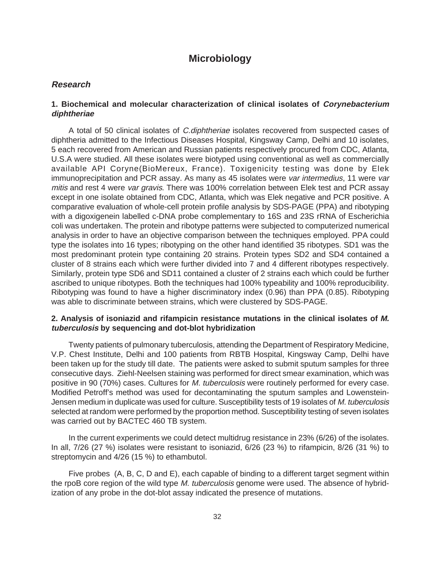# **Microbiology**

# **Research**

# **1. Biochemical and molecular characterization of clinical isolates of Corynebacterium diphtheriae**

A total of 50 clinical isolates of C.diphtheriae isolates recovered from suspected cases of diphtheria admitted to the Infectious Diseases Hospital, Kingsway Camp, Delhi and 10 isolates, 5 each recovered from American and Russian patients respectively procured from CDC, Atlanta, U.S.A were studied. All these isolates were biotyped using conventional as well as commercially available API Coryne(BioMereux, France). Toxigenicity testing was done by Elek immunoprecipitation and PCR assay. As many as 45 isolates were var intermedius, 11 were var mitis and rest 4 were var gravis. There was 100% correlation between Elek test and PCR assay except in one isolate obtained from CDC, Atlanta, which was Elek negative and PCR positive. A comparative evaluation of whole-cell protein profile analysis by SDS-PAGE (PPA) and ribotyping with a digoxigenein labelled c-DNA probe complementary to 16S and 23S rRNA of Escherichia coli was undertaken. The protein and ribotype patterns were subjected to computerized numerical analysis in order to have an objective comparison between the techniques employed. PPA could type the isolates into 16 types; ribotyping on the other hand identified 35 ribotypes. SD1 was the most predominant protein type containing 20 strains. Protein types SD2 and SD4 contained a cluster of 8 strains each which were further divided into 7 and 4 different ribotypes respectively. Similarly, protein type SD6 and SD11 contained a cluster of 2 strains each which could be further ascribed to unique ribotypes. Both the techniques had 100% typeability and 100% reproducibility. Ribotyping was found to have a higher discriminatory index (0.96) than PPA (0.85). Ribotyping was able to discriminate between strains, which were clustered by SDS-PAGE.

# **2. Analysis of isoniazid and rifampicin resistance mutations in the clinical isolates of M. tuberculosis by sequencing and dot-blot hybridization**

Twenty patients of pulmonary tuberculosis, attending the Department of Respiratory Medicine, V.P. Chest Institute, Delhi and 100 patients from RBTB Hospital, Kingsway Camp, Delhi have been taken up for the study till date. The patients were asked to submit sputum samples for three consecutive days. Ziehl-Neelsen staining was performed for direct smear examination, which was positive in 90 (70%) cases. Cultures for M. tuberculosis were routinely performed for every case. Modified Petroff's method was used for decontaminating the sputum samples and Lowenstein-Jensen medium in duplicate was used for culture. Susceptibility tests of 19 isolates of M. tuberculosis selected at random were performed by the proportion method. Susceptibility testing of seven isolates was carried out by BACTEC 460 TB system.

In the current experiments we could detect multidrug resistance in 23% (6/26) of the isolates. In all, 7/26 (27 %) isolates were resistant to isoniazid, 6/26 (23 %) to rifampicin, 8/26 (31 %) to streptomycin and 4/26 (15 %) to ethambutol.

Five probes (A, B, C, D and E), each capable of binding to a different target segment within the rpoB core region of the wild type M. tuberculosis genome were used. The absence of hybridization of any probe in the dot-blot assay indicated the presence of mutations.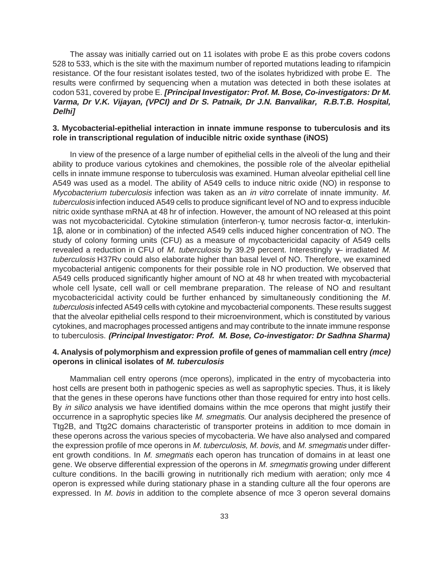The assay was initially carried out on 11 isolates with probe E as this probe covers codons 528 to 533, which is the site with the maximum number of reported mutations leading to rifampicin resistance. Of the four resistant isolates tested, two of the isolates hybridized with probe E. The results were confirmed by sequencing when a mutation was detected in both these isolates at codon 531, covered by probe E. **[Principal Investigator: Prof. M. Bose, Co-investigators: Dr M. Varma, Dr V.K. Vijayan, (VPCI) and Dr S. Patnaik, Dr J.N. Banvalikar, R.B.T.B. Hospital, Delhi]**

# **3. Mycobacterial-epithelial interaction in innate immune response to tuberculosis and its role in transcriptional regulation of inducible nitric oxide synthase (iNOS)**

In view of the presence of a large number of epithelial cells in the alveoli of the lung and their ability to produce various cytokines and chemokines, the possible role of the alveolar epithelial cells in innate immune response to tuberculosis was examined. Human alveolar epithelial cell line A549 was used as a model. The ability of A549 cells to induce nitric oxide (NO) in response to Mycobacterium tuberculosis infection was taken as an in vitro correlate of innate immunity. M. tuberculosis infection induced A549 cells to produce significant level of NO and to express inducible nitric oxide synthase mRNA at 48 hr of infection. However, the amount of NO released at this point was not mycobactericidal. Cytokine stimulation (interferon-γ, tumor necrosis factor-α, interlukin-1β, alone or in combination) of the infected A549 cells induced higher concentration of NO. The study of colony forming units (CFU) as a measure of mycobactericidal capacity of A549 cells revealed a reduction in CFU of M. tuberculosis by 39.29 percent. Interestingly  $\gamma$ - irradiated M. tuberculosis H37Ry could also elaborate higher than basal level of NO. Therefore, we examined mycobacterial antigenic components for their possible role in NO production. We observed that A549 cells produced significantly higher amount of NO at 48 hr when treated with mycobacterial whole cell lysate, cell wall or cell membrane preparation. The release of NO and resultant mycobactericidal activity could be further enhanced by simultaneously conditioning the M. tuberculosis infected A549 cells with cytokine and mycobacterial components. These results suggest that the alveolar epithelial cells respond to their microenvironment, which is constituted by various cytokines, and macrophages processed antigens and may contribute to the innate immune response to tuberculosis. **(Principal Investigator: Prof. M. Bose, Co-investigator: Dr Sadhna Sharma)**

# **4. Analysis of polymorphism and expression profile of genes of mammalian cell entry (mce) operons in clinical isolates of M. tuberculosis**

Mammalian cell entry operons (mce operons), implicated in the entry of mycobacteria into host cells are present both in pathogenic species as well as saprophytic species. Thus, it is likely that the genes in these operons have functions other than those required for entry into host cells. By in silico analysis we have identified domains within the mce operons that might justify their occurrence in a saprophytic species like M. smegmatis. Our analysis deciphered the presence of Ttg2B, and Ttg2C domains characteristic of transporter proteins in addition to mce domain in these operons across the various species of mycobacteria. We have also analysed and compared the expression profile of mce operons in M. tuberculosis, M. bovis, and M. smegmatis under different growth conditions. In M. smegmatis each operon has truncation of domains in at least one gene. We observe differential expression of the operons in M. smegmatis growing under different culture conditions. In the bacilli growing in nutritionally rich medium with aeration; only mce 4 operon is expressed while during stationary phase in a standing culture all the four operons are expressed. In *M. bovis* in addition to the complete absence of mce 3 operon several domains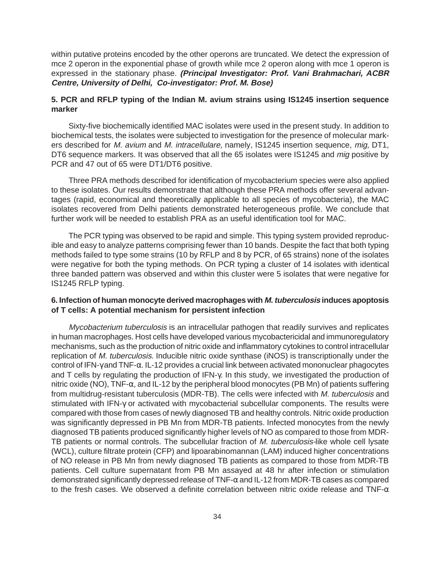within putative proteins encoded by the other operons are truncated. We detect the expression of mce 2 operon in the exponential phase of growth while mce 2 operon along with mce 1 operon is expressed in the stationary phase. **(Principal Investigator: Prof. Vani Brahmachari, ACBR Centre, University of Delhi, Co-investigator: Prof. M. Bose)**

# **5. PCR and RFLP typing of the Indian M. avium strains using IS1245 insertion sequence marker**

Sixty-five biochemically identified MAC isolates were used in the present study. In addition to biochemical tests, the isolates were subjected to investigation for the presence of molecular markers described for M. avium and M. intracellulare, namely, IS1245 insertion sequence, mig, DT1, DT6 sequence markers. It was observed that all the 65 isolates were IS1245 and *mig* positive by PCR and 47 out of 65 were DT1/DT6 positive.

Three PRA methods described for identification of mycobacterium species were also applied to these isolates. Our results demonstrate that although these PRA methods offer several advantages (rapid, economical and theoretically applicable to all species of mycobacteria), the MAC isolates recovered from Delhi patients demonstrated heterogeneous profile. We conclude that further work will be needed to establish PRA as an useful identification tool for MAC.

The PCR typing was observed to be rapid and simple. This typing system provided reproducible and easy to analyze patterns comprising fewer than 10 bands. Despite the fact that both typing methods failed to type some strains (10 by RFLP and 8 by PCR, of 65 strains) none of the isolates were negative for both the typing methods. On PCR typing a cluster of 14 isolates with identical three banded pattern was observed and within this cluster were 5 isolates that were negative for IS1245 RFLP typing.

# **6. Infection of human monocyte derived macrophages with M. tuberculosis induces apoptosis of T cells: A potential mechanism for persistent infection**

Mycobacterium tuberculosis is an intracellular pathogen that readily survives and replicates in human macrophages. Host cells have developed various mycobactericidal and immunoregulatory mechanisms, such as the production of nitric oxide and inflammatory cytokines to control intracellular replication of M. tuberculosis. Inducible nitric oxide synthase (iNOS) is transcriptionally under the control of IFN-γ and TNF-α. IL-12 provides a crucial link between activated mononuclear phagocytes and T cells by regulating the production of IFN-γ. In this study, we investigated the production of nitric oxide (NO), TNF-α, and IL-12 by the peripheral blood monocytes (PB Mn) of patients suffering from multidrug-resistant tuberculosis (MDR-TB). The cells were infected with M. tuberculosis and stimulated with IFN-γ or activated with mycobacterial subcellular components. The results were compared with those from cases of newly diagnosed TB and healthy controls. Nitric oxide production was significantly depressed in PB Mn from MDR-TB patients. Infected monocytes from the newly diagnosed TB patients produced significantly higher levels of NO as compared to those from MDR-TB patients or normal controls. The subcellular fraction of M. tuberculosis-like whole cell lysate (WCL), culture filtrate protein (CFP) and lipoarabinomannan (LAM) induced higher concentrations of NO release in PB Mn from newly diagnosed TB patients as compared to those from MDR-TB patients. Cell culture supernatant from PB Mn assayed at 48 hr after infection or stimulation demonstrated significantly depressed release of TNF-α and IL-12 from MDR-TB cases as compared to the fresh cases. We observed a definite correlation between nitric oxide release and TNF- $\alpha$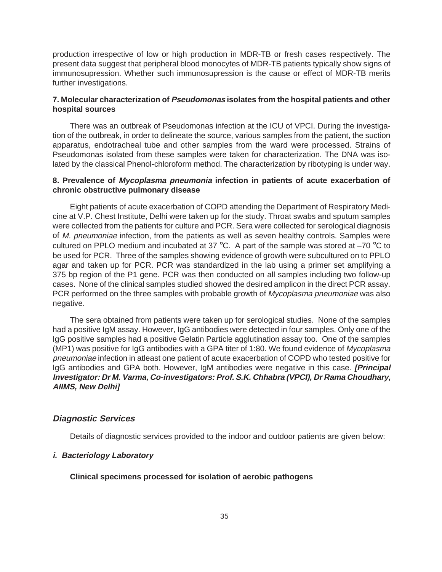production irrespective of low or high production in MDR-TB or fresh cases respectively. The present data suggest that peripheral blood monocytes of MDR-TB patients typically show signs of immunosupression. Whether such immunosupression is the cause or effect of MDR-TB merits further investigations.

# **7. Molecular characterization of Pseudomonas isolates from the hospital patients and other hospital sources**

There was an outbreak of Pseudomonas infection at the ICU of VPCI. During the investigation of the outbreak, in order to delineate the source, various samples from the patient, the suction apparatus, endotracheal tube and other samples from the ward were processed. Strains of Pseudomonas isolated from these samples were taken for characterization. The DNA was isolated by the classical Phenol-chloroform method. The characterization by ribotyping is under way.

# **8. Prevalence of Mycoplasma pneumonia infection in patients of acute exacerbation of chronic obstructive pulmonary disease**

Eight patients of acute exacerbation of COPD attending the Department of Respiratory Medicine at V.P. Chest Institute, Delhi were taken up for the study. Throat swabs and sputum samples were collected from the patients for culture and PCR. Sera were collected for serological diagnosis of M. pneumoniae infection, from the patients as well as seven healthy controls. Samples were cultured on PPLO medium and incubated at 37 °C. A part of the sample was stored at –70 °C to be used for PCR. Three of the samples showing evidence of growth were subcultured on to PPLO agar and taken up for PCR. PCR was standardized in the lab using a primer set amplifying a 375 bp region of the P1 gene. PCR was then conducted on all samples including two follow-up cases. None of the clinical samples studied showed the desired amplicon in the direct PCR assay. PCR performed on the three samples with probable growth of Mycoplasma pneumoniae was also negative.

The sera obtained from patients were taken up for serological studies. None of the samples had a positive IgM assay. However, IgG antibodies were detected in four samples. Only one of the IgG positive samples had a positive Gelatin Particle agglutination assay too. One of the samples (MP1) was positive for IgG antibodies with a GPA titer of 1:80. We found evidence of Mycoplasma pneumoniae infection in atleast one patient of acute exacerbation of COPD who tested positive for IgG antibodies and GPA both. However, IgM antibodies were negative in this case. **[Principal Investigator: Dr M. Varma, Co-investigators: Prof. S.K. Chhabra (VPCI), Dr Rama Choudhary, AIIMS, New Delhi]**

# **Diagnostic Services**

Details of diagnostic services provided to the indoor and outdoor patients are given below:

# **i. Bacteriology Laboratory**

#### **Clinical specimens processed for isolation of aerobic pathogens**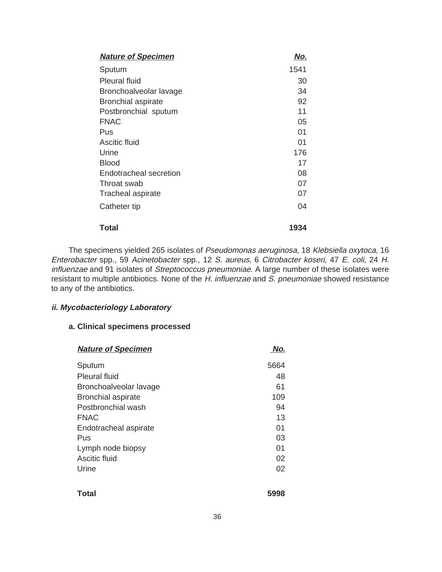| <b>Nature of Specimen</b> | No.  |
|---------------------------|------|
| Sputum                    | 1541 |
| <b>Pleural fluid</b>      | 30   |
| Bronchoalveolar lavage    | 34   |
| <b>Bronchial aspirate</b> | 92   |
| Postbronchial sputum      | 11   |
| <b>FNAC</b>               | 05   |
| Pus                       | 01   |
| Ascitic fluid             | 01   |
| Urine                     | 176  |
| Blood                     | 17   |
| Endotracheal secretion    | 08   |
| Throat swab               | 07   |
| Tracheal aspirate         | 07   |
| Catheter tip              | 04   |
| Total                     | 1934 |

The specimens yielded 265 isolates of Pseudomonas aeruginosa, 18 Klebsiella oxytoca, 16 Enterobacter spp., 59 Acinetobacter spp., 12 S. aureus, 6 Citrobacter koseri, 47 E. coli, 24 H. influenzae and 91 isolates of Streptococcus pneumoniae. A large number of these isolates were resistant to multiple antibiotics. None of the H. influenzae and S. pneumoniae showed resistance to any of the antibiotics.

# **ii. Mycobacteriology Laboratory**

# **a. Clinical specimens processed**

| <b>Nature of Specimen</b> | No.  |
|---------------------------|------|
| Sputum                    | 5664 |
| <b>Pleural fluid</b>      | 48   |
| Bronchoalveolar lavage    | 61   |
| <b>Bronchial aspirate</b> | 109  |
| Postbronchial wash        | 94   |
| <b>FNAC</b>               | 13   |
| Endotracheal aspirate     | 01   |
| Pus                       | 03   |
| Lymph node biopsy         | 01   |
| Ascitic fluid             | 02   |
| Urine                     | 02   |
|                           |      |

| <b>Total</b> | 5998 |
|--------------|------|
|              |      |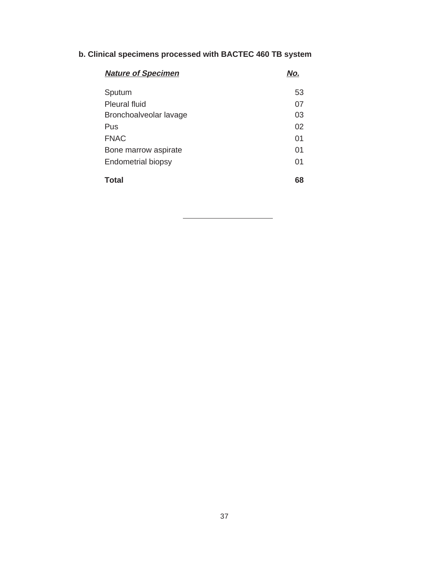## **b. Clinical specimens processed with BACTEC 460 TB system**

| <b>Nature of Specimen</b> | No. |
|---------------------------|-----|
| Sputum                    | 53  |
| <b>Pleural fluid</b>      | 07  |
| Bronchoalveolar lavage    | 03  |
| Pus                       | 02  |
| <b>FNAC</b>               | 01  |
| Bone marrow aspirate      | 01  |
| Endometrial biopsy        | 01  |
| <b>Total</b>              | 68  |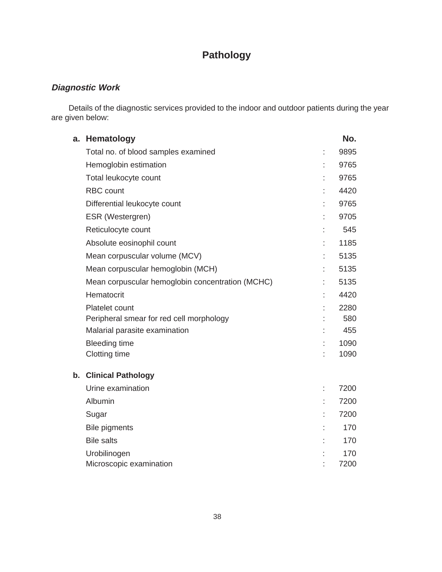## **Pathology**

### **Diagnostic Work**

Details of the diagnostic services provided to the indoor and outdoor patients during the year are given below:

| а. | Hematology                                       | No.  |
|----|--------------------------------------------------|------|
|    | Total no. of blood samples examined              | 9895 |
|    | Hemoglobin estimation                            | 9765 |
|    | Total leukocyte count                            | 9765 |
|    | <b>RBC</b> count                                 | 4420 |
|    | Differential leukocyte count                     | 9765 |
|    | ESR (Westergren)                                 | 9705 |
|    | Reticulocyte count                               | 545  |
|    | Absolute eosinophil count                        | 1185 |
|    | Mean corpuscular volume (MCV)                    | 5135 |
|    | Mean corpuscular hemoglobin (MCH)                | 5135 |
|    | Mean corpuscular hemoglobin concentration (MCHC) | 5135 |
|    | Hematocrit                                       | 4420 |
|    | Platelet count                                   | 2280 |
|    | Peripheral smear for red cell morphology         | 580  |
|    | Malarial parasite examination                    | 455  |
|    | <b>Bleeding time</b>                             | 1090 |
|    | <b>Clotting time</b>                             | 1090 |
| b. | <b>Clinical Pathology</b>                        |      |
|    | Urine examination                                | 7200 |
|    | Albumin                                          | 7200 |
|    | Sugar                                            | 7200 |
|    | <b>Bile pigments</b>                             | 170  |
|    | <b>Bile salts</b>                                | 170  |
|    | Urobilinogen                                     | 170  |
|    | Microscopic examination                          | 7200 |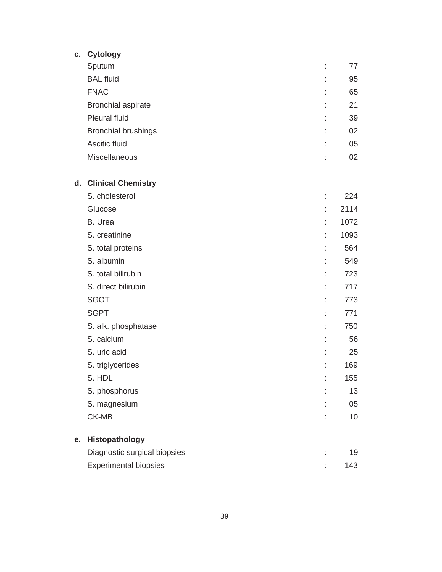| C. | <b>Cytology</b>              |      |
|----|------------------------------|------|
|    | Sputum                       | 77   |
|    | <b>BAL fluid</b>             | 95   |
|    | <b>FNAC</b>                  | 65   |
|    | <b>Bronchial aspirate</b>    | 21   |
|    | <b>Pleural fluid</b>         | 39   |
|    | <b>Bronchial brushings</b>   | 02   |
|    | Ascitic fluid                | 05   |
|    | Miscellaneous                | 02   |
|    | d. Clinical Chemistry        |      |
|    | S. cholesterol               | 224  |
|    | Glucose                      | 2114 |
|    | B. Urea                      | 1072 |
|    | S. creatinine                | 1093 |
|    | S. total proteins            | 564  |
|    | S. albumin                   | 549  |
|    | S. total bilirubin           | 723  |
|    | S. direct bilirubin          | 717  |
|    | <b>SGOT</b>                  | 773  |
|    | <b>SGPT</b>                  | 771  |
|    | S. alk. phosphatase          | 750  |
|    | S. calcium                   | 56   |
|    | S. uric acid                 | 25   |
|    | S. triglycerides             | 169  |
|    | S. HDL                       | 155  |
|    | S. phosphorus                | 13   |
|    | S. magnesium                 | 05   |
|    | CK-MB                        | 10   |
| e. | Histopathology               |      |
|    | Diagnostic surgical biopsies | 19   |
|    | <b>Experimental biopsies</b> | 143  |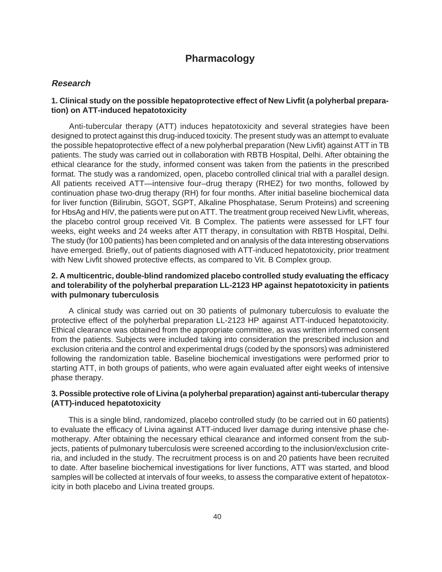### **Pharmacology**

#### **Research**

#### **1. Clinical study on the possible hepatoprotective effect of New Livfit (a polyherbal preparation) on ATT-induced hepatotoxicity**

Anti-tubercular therapy (ATT) induces hepatotoxicity and several strategies have been designed to protect against this drug-induced toxicity. The present study was an attempt to evaluate the possible hepatoprotective effect of a new polyherbal preparation (New Livfit) against ATT in TB patients. The study was carried out in collaboration with RBTB Hospital, Delhi. After obtaining the ethical clearance for the study, informed consent was taken from the patients in the prescribed format. The study was a randomized, open, placebo controlled clinical trial with a parallel design. All patients received ATT—intensive four–drug therapy (RHEZ) for two months, followed by continuation phase two-drug therapy (RH) for four months. After initial baseline biochemical data for liver function (Bilirubin, SGOT, SGPT, Alkaline Phosphatase, Serum Proteins) and screening for HbsAg and HIV, the patients were put on ATT. The treatment group received New Livfit, whereas, the placebo control group received Vit. B Complex. The patients were assessed for LFT four weeks, eight weeks and 24 weeks after ATT therapy, in consultation with RBTB Hospital, Delhi. The study (for 100 patients) has been completed and on analysis of the data interesting observations have emerged. Briefly, out of patients diagnosed with ATT-induced hepatotoxicity, prior treatment with New Livfit showed protective effects, as compared to Vit. B Complex group.

#### **2. A multicentric, double-blind randomized placebo controlled study evaluating the efficacy and tolerability of the polyherbal preparation LL-2123 HP against hepatotoxicity in patients with pulmonary tuberculosis**

A clinical study was carried out on 30 patients of pulmonary tuberculosis to evaluate the protective effect of the polyherbal preparation LL-2123 HP against ATT-induced hepatotoxicity. Ethical clearance was obtained from the appropriate committee, as was written informed consent from the patients. Subjects were included taking into consideration the prescribed inclusion and exclusion criteria and the control and experimental drugs (coded by the sponsors) was administered following the randomization table. Baseline biochemical investigations were performed prior to starting ATT, in both groups of patients, who were again evaluated after eight weeks of intensive phase therapy.

#### **3. Possible protective role of Livina (a polyherbal preparation) against anti-tubercular therapy (ATT)-induced hepatotoxicity**

This is a single blind, randomized, placebo controlled study (to be carried out in 60 patients) to evaluate the efficacy of Livina against ATT-induced liver damage during intensive phase chemotherapy. After obtaining the necessary ethical clearance and informed consent from the subjects, patients of pulmonary tuberculosis were screened according to the inclusion/exclusion criteria, and included in the study. The recruitment process is on and 20 patients have been recruited to date. After baseline biochemical investigations for liver functions, ATT was started, and blood samples will be collected at intervals of four weeks, to assess the comparative extent of hepatotoxicity in both placebo and Livina treated groups.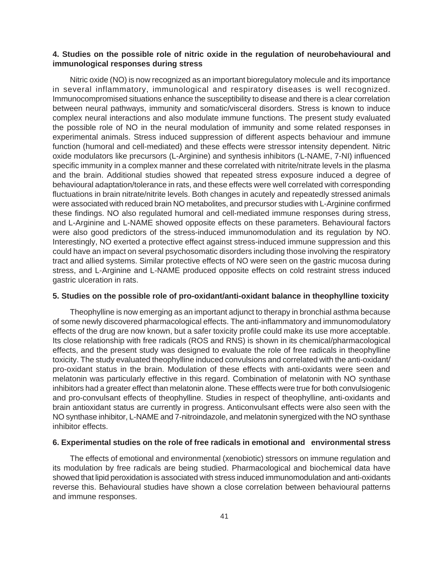#### **4. Studies on the possible role of nitric oxide in the regulation of neurobehavioural and immunological responses during stress**

Nitric oxide (NO) is now recognized as an important bioregulatory molecule and its importance in several inflammatory, immunological and respiratory diseases is well recognized. Immunocompromised situations enhance the susceptibility to disease and there is a clear correlation between neural pathways, immunity and somatic/visceral disorders. Stress is known to induce complex neural interactions and also modulate immune functions. The present study evaluated the possible role of NO in the neural modulation of immunity and some related responses in experimental animals. Stress induced suppression of different aspects behaviour and immune function (humoral and cell-mediated) and these effects were stressor intensity dependent. Nitric oxide modulators like precursors (L-Arginine) and synthesis inhibitors (L-NAME, 7-NI) influenced specific immunity in a complex manner and these correlated with nitrite/nitrate levels in the plasma and the brain. Additional studies showed that repeated stress exposure induced a degree of behavioural adaptation/tolerance in rats, and these effects were well correlated with corresponding fluctuations in brain nitrate/nitrite levels. Both changes in acutely and repeatedly stressed animals were associated with reduced brain NO metabolites, and precursor studies with L-Arginine confirmed these findings. NO also regulated humoral and cell-mediated immune responses during stress, and L-Arginine and L-NAME showed opposite effects on these parameters. Behavioural factors were also good predictors of the stress-induced immunomodulation and its regulation by NO. Interestingly, NO exerted a protective effect against stress-induced immune suppression and this could have an impact on several psychosomatic disorders including those involving the respiratory tract and allied systems. Similar protective effects of NO were seen on the gastric mucosa during stress, and L-Arginine and L-NAME produced opposite effects on cold restraint stress induced gastric ulceration in rats.

#### **5. Studies on the possible role of pro-oxidant/anti-oxidant balance in theophylline toxicity**

Theophylline is now emerging as an important adjunct to therapy in bronchial asthma because of some newly discovered pharmacological effects. The anti-inflammatory and immunomodulatory effects of the drug are now known, but a safer toxicity profile could make its use more acceptable. Its close relationship with free radicals (ROS and RNS) is shown in its chemical/pharmacological effects, and the present study was designed to evaluate the role of free radicals in theophylline toxicity. The study evaluated theophylline induced convulsions and correlated with the anti-oxidant/ pro-oxidant status in the brain. Modulation of these effects with anti-oxidants were seen and melatonin was particularly effective in this regard. Combination of melatonin with NO synthase inhibitors had a greater effect than melatonin alone. These efffects were true for both convulsiogenic and pro-convulsant effects of theophylline. Studies in respect of theophylline, anti-oxidants and brain antioxidant status are currently in progress. Anticonvulsant effects were also seen with the NO synthase inhibitor, L-NAME and 7-nitroindazole, and melatonin synergized with the NO synthase inhibitor effects.

#### **6. Experimental studies on the role of free radicals in emotional and environmental stress**

The effects of emotional and environmental (xenobiotic) stressors on immune regulation and its modulation by free radicals are being studied. Pharmacological and biochemical data have showed that lipid peroxidation is associated with stress induced immunomodulation and anti-oxidants reverse this. Behavioural studies have shown a close correlation between behavioural patterns and immune responses.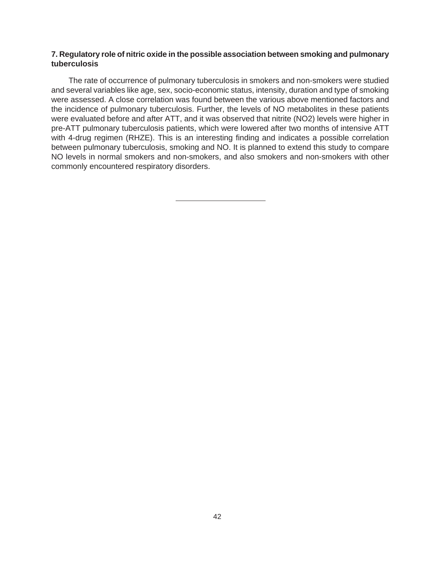#### **7. Regulatory role of nitric oxide in the possible association between smoking and pulmonary tuberculosis**

The rate of occurrence of pulmonary tuberculosis in smokers and non-smokers were studied and several variables like age, sex, socio-economic status, intensity, duration and type of smoking were assessed. A close correlation was found between the various above mentioned factors and the incidence of pulmonary tuberculosis. Further, the levels of NO metabolites in these patients were evaluated before and after ATT, and it was observed that nitrite (NO2) levels were higher in pre-ATT pulmonary tuberculosis patients, which were lowered after two months of intensive ATT with 4-drug regimen (RHZE). This is an interesting finding and indicates a possible correlation between pulmonary tuberculosis, smoking and NO. It is planned to extend this study to compare NO levels in normal smokers and non-smokers, and also smokers and non-smokers with other commonly encountered respiratory disorders.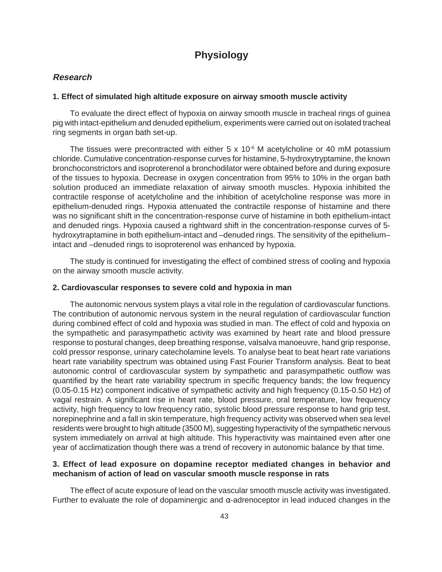### **Physiology**

#### **Research**

#### **1. Effect of simulated high altitude exposure on airway smooth muscle activity**

To evaluate the direct effect of hypoxia on airway smooth muscle in tracheal rings of guinea pig with intact-epithelium and denuded epithelium, experiments were carried out on isolated tracheal ring segments in organ bath set-up.

The tissues were precontracted with either  $5 \times 10^{-6}$  M acetylcholine or 40 mM potassium chloride. Cumulative concentration-response curves for histamine, 5-hydroxytryptamine, the known bronchoconstrictors and isoproterenol a bronchodilator were obtained before and during exposure of the tissues to hypoxia. Decrease in oxygen concentration from 95% to 10% in the organ bath solution produced an immediate relaxation of airway smooth muscles. Hypoxia inhibited the contractile response of acetylcholine and the inhibition of acetylcholine response was more in epithelium-denuded rings. Hypoxia attenuated the contractile response of histamine and there was no significant shift in the concentration-response curve of histamine in both epithelium-intact and denuded rings. Hypoxia caused a rightward shift in the concentration-response curves of 5 hydroxytraptamine in both epithelium-intact and –denuded rings. The sensitivity of the epithelium– intact and –denuded rings to isoproterenol was enhanced by hypoxia.

The study is continued for investigating the effect of combined stress of cooling and hypoxia on the airway smooth muscle activity.

#### **2. Cardiovascular responses to severe cold and hypoxia in man**

The autonomic nervous system plays a vital role in the regulation of cardiovascular functions. The contribution of autonomic nervous system in the neural regulation of cardiovascular function during combined effect of cold and hypoxia was studied in man. The effect of cold and hypoxia on the sympathetic and parasympathetic activity was examined by heart rate and blood pressure response to postural changes, deep breathing response, valsalva manoeuvre, hand grip response, cold pressor response, urinary catecholamine levels. To analyse beat to beat heart rate variations heart rate variability spectrum was obtained using Fast Fourier Transform analysis. Beat to beat autonomic control of cardiovascular system by sympathetic and parasympathetic outflow was quantified by the heart rate variability spectrum in specific frequency bands; the low frequency (0.05-0.15 Hz) component indicative of sympathetic activity and high frequency (0.15-0.50 Hz) of vagal restrain. A significant rise in heart rate, blood pressure, oral temperature, low frequency activity, high frequency to low frequency ratio, systolic blood pressure response to hand grip test, norepinephrine and a fall in skin temperature, high frequency activity was observed when sea level residents were brought to high altitude (3500 M), suggesting hyperactivity of the sympathetic nervous system immediately on arrival at high altitude. This hyperactivity was maintained even after one year of acclimatization though there was a trend of recovery in autonomic balance by that time.

#### **3. Effect of lead exposure on dopamine receptor mediated changes in behavior and mechanism of action of lead on vascular smooth muscle response in rats**

The effect of acute exposure of lead on the vascular smooth muscle activity was investigated. Further to evaluate the role of dopaminergic and  $\alpha$ -adrenoceptor in lead induced changes in the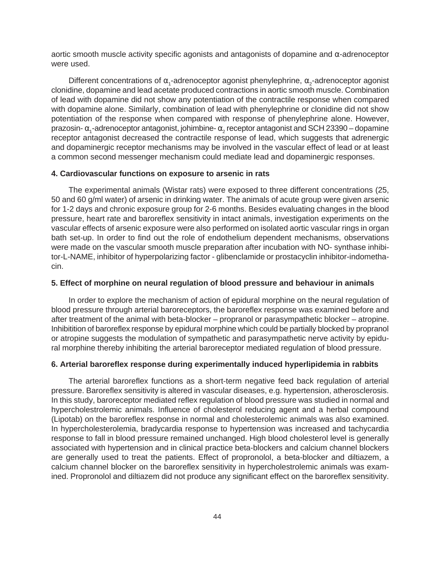aortic smooth muscle activity specific agonists and antagonists of dopamine and  $\alpha$ -adrenoceptor were used.

Different concentrations of  $\alpha_{1}$ -adrenoceptor agonist phenylephrine,  $\alpha_{2}$ -adrenoceptor agonist clonidine, dopamine and lead acetate produced contractions in aortic smooth muscle. Combination of lead with dopamine did not show any potentiation of the contractile response when compared with dopamine alone. Similarly, combination of lead with phenylephrine or clonidine did not show potentiation of the response when compared with response of phenylephrine alone. However, prazosin-  $\alpha_{_1}$ -adrenoceptor antagonist, johimbine-  $\alpha_{_2}$  receptor antagonist and SCH 23390 – dopamine receptor antagonist decreased the contractile response of lead, which suggests that adrenergic and dopaminergic receptor mechanisms may be involved in the vascular effect of lead or at least a common second messenger mechanism could mediate lead and dopaminergic responses.

#### **4. Cardiovascular functions on exposure to arsenic in rats**

The experimental animals (Wistar rats) were exposed to three different concentrations (25, 50 and 60 g/ml water) of arsenic in drinking water. The animals of acute group were given arsenic for 1-2 days and chronic exposure group for 2-6 months. Besides evaluating changes in the blood pressure, heart rate and baroreflex sensitivity in intact animals, investigation experiments on the vascular effects of arsenic exposure were also performed on isolated aortic vascular rings in organ bath set-up. In order to find out the role of endothelium dependent mechanisms, observations were made on the vascular smooth muscle preparation after incubation with NO- synthase inhibitor-L-NAME, inhibitor of hyperpolarizing factor - glibenclamide or prostacyclin inhibitor-indomethacin.

#### **5. Effect of morphine on neural regulation of blood pressure and behaviour in animals**

In order to explore the mechanism of action of epidural morphine on the neural regulation of blood pressure through arterial baroreceptors, the baroreflex response was examined before and after treatment of the animal with beta-blocker – propranol or parasympathetic blocker – atropine. Inhibitition of baroreflex response by epidural morphine which could be partially blocked by propranol or atropine suggests the modulation of sympathetic and parasympathetic nerve activity by epidural morphine thereby inhibiting the arterial baroreceptor mediated regulation of blood pressure.

#### **6. Arterial baroreflex response during experimentally induced hyperlipidemia in rabbits**

The arterial baroreflex functions as a short-term negative feed back regulation of arterial pressure. Baroreflex sensitivity is altered in vascular diseases, e.g. hypertension, atherosclerosis. In this study, baroreceptor mediated reflex regulation of blood pressure was studied in normal and hypercholestrolemic animals. Influence of cholesterol reducing agent and a herbal compound (Lipotab) on the baroreflex response in normal and cholesterolemic animals was also examined. In hypercholesterolemia, bradycardia response to hypertension was increased and tachycardia response to fall in blood pressure remained unchanged. High blood cholesterol level is generally associated with hypertension and in clinical practice beta-blockers and calcium channel blockers are generally used to treat the patients. Effect of propronolol, a beta-blocker and diltiazem, a calcium channel blocker on the baroreflex sensitivity in hypercholestrolemic animals was examined. Propronolol and diltiazem did not produce any significant effect on the baroreflex sensitivity.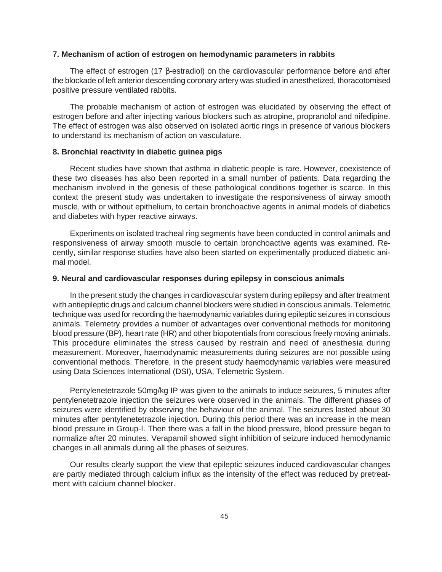#### **7. Mechanism of action of estrogen on hemodynamic parameters in rabbits**

The effect of estrogen (17 β-estradiol) on the cardiovascular performance before and after the blockade of left anterior descending coronary artery was studied in anesthetized, thoracotomised positive pressure ventilated rabbits.

The probable mechanism of action of estrogen was elucidated by observing the effect of estrogen before and after injecting various blockers such as atropine, propranolol and nifedipine. The effect of estrogen was also observed on isolated aortic rings in presence of various blockers to understand its mechanism of action on vasculature.

#### **8. Bronchial reactivity in diabetic guinea pigs**

Recent studies have shown that asthma in diabetic people is rare. However, coexistence of these two diseases has also been reported in a small number of patients. Data regarding the mechanism involved in the genesis of these pathological conditions together is scarce. In this context the present study was undertaken to investigate the responsiveness of airway smooth muscle, with or without epithelium, to certain bronchoactive agents in animal models of diabetics and diabetes with hyper reactive airways.

Experiments on isolated tracheal ring segments have been conducted in control animals and responsiveness of airway smooth muscle to certain bronchoactive agents was examined. Recently, similar response studies have also been started on experimentally produced diabetic animal model.

#### **9. Neural and cardiovascular responses during epilepsy in conscious animals**

In the present study the changes in cardiovascular system during epilepsy and after treatment with antiepileptic drugs and calcium channel blockers were studied in conscious animals. Telemetric technique was used for recording the haemodynamic variables during epileptic seizures in conscious animals. Telemetry provides a number of advantages over conventional methods for monitoring blood pressure (BP), heart rate (HR) and other biopotentials from conscious freely moving animals. This procedure eliminates the stress caused by restrain and need of anesthesia during measurement. Moreover, haemodynamic measurements during seizures are not possible using conventional methods. Therefore, in the present study haemodynamic variables were measured using Data Sciences International (DSI), USA, Telemetric System.

Pentylenetetrazole 50mg/kg IP was given to the animals to induce seizures, 5 minutes after pentylenetetrazole injection the seizures were observed in the animals. The different phases of seizures were identified by observing the behaviour of the animal. The seizures lasted about 30 minutes after pentylenetetrazole injection. During this period there was an increase in the mean blood pressure in Group-I. Then there was a fall in the blood pressure, blood pressure began to normalize after 20 minutes. Verapamil showed slight inhibition of seizure induced hemodynamic changes in all animals during all the phases of seizures.

Our results clearly support the view that epileptic seizures induced cardiovascular changes are partly mediated through calcium influx as the intensity of the effect was reduced by pretreatment with calcium channel blocker.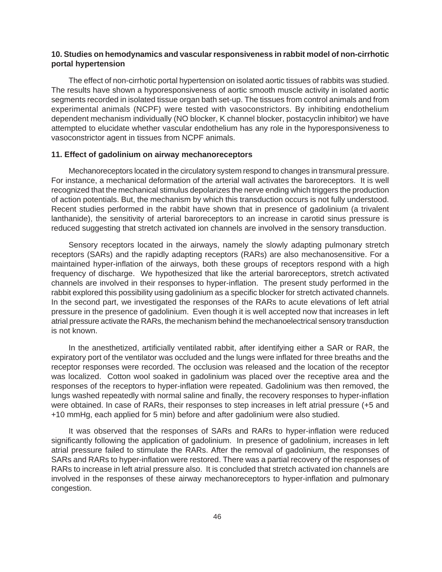#### **10. Studies on hemodynamics and vascular responsiveness in rabbit model of non-cirrhotic portal hypertension**

The effect of non-cirrhotic portal hypertension on isolated aortic tissues of rabbits was studied. The results have shown a hyporesponsiveness of aortic smooth muscle activity in isolated aortic segments recorded in isolated tissue organ bath set-up. The tissues from control animals and from experimental animals (NCPF) were tested with vasoconstrictors. By inhibiting endothelium dependent mechanism individually (NO blocker, K channel blocker, postacyclin inhibitor) we have attempted to elucidate whether vascular endothelium has any role in the hyporesponsiveness to vasoconstrictor agent in tissues from NCPF animals.

#### **11. Effect of gadolinium on airway mechanoreceptors**

Mechanoreceptors located in the circulatory system respond to changes in transmural pressure. For instance, a mechanical deformation of the arterial wall activates the baroreceptors. It is well recognized that the mechanical stimulus depolarizes the nerve ending which triggers the production of action potentials. But, the mechanism by which this transduction occurs is not fully understood. Recent studies performed in the rabbit have shown that in presence of gadolinium (a trivalent lanthanide), the sensitivity of arterial baroreceptors to an increase in carotid sinus pressure is reduced suggesting that stretch activated ion channels are involved in the sensory transduction.

Sensory receptors located in the airways, namely the slowly adapting pulmonary stretch receptors (SARs) and the rapidly adapting receptors (RARs) are also mechanosensitive. For a maintained hyper-inflation of the airways, both these groups of receptors respond with a high frequency of discharge. We hypothesized that like the arterial baroreceptors, stretch activated channels are involved in their responses to hyper-inflation. The present study performed in the rabbit explored this possibility using gadolinium as a specific blocker for stretch activated channels. In the second part, we investigated the responses of the RARs to acute elevations of left atrial pressure in the presence of gadolinium. Even though it is well accepted now that increases in left atrial pressure activate the RARs, the mechanism behind the mechanoelectrical sensory transduction is not known.

In the anesthetized, artificially ventilated rabbit, after identifying either a SAR or RAR, the expiratory port of the ventilator was occluded and the lungs were inflated for three breaths and the receptor responses were recorded. The occlusion was released and the location of the receptor was localized. Cotton wool soaked in gadolinium was placed over the receptive area and the responses of the receptors to hyper-inflation were repeated. Gadolinium was then removed, the lungs washed repeatedly with normal saline and finally, the recovery responses to hyper-inflation were obtained. In case of RARs, their responses to step increases in left atrial pressure (+5 and +10 mmHg, each applied for 5 min) before and after gadolinium were also studied.

It was observed that the responses of SARs and RARs to hyper-inflation were reduced significantly following the application of gadolinium. In presence of gadolinium, increases in left atrial pressure failed to stimulate the RARs. After the removal of gadolinium, the responses of SARs and RARs to hyper-inflation were restored. There was a partial recovery of the responses of RARs to increase in left atrial pressure also. It is concluded that stretch activated ion channels are involved in the responses of these airway mechanoreceptors to hyper-inflation and pulmonary congestion.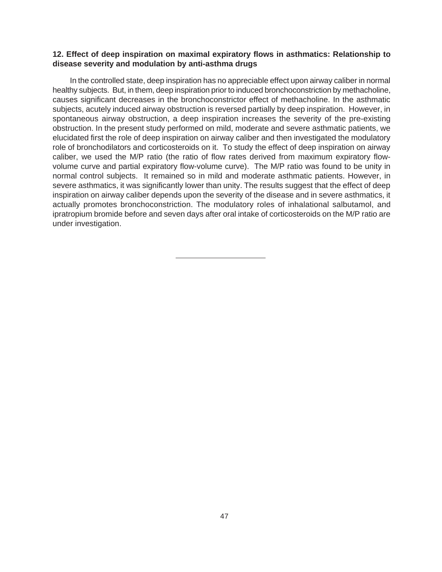#### **12. Effect of deep inspiration on maximal expiratory flows in asthmatics: Relationship to disease severity and modulation by anti-asthma drugs**

In the controlled state, deep inspiration has no appreciable effect upon airway caliber in normal healthy subjects. But, in them, deep inspiration prior to induced bronchoconstriction by methacholine, causes significant decreases in the bronchoconstrictor effect of methacholine. In the asthmatic subjects, acutely induced airway obstruction is reversed partially by deep inspiration. However, in spontaneous airway obstruction, a deep inspiration increases the severity of the pre-existing obstruction. In the present study performed on mild, moderate and severe asthmatic patients, we elucidated first the role of deep inspiration on airway caliber and then investigated the modulatory role of bronchodilators and corticosteroids on it. To study the effect of deep inspiration on airway caliber, we used the M/P ratio (the ratio of flow rates derived from maximum expiratory flowvolume curve and partial expiratory flow-volume curve). The M/P ratio was found to be unity in normal control subjects. It remained so in mild and moderate asthmatic patients. However, in severe asthmatics, it was significantly lower than unity. The results suggest that the effect of deep inspiration on airway caliber depends upon the severity of the disease and in severe asthmatics, it actually promotes bronchoconstriction. The modulatory roles of inhalational salbutamol, and ipratropium bromide before and seven days after oral intake of corticosteroids on the M/P ratio are under investigation.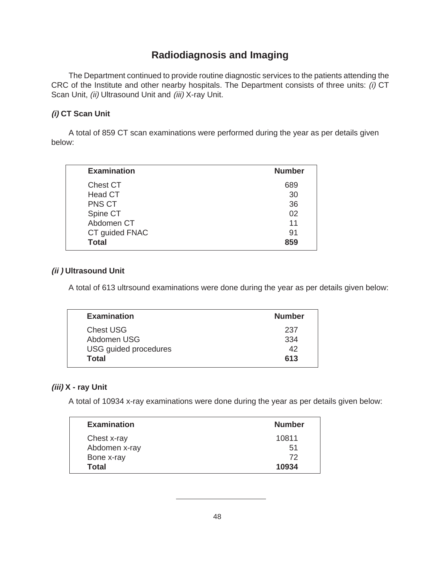### **Radiodiagnosis and Imaging**

The Department continued to provide routine diagnostic services to the patients attending the CRC of the Institute and other nearby hospitals. The Department consists of three units: (i) CT Scan Unit, (ii) Ultrasound Unit and (iii) X-ray Unit.

#### **(i) CT Scan Unit**

A total of 859 CT scan examinations were performed during the year as per details given below:

| <b>Examination</b> |                | <b>Number</b> |
|--------------------|----------------|---------------|
| Chest CT           |                | 689           |
| Head CT            |                | 30            |
| PNS CT             |                | 36            |
| Spine CT           |                | 02            |
| Abdomen CT         |                | 11            |
|                    | CT guided FNAC | 91            |
| <b>Total</b>       |                | 859           |
|                    |                |               |

#### **(ii ) Ultrasound Unit**

A total of 613 ultrsound examinations were done during the year as per details given below:

|       | <b>Examination</b>           | <b>Number</b> |
|-------|------------------------------|---------------|
|       | <b>Chest USG</b>             | 237           |
|       | Abdomen USG                  | 334           |
|       | <b>USG</b> guided procedures | 42            |
| Total |                              | 613           |
|       |                              |               |

#### **(iii) X - ray Unit**

A total of 10934 x-ray examinations were done during the year as per details given below:

| <b>Examination</b> | <b>Number</b> |
|--------------------|---------------|
| Chest x-ray        | 10811         |
| Abdomen x-ray      | .51           |
| Bone x-ray         | 72            |
| Total              | 10934         |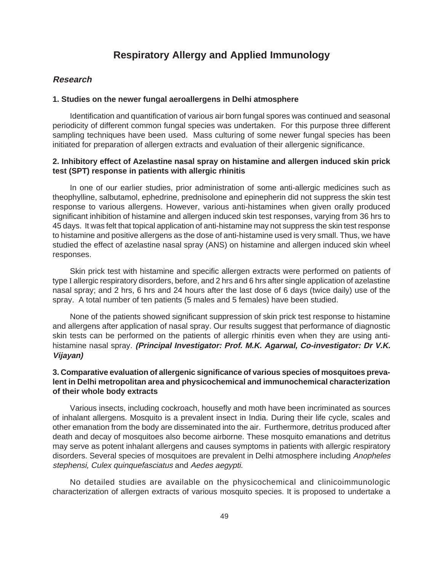### **Respiratory Allergy and Applied Immunology**

#### **Research**

#### **1. Studies on the newer fungal aeroallergens in Delhi atmosphere**

Identification and quantification of various air born fungal spores was continued and seasonal periodicity of different common fungal species was undertaken. For this purpose three different sampling techniques have been used. Mass culturing of some newer fungal species has been initiated for preparation of allergen extracts and evaluation of their allergenic significance.

#### **2. Inhibitory effect of Azelastine nasal spray on histamine and allergen induced skin prick test (SPT) response in patients with allergic rhinitis**

In one of our earlier studies, prior administration of some anti-allergic medicines such as theophylline, salbutamol, ephedrine, prednisolone and epinepherin did not suppress the skin test response to various allergens. However, various anti-histamines when given orally produced significant inhibition of histamine and allergen induced skin test responses, varying from 36 hrs to 45 days. It was felt that topical application of anti-histamine may not suppress the skin test response to histamine and positive allergens as the dose of anti-histamine used is very small. Thus, we have studied the effect of azelastine nasal spray (ANS) on histamine and allergen induced skin wheel responses.

Skin prick test with histamine and specific allergen extracts were performed on patients of type I allergic respiratory disorders, before, and 2 hrs and 6 hrs after single application of azelastine nasal spray; and 2 hrs, 6 hrs and 24 hours after the last dose of 6 days (twice daily) use of the spray. A total number of ten patients (5 males and 5 females) have been studied.

None of the patients showed significant suppression of skin prick test response to histamine and allergens after application of nasal spray. Our results suggest that performance of diagnostic skin tests can be performed on the patients of allergic rhinitis even when they are using antihistamine nasal spray. **(Principal Investigator: Prof. M.K. Agarwal, Co-investigator: Dr V.K. Vijayan)**

#### **3. Comparative evaluation of allergenic significance of various species of mosquitoes prevalent in Delhi metropolitan area and physicochemical and immunochemical characterization of their whole body extracts**

Various insects, including cockroach, housefly and moth have been incriminated as sources of inhalant allergens. Mosquito is a prevalent insect in India. During their life cycle, scales and other emanation from the body are disseminated into the air. Furthermore, detritus produced after death and decay of mosquitoes also become airborne. These mosquito emanations and detritus may serve as potent inhalant allergens and causes symptoms in patients with allergic respiratory disorders. Several species of mosquitoes are prevalent in Delhi atmosphere including Anopheles stephensi, Culex quinquefasciatus and Aedes aegypti.

No detailed studies are available on the physicochemical and clinicoimmunologic characterization of allergen extracts of various mosquito species. It is proposed to undertake a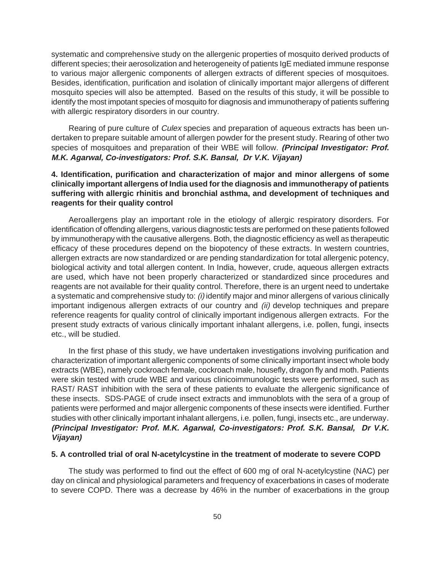systematic and comprehensive study on the allergenic properties of mosquito derived products of different species; their aerosolization and heterogeneity of patients IgE mediated immune response to various major allergenic components of allergen extracts of different species of mosquitoes. Besides, identification, purification and isolation of clinically important major allergens of different mosquito species will also be attempted. Based on the results of this study, it will be possible to identify the most impotant species of mosquito for diagnosis and immunotherapy of patients suffering with allergic respiratory disorders in our country.

Rearing of pure culture of *Culex* species and preparation of aqueous extracts has been undertaken to prepare suitable amount of allergen powder for the present study. Rearing of other two species of mosquitoes and preparation of their WBE will follow. **(Principal Investigator: Prof. M.K. Agarwal, Co-investigators: Prof. S.K. Bansal, Dr V.K. Vijayan)**

#### **4. Identification, purification and characterization of major and minor allergens of some clinically important allergens of India used for the diagnosis and immunotherapy of patients suffering with allergic rhinitis and bronchial asthma, and development of techniques and reagents for their quality control**

Aeroallergens play an important role in the etiology of allergic respiratory disorders. For identification of offending allergens, various diagnostic tests are performed on these patients followed by immunotherapy with the causative allergens. Both, the diagnostic efficiency as well as therapeutic efficacy of these procedures depend on the biopotency of these extracts. In western countries, allergen extracts are now standardized or are pending standardization for total allergenic potency, biological activity and total allergen content. In India, however, crude, aqueous allergen extracts are used, which have not been properly characterized or standardized since procedures and reagents are not available for their quality control. Therefore, there is an urgent need to undertake a systematic and comprehensive study to: (i) identify major and minor allergens of various clinically important indigenous allergen extracts of our country and (ii) develop techniques and prepare reference reagents for quality control of clinically important indigenous allergen extracts. For the present study extracts of various clinically important inhalant allergens, i.e. pollen, fungi, insects etc., will be studied.

In the first phase of this study, we have undertaken investigations involving purification and characterization of important allergenic components of some clinically important insect whole body extracts (WBE), namely cockroach female, cockroach male, housefly, dragon fly and moth. Patients were skin tested with crude WBE and various clinicoimmunologic tests were performed, such as RAST/ RAST inhibition with the sera of these patients to evaluate the allergenic significance of these insects. SDS-PAGE of crude insect extracts and immunoblots with the sera of a group of patients were performed and major allergenic components of these insects were identified. Further studies with other clinically important inhalant allergens, i.e. pollen, fungi, insects etc., are underway. **(Principal Investigator: Prof. M.K. Agarwal, Co-investigators: Prof. S.K. Bansal, Dr V.K. Vijayan)**

#### **5. A controlled trial of oral N-acetylcystine in the treatment of moderate to severe COPD**

The study was performed to find out the effect of 600 mg of oral N-acetylcystine (NAC) per day on clinical and physiological parameters and frequency of exacerbations in cases of moderate to severe COPD. There was a decrease by 46% in the number of exacerbations in the group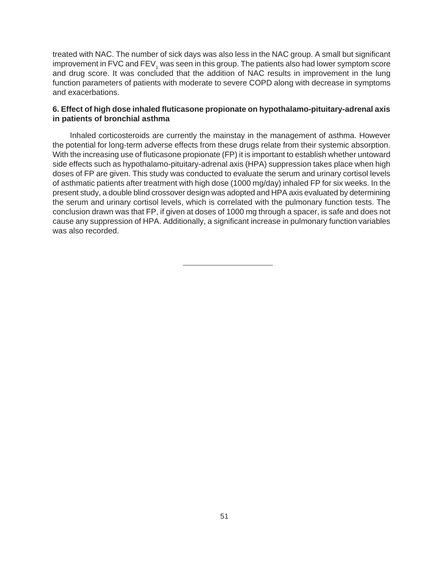treated with NAC. The number of sick days was also less in the NAC group. A small but significant improvement in FVC and FEV<sub>1</sub> was seen in this group. The patients also had lower symptom score and drug score. It was concluded that the addition of NAC results in improvement in the lung function parameters of patients with moderate to severe COPD along with decrease in symptoms and exacerbations.

#### **6. Effect of high dose inhaled fluticasone propionate on hypothalamo-pituitary-adrenal axis in patients of bronchial asthma**

Inhaled corticosteroids are currently the mainstay in the management of asthma. However the potential for long-term adverse effects from these drugs relate from their systemic absorption. With the increasing use of fluticasone propionate (FP) it is important to establish whether untoward side effects such as hypothalamo-pituitary-adrenal axis (HPA) suppression takes place when high doses of FP are given. This study was conducted to evaluate the serum and urinary cortisol levels of asthmatic patients after treatment with high dose (1000 mg/day) inhaled FP for six weeks. In the present study, a double blind crossover design was adopted and HPA axis evaluated by determining the serum and urinary cortisol levels, which is correlated with the pulmonary function tests. The conclusion drawn was that FP, if given at doses of 1000 mg through a spacer, is safe and does not cause any suppression of HPA. Additionally, a significant increase in pulmonary function variables was also recorded.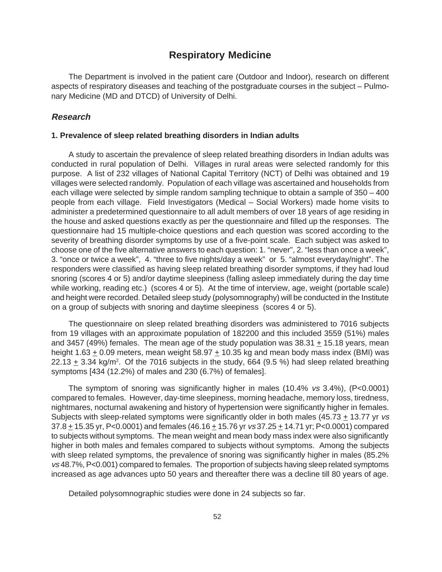### **Respiratory Medicine**

The Department is involved in the patient care (Outdoor and Indoor), research on different aspects of respiratory diseases and teaching of the postgraduate courses in the subject – Pulmonary Medicine (MD and DTCD) of University of Delhi.

#### **Research**

#### **1. Prevalence of sleep related breathing disorders in Indian adults**

A study to ascertain the prevalence of sleep related breathing disorders in Indian adults was conducted in rural population of Delhi. Villages in rural areas were selected randomly for this purpose. A list of 232 villages of National Capital Territory (NCT) of Delhi was obtained and 19 villages were selected randomly. Population of each village was ascertained and households from each village were selected by simple random sampling technique to obtain a sample of 350 – 400 people from each village. Field Investigators (Medical – Social Workers) made home visits to administer a predetermined questionnaire to all adult members of over 18 years of age residing in the house and asked questions exactly as per the questionnaire and filled up the responses. The questionnaire had 15 multiple-choice questions and each question was scored according to the severity of breathing disorder symptoms by use of a five-point scale. Each subject was asked to choose one of the five alternative answers to each question: 1. "never", 2. "less than once a week", 3. "once or twice a week", 4. "three to five nights/day a week" or 5. "almost everyday/night". The responders were classified as having sleep related breathing disorder symptoms, if they had loud snoring (scores 4 or 5) and/or daytime sleepiness (falling asleep immediately during the day time while working, reading etc.) (scores 4 or 5). At the time of interview, age, weight (portable scale) and height were recorded. Detailed sleep study (polysomnography) will be conducted in the Institute on a group of subjects with snoring and daytime sleepiness (scores 4 or 5).

The questionnaire on sleep related breathing disorders was administered to 7016 subjects from 19 villages with an approximate population of 182200 and this included 3559 (51%) males and 3457 (49%) females. The mean age of the study population was 38.31 + 15.18 years, mean height  $1.63 + 0.09$  meters, mean weight  $58.97 + 10.35$  kg and mean body mass index (BMI) was 22.13  $\pm$  3.34 kg/m<sup>2</sup>. Of the 7016 subjects in the study, 664 (9.5 %) had sleep related breathing symptoms [434 (12.2%) of males and 230 (6.7%) of females].

The symptom of snoring was significantly higher in males (10.4% vs 3.4%), (P<0.0001) compared to females. However, day-time sleepiness, morning headache, memory loss, tiredness, nightmares, nocturnal awakening and history of hypertension were significantly higher in females. Subjects with sleep-related symptoms were significantly older in both males (45.73  $\pm$  13.77 yr vs 37.8 + 15.35 yr, P<0.0001) and females (46.16 + 15.76 yr vs 37.25 + 14.71 yr; P<0.0001) compared to subjects without symptoms. The mean weight and mean body mass index were also significantly higher in both males and females compared to subjects without symptoms. Among the subjects with sleep related symptoms, the prevalence of snoring was significantly higher in males (85.2% vs 48.7%, P<0.001) compared to females. The proportion of subjects having sleep related symptoms increased as age advances upto 50 years and thereafter there was a decline till 80 years of age.

Detailed polysomnographic studies were done in 24 subjects so far.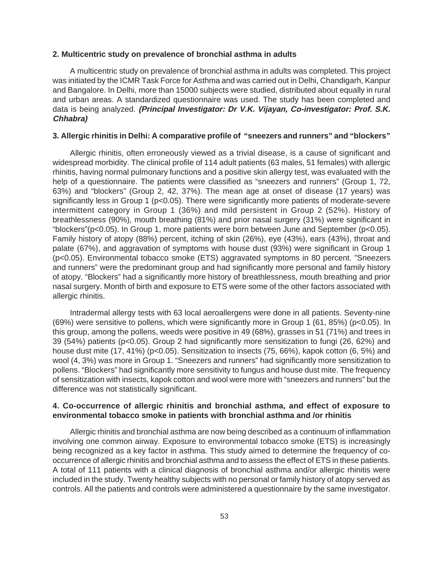#### **2. Multicentric study on prevalence of bronchial asthma in adults**

A multicentric study on prevalence of bronchial asthma in adults was completed. This project was initiated by the ICMR Task Force for Asthma and was carried out in Delhi, Chandigarh, Kanpur and Bangalore. In Delhi, more than 15000 subjects were studied, distributed about equally in rural and urban areas. A standardized questionnaire was used. The study has been completed and data is being analyzed. **(Principal Investigator: Dr V.K. Vijayan, Co-investigator: Prof. S.K. Chhabra)**

#### **3. Allergic rhinitis in Delhi: A comparative profile of "sneezers and runners" and "blockers"**

Allergic rhinitis, often erroneously viewed as a trivial disease, is a cause of significant and widespread morbidity. The clinical profile of 114 adult patients (63 males, 51 females) with allergic rhinitis, having normal pulmonary functions and a positive skin allergy test, was evaluated with the help of a questionnaire. The patients were classified as "sneezers and runners" (Group 1, 72, 63%) and "blockers" (Group 2, 42, 37%). The mean age at onset of disease (17 years) was significantly less in Group 1 (p<0.05). There were significantly more patients of moderate-severe intermittent category in Group 1 (36%) and mild persistent in Group 2 (52%). History of breathlessness (90%), mouth breathing (81%) and prior nasal surgery (31%) were significant in "blockers"(p<0.05). In Group 1, more patients were born between June and September (p<0.05). Family history of atopy (88%) percent, itching of skin (26%), eye (43%), ears (43%), throat and palate (67%), and aggravation of symptoms with house dust (93%) were significant in Group 1 (p<0.05). Environmental tobacco smoke (ETS) aggravated symptoms in 80 percent. "Sneezers and runners" were the predominant group and had significantly more personal and family history of atopy. "Blockers" had a significantly more history of breathlessness, mouth breathing and prior nasal surgery. Month of birth and exposure to ETS were some of the other factors associated with allergic rhinitis.

Intradermal allergy tests with 63 local aeroallergens were done in all patients. Seventy-nine (69%) were sensitive to pollens, which were significantly more in Group 1 (61, 85%) (p<0.05). In this group, among the pollens, weeds were positive in 49 (68%), grasses in 51 (71%) and trees in 39 (54%) patients (p<0.05). Group 2 had significantly more sensitization to fungi (26, 62%) and house dust mite (17, 41%) (p<0.05). Sensitization to insects (75, 66%), kapok cotton (6, 5%) and wool (4, 3%) was more in Group 1. "Sneezers and runners" had significantly more sensitization to pollens. "Blockers" had significantly more sensitivity to fungus and house dust mite. The frequency of sensitization with insects, kapok cotton and wool were more with "sneezers and runners" but the difference was not statistically significant.

#### **4. Co-occurrence of allergic rhinitis and bronchial asthma, and effect of exposure to environmental tobacco smoke in patients with bronchial asthma and /or rhinitis**

Allergic rhinitis and bronchial asthma are now being described as a continuum of inflammation involving one common airway. Exposure to environmental tobacco smoke (ETS) is increasingly being recognized as a key factor in asthma. This study aimed to determine the frequency of cooccurrence of allergic rhinitis and bronchial asthma and to assess the effect of ETS in these patients. A total of 111 patients with a clinical diagnosis of bronchial asthma and/or allergic rhinitis were included in the study. Twenty healthy subjects with no personal or family history of atopy served as controls. All the patients and controls were administered a questionnaire by the same investigator.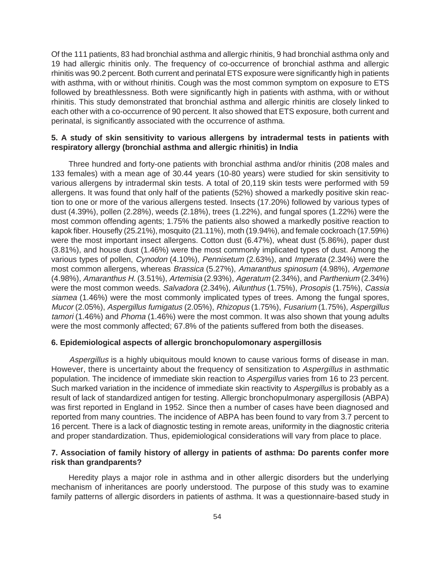Of the 111 patients, 83 had bronchial asthma and allergic rhinitis, 9 had bronchial asthma only and 19 had allergic rhinitis only. The frequency of co-occurrence of bronchial asthma and allergic rhinitis was 90.2 percent. Both current and perinatal ETS exposure were significantly high in patients with asthma, with or without rhinitis. Cough was the most common symptom on exposure to ETS followed by breathlessness. Both were significantly high in patients with asthma, with or without rhinitis. This study demonstrated that bronchial asthma and allergic rhinitis are closely linked to each other with a co-occurrence of 90 percent. It also showed that ETS exposure, both current and perinatal, is significantly associated with the occurrence of asthma.

#### **5. A study of skin sensitivity to various allergens by intradermal tests in patients with respiratory allergy (bronchial asthma and allergic rhinitis) in India**

Three hundred and forty-one patients with bronchial asthma and/or rhinitis (208 males and 133 females) with a mean age of 30.44 years (10-80 years) were studied for skin sensitivity to various allergens by intradermal skin tests. A total of 20,119 skin tests were performed with 59 allergens. It was found that only half of the patients (52%) showed a markedly positive skin reaction to one or more of the various allergens tested. Insects (17.20%) followed by various types of dust (4.39%), pollen (2.28%), weeds (2.18%), trees (1.22%), and fungal spores (1.22%) were the most common offending agents; 1.75% the patients also showed a markedly positive reaction to kapok fiber. Housefly (25.21%), mosquito (21.11%), moth (19.94%), and female cockroach (17.59%) were the most important insect allergens. Cotton dust (6.47%), wheat dust (5.86%), paper dust (3.81%), and house dust (1.46%) were the most commonly implicated types of dust. Among the various types of pollen, Cynodon (4.10%), Pennisetum (2.63%), and Imperata (2.34%) were the most common allergens, whereas Brassica (5.27%), Amaranthus spinosum (4.98%), Argemone (4.98%), Amaranthus H. (3.51%), Artemisia (2.93%), Ageratum (2.34%), and Parthenium (2.34%) were the most common weeds. Salvadora (2.34%), Ailunthus (1.75%), Prosopis (1.75%), Cassia siamea (1.46%) were the most commonly implicated types of trees. Among the fungal spores, Mucor (2.05%), Aspergillus fumigatus (2.05%), Rhizopus (1.75%), Fusarium (1.75%), Aspergillus tamori (1.46%) and Phoma (1.46%) were the most common. It was also shown that young adults were the most commonly affected; 67.8% of the patients suffered from both the diseases.

#### **6. Epidemiological aspects of allergic bronchopulomonary aspergillosis**

Aspergillus is a highly ubiquitous mould known to cause various forms of disease in man. However, there is uncertainty about the frequency of sensitization to Aspergillus in asthmatic population. The incidence of immediate skin reaction to Aspergillus varies from 16 to 23 percent. Such marked variation in the incidence of immediate skin reactivity to Aspergillus is probably as a result of lack of standardized antigen for testing. Allergic bronchopulmonary aspergillosis (ABPA) was first reported in England in 1952. Since then a number of cases have been diagnosed and reported from many countries. The incidence of ABPA has been found to vary from 3.7 percent to 16 percent. There is a lack of diagnostic testing in remote areas, uniformity in the diagnostic criteria and proper standardization. Thus, epidemiological considerations will vary from place to place.

#### **7. Association of family history of allergy in patients of asthma: Do parents confer more risk than grandparents?**

Heredity plays a major role in asthma and in other allergic disorders but the underlying mechanism of inheritances are poorly understood. The purpose of this study was to examine family patterns of allergic disorders in patients of asthma. It was a questionnaire-based study in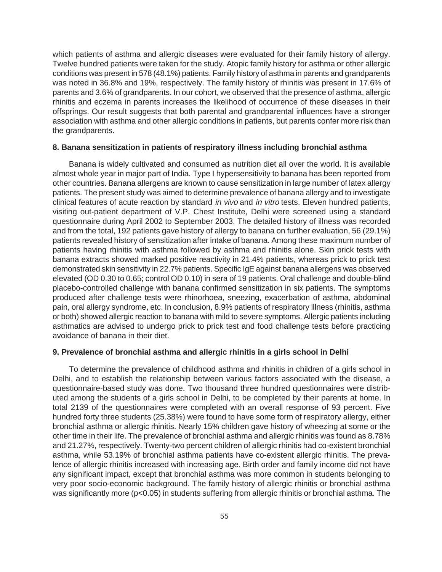which patients of asthma and allergic diseases were evaluated for their family history of allergy. Twelve hundred patients were taken for the study. Atopic family history for asthma or other allergic conditions was present in 578 (48.1%) patients. Family history of asthma in parents and grandparents was noted in 36.8% and 19%, respectively. The family history of rhinitis was present in 17.6% of parents and 3.6% of grandparents. In our cohort, we observed that the presence of asthma, allergic rhinitis and eczema in parents increases the likelihood of occurrence of these diseases in their offsprings. Our result suggests that both parental and grandparental influences have a stronger association with asthma and other allergic conditions in patients, but parents confer more risk than the grandparents.

#### **8. Banana sensitization in patients of respiratory illness including bronchial asthma**

Banana is widely cultivated and consumed as nutrition diet all over the world. It is available almost whole year in major part of India. Type I hypersensitivity to banana has been reported from other countries. Banana allergens are known to cause sensitization in large number of latex allergy patients. The present study was aimed to determine prevalence of banana allergy and to investigate clinical features of acute reaction by standard in vivo and in vitro tests. Eleven hundred patients, visiting out-patient department of V.P. Chest Institute, Delhi were screened using a standard questionnaire during April 2002 to September 2003. The detailed history of illness was recorded and from the total, 192 patients gave history of allergy to banana on further evaluation, 56 (29.1%) patients revealed history of sensitization after intake of banana. Among these maximum number of patients having rhinitis with asthma followed by asthma and rhinitis alone. Skin prick tests with banana extracts showed marked positive reactivity in 21.4% patients, whereas prick to prick test demonstrated skin sensitivity in 22.7% patients. Specific IgE against banana allergens was observed elevated (OD 0.30 to 0.65; control OD 0.10) in sera of 19 patients. Oral challenge and double-blind placebo-controlled challenge with banana confirmed sensitization in six patients. The symptoms produced after challenge tests were rhinorhoea, sneezing, exacerbation of asthma, abdominal pain, oral allergy syndrome, etc. In conclusion, 8.9% patients of respiratory illness (rhinitis, asthma or both) showed allergic reaction to banana with mild to severe symptoms. Allergic patients including asthmatics are advised to undergo prick to prick test and food challenge tests before practicing avoidance of banana in their diet.

#### **9. Prevalence of bronchial asthma and allergic rhinitis in a girls school in Delhi**

To determine the prevalence of childhood asthma and rhinitis in children of a girls school in Delhi, and to establish the relationship between various factors associated with the disease, a questionnaire-based study was done. Two thousand three hundred questionnaires were distributed among the students of a girls school in Delhi, to be completed by their parents at home. In total 2139 of the questionnaires were completed with an overall response of 93 percent. Five hundred forty three students (25.38%) were found to have some form of respiratory allergy, either bronchial asthma or allergic rhinitis. Nearly 15% children gave history of wheezing at some or the other time in their life. The prevalence of bronchial asthma and allergic rhinitis was found as 8.78% and 21.27%, respectively. Twenty-two percent children of allergic rhinitis had co-existent bronchial asthma, while 53.19% of bronchial asthma patients have co-existent allergic rhinitis. The prevalence of allergic rhinitis increased with increasing age. Birth order and family income did not have any significant impact, except that bronchial asthma was more common in students belonging to very poor socio-economic background. The family history of allergic rhinitis or bronchial asthma was significantly more (p<0.05) in students suffering from allergic rhinitis or bronchial asthma. The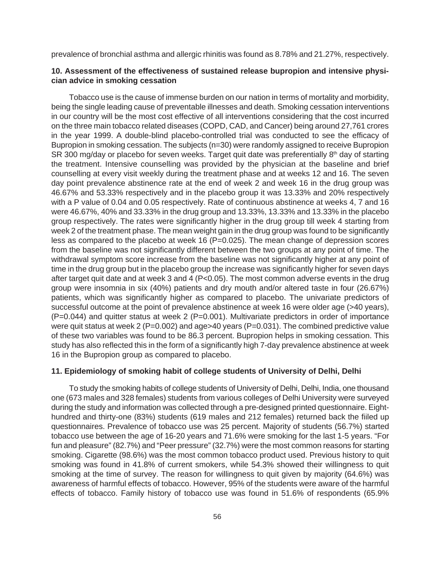prevalence of bronchial asthma and allergic rhinitis was found as 8.78% and 21.27%, respectively.

#### **10. Assessment of the effectiveness of sustained release bupropion and intensive physician advice in smoking cessation**

Tobacco use is the cause of immense burden on our nation in terms of mortality and morbidity, being the single leading cause of preventable illnesses and death. Smoking cessation interventions in our country will be the most cost effective of all interventions considering that the cost incurred on the three main tobacco related diseases (COPD, CAD, and Cancer) being around 27,761 crores in the year 1999. A double-blind placebo-controlled trial was conducted to see the efficacy of Bupropion in smoking cessation. The subjects (n=30) were randomly assigned to receive Bupropion SR 300 mg/day or placebo for seven weeks. Target quit date was preferentially 8<sup>th</sup> day of starting the treatment. Intensive counselling was provided by the physician at the baseline and brief counselling at every visit weekly during the treatment phase and at weeks 12 and 16. The seven day point prevalence abstinence rate at the end of week 2 and week 16 in the drug group was 46.67% and 53.33% respectively and in the placebo group it was 13.33% and 20% respectively with a P value of 0.04 and 0.05 respectively. Rate of continuous abstinence at weeks 4, 7 and 16 were 46.67%, 40% and 33.33% in the drug group and 13.33%, 13.33% and 13.33% in the placebo group respectively. The rates were significantly higher in the drug group till week 4 starting from week 2 of the treatment phase. The mean weight gain in the drug group was found to be significantly less as compared to the placebo at week 16 (P=0.025). The mean change of depression scores from the baseline was not significantly different between the two groups at any point of time. The withdrawal symptom score increase from the baseline was not significantly higher at any point of time in the drug group but in the placebo group the increase was significantly higher for seven days after target quit date and at week 3 and 4 (P<0.05). The most common adverse events in the drug group were insomnia in six (40%) patients and dry mouth and/or altered taste in four (26.67%) patients, which was significantly higher as compared to placebo. The univariate predictors of successful outcome at the point of prevalence abstinence at week 16 were older age (>40 years), (P=0.044) and quitter status at week 2 (P=0.001). Multivariate predictors in order of importance were quit status at week 2 (P=0.002) and age>40 years (P=0.031). The combined predictive value of these two variables was found to be 86.3 percent. Bupropion helps in smoking cessation. This study has also reflected this in the form of a significantly high 7-day prevalence abstinence at week 16 in the Bupropion group as compared to placebo.

#### **11. Epidemiology of smoking habit of college students of University of Delhi, Delhi**

To study the smoking habits of college students of University of Delhi, Delhi, India, one thousand one (673 males and 328 females) students from various colleges of Delhi University were surveyed during the study and information was collected through a pre-designed printed questionnaire. Eighthundred and thirty-one (83%) students (619 males and 212 females) returned back the fiiled up questionnaires. Prevalence of tobacco use was 25 percent. Majority of students (56.7%) started tobacco use between the age of 16-20 years and 71.6% were smoking for the last 1-5 years. "For fun and pleasure" (82.7%) and "Peer pressure" (32.7%) were the most common reasons for starting smoking. Cigarette (98.6%) was the most common tobacco product used. Previous history to quit smoking was found in 41.8% of current smokers, while 54.3% showed their willingness to quit smoking at the time of survey. The reason for willingness to quit given by majority (64.6%) was awareness of harmful effects of tobacco. However, 95% of the students were aware of the harmful effects of tobacco. Family history of tobacco use was found in 51.6% of respondents (65.9%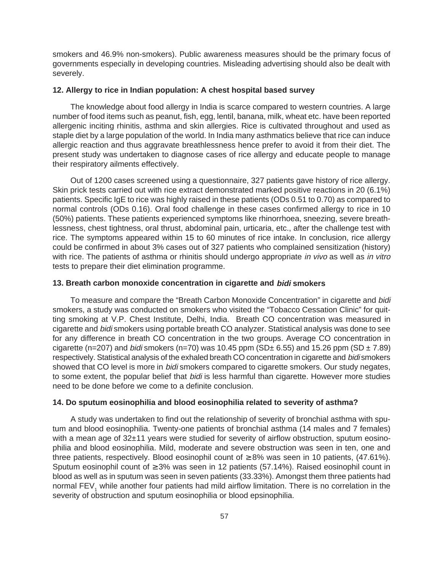smokers and 46.9% non-smokers). Public awareness measures should be the primary focus of governments especially in developing countries. Misleading advertising should also be dealt with severely.

#### **12. Allergy to rice in Indian population: A chest hospital based survey**

The knowledge about food allergy in India is scarce compared to western countries. A large number of food items such as peanut, fish, egg, lentil, banana, milk, wheat etc. have been reported allergenic inciting rhinitis, asthma and skin allergies. Rice is cultivated throughout and used as staple diet by a large population of the world. In India many asthmatics believe that rice can induce allergic reaction and thus aggravate breathlessness hence prefer to avoid it from their diet. The present study was undertaken to diagnose cases of rice allergy and educate people to manage their respiratory ailments effectively.

Out of 1200 cases screened using a questionnaire, 327 patients gave history of rice allergy. Skin prick tests carried out with rice extract demonstrated marked positive reactions in 20 (6.1%) patients. Specific IgE to rice was highly raised in these patients (ODs 0.51 to 0.70) as compared to normal controls (ODs 0.16). Oral food challenge in these cases confirmed allergy to rice in 10 (50%) patients. These patients experienced symptoms like rhinorrhoea, sneezing, severe breathlessness, chest tightness, oral thrust, abdominal pain, urticaria, etc., after the challenge test with rice. The symptoms appeared within 15 to 60 minutes of rice intake. In conclusion, rice allergy could be confirmed in about 3% cases out of 327 patients who complained sensitization (history) with rice. The patients of asthma or rhinitis should undergo appropriate in vivo as well as in vitro tests to prepare their diet elimination programme.

#### **13. Breath carbon monoxide concentration in cigarette and bidi smokers**

To measure and compare the "Breath Carbon Monoxide Concentration" in cigarette and bidi smokers, a study was conducted on smokers who visited the "Tobacco Cessation Clinic" for quitting smoking at V.P. Chest Institute, Delhi, India. Breath CO concentration was measured in cigarette and bidi smokers using portable breath CO analyzer. Statistical analysis was done to see for any difference in breath CO concentration in the two groups. Average CO concentration in cigarette (n=207) and *bidi* smokers (n=70) was 10.45 ppm (SD $\pm$  6.55) and 15.26 ppm (SD  $\pm$  7.89) respectively. Statistical analysis of the exhaled breath CO concentration in cigarette and bidi smokers showed that CO level is more in *bidi* smokers compared to cigarette smokers. Our study negates, to some extent, the popular belief that *bidi* is less harmful than cigarette. However more studies need to be done before we come to a definite conclusion.

#### **14. Do sputum eosinophilia and blood eosinophilia related to severity of asthma?**

A study was undertaken to find out the relationship of severity of bronchial asthma with sputum and blood eosinophilia. Twenty-one patients of bronchial asthma (14 males and 7 females) with a mean age of 32±11 years were studied for severity of airflow obstruction, sputum eosinophilia and blood eosinophilia. Mild, moderate and severe obstruction was seen in ten, one and three patients, respectively. Blood eosinophil count of  $\geq 8\%$  was seen in 10 patients, (47.61%). Sputum eosinophil count of ≥ 3% was seen in 12 patients (57.14%). Raised eosinophil count in blood as well as in sputum was seen in seven patients (33.33%). Amongst them three patients had normal FEV, while another four patients had mild airflow limitation. There is no correlation in the severity of obstruction and sputum eosinophilia or blood epsinophilia.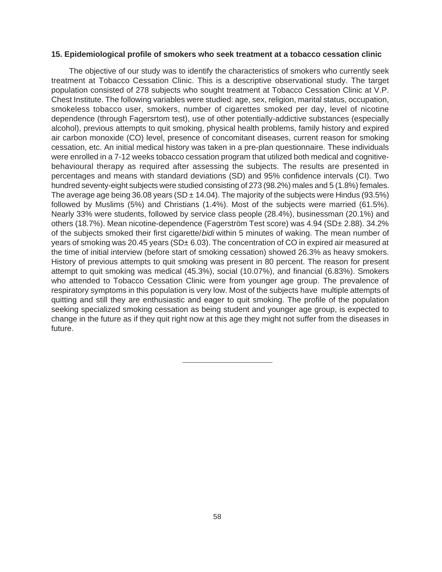#### **15. Epidemiological profile of smokers who seek treatment at a tobacco cessation clinic**

The objective of our study was to identify the characteristics of smokers who currently seek treatment at Tobacco Cessation Clinic. This is a descriptive observational study. The target population consisted of 278 subjects who sought treatment at Tobacco Cessation Clinic at V.P. Chest Institute. The following variables were studied: age, sex, religion, marital status, occupation, smokeless tobacco user, smokers, number of cigarettes smoked per day, level of nicotine dependence (through Fagersrtom test), use of other potentially-addictive substances (especially alcohol), previous attempts to quit smoking, physical health problems, family history and expired air carbon monoxide (CO) level, presence of concomitant diseases, current reason for smoking cessation, etc. An initial medical history was taken in a pre-plan questionnaire. These individuals were enrolled in a 7-12 weeks tobacco cessation program that utilized both medical and cognitivebehavioural therapy as required after assessing the subjects. The results are presented in percentages and means with standard deviations (SD) and 95% confidence intervals (CI). Two hundred seventy-eight subjects were studied consisting of 273 (98.2%) males and 5 (1.8%) females. The average age being 36.08 years (SD  $\pm$  14.04). The majority of the subjects were Hindus (93.5%) followed by Muslims (5%) and Christians (1.4%). Most of the subjects were married (61.5%). Nearly 33% were students, followed by service class people (28.4%), businessman (20.1%) and others (18.7%). Mean nicotine-dependence (Fagerström Test score) was 4.94 (SD± 2.88). 34.2% of the subjects smoked their first cigarette/bidi within 5 minutes of waking. The mean number of years of smoking was 20.45 years (SD± 6.03). The concentration of CO in expired air measured at the time of initial interview (before start of smoking cessation) showed 26.3% as heavy smokers. History of previous attempts to quit smoking was present in 80 percent. The reason for present attempt to quit smoking was medical (45.3%), social (10.07%), and financial (6.83%). Smokers who attended to Tobacco Cessation Clinic were from younger age group. The prevalence of respiratory symptoms in this population is very low. Most of the subjects have multiple attempts of quitting and still they are enthusiastic and eager to quit smoking. The profile of the population seeking specialized smoking cessation as being student and younger age group, is expected to change in the future as if they quit right now at this age they might not suffer from the diseases in future.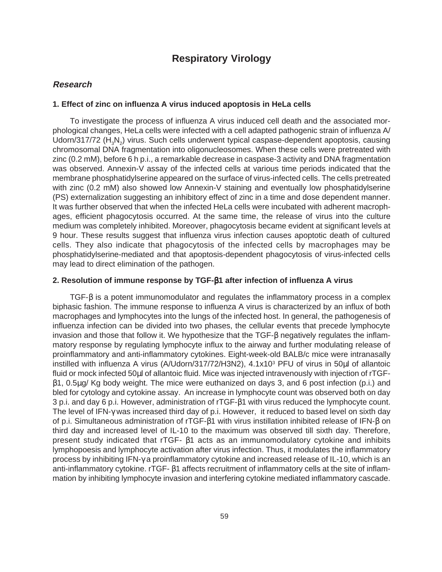### **Respiratory Virology**

#### **Research**

#### **1. Effect of zinc on influenza A virus induced apoptosis in HeLa cells**

To investigate the process of influenza A virus induced cell death and the associated morphological changes, HeLa cells were infected with a cell adapted pathogenic strain of influenza A/ Udorn/317/72 ( $H_3N_2$ ) virus. Such cells underwent typical caspase-dependent apoptosis, causing chromosomal DNA fragmentation into oligonucleosomes. When these cells were pretreated with zinc (0.2 mM), before 6 h p.i., a remarkable decrease in caspase-3 activity and DNA fragmentation was observed. Annexin-V assay of the infected cells at various time periods indicated that the membrane phosphatidylserine appeared on the surface of virus-infected cells. The cells pretreated with zinc (0.2 mM) also showed low Annexin-V staining and eventually low phosphatidylserine (PS) externalization suggesting an inhibitory effect of zinc in a time and dose dependent manner. It was further observed that when the infected HeLa cells were incubated with adherent macrophages, efficient phagocytosis occurred. At the same time, the release of virus into the culture medium was completely inhibited. Moreover, phagocytosis became evident at significant levels at 9 hour. These results suggest that influenza virus infection causes apoptotic death of cultured cells. They also indicate that phagocytosis of the infected cells by macrophages may be phosphatidylserine-mediated and that apoptosis-dependent phagocytosis of virus-infected cells may lead to direct elimination of the pathogen.

#### **2. Resolution of immune response by TGF-**β**1 after infection of influenza A virus**

TGF-β is a potent immunomodulator and regulates the inflammatory process in a complex biphasic fashion. The immune response to influenza A virus is characterized by an influx of both macrophages and lymphocytes into the lungs of the infected host. In general, the pathogenesis of influenza infection can be divided into two phases, the cellular events that precede lymphocyte invasion and those that follow it. We hypothesize that the TGF-β negatively regulates the inflammatory response by regulating lymphocyte influx to the airway and further modulating release of proinflammatory and anti-inflammatory cytokines. Eight-week-old BALB/c mice were intranasally instilled with influenza A virus (A/Udorn/317/72/H3N2), 4.1x103 PFU of virus in 50µl of allantoic fluid or mock infected 50µl of allantoic fluid. Mice was injected intravenously with injection of rTGFβ1, 0.5µg/ Kg body weight. The mice were euthanized on days 3, and 6 post infection (p.i.) and bled for cytology and cytokine assay. An increase in lymphocyte count was observed both on day 3 p.i. and day 6 p.i. However, administration of rTGF-β1 with virus reduced the lymphocyte count. The level of IFN-γ was increased third day of p.i. However, it reduced to based level on sixth day of p.i. Simultaneous administration of rTGF-β1 with virus instillation inhibited release of IFN-β on third day and increased level of IL-10 to the maximum was observed till sixth day. Therefore, present study indicated that rTGF- β1 acts as an immunomodulatory cytokine and inhibits lymphopoesis and lymphocyte activation after virus infection. Thus, it modulates the inflammatory process by inhibiting IFN-γ a proinflammatory cytokine and increased release of IL-10, which is an anti-inflammatory cytokine. rTGF- β1 affects recruitment of inflammatory cells at the site of inflammation by inhibiting lymphocyte invasion and interfering cytokine mediated inflammatory cascade.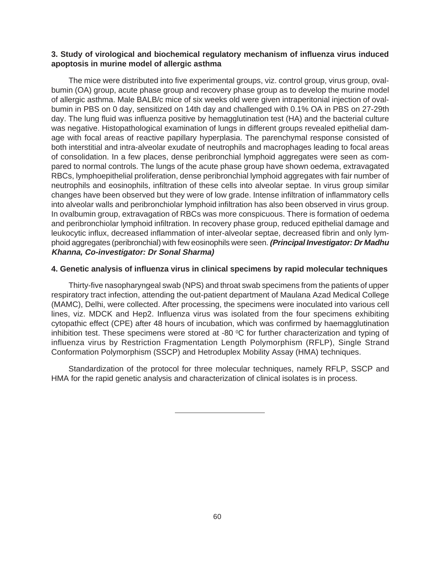#### **3. Study of virological and biochemical regulatory mechanism of influenza virus induced apoptosis in murine model of allergic asthma**

The mice were distributed into five experimental groups, viz. control group, virus group, ovalbumin (OA) group, acute phase group and recovery phase group as to develop the murine model of allergic asthma. Male BALB/c mice of six weeks old were given intraperitonial injection of ovalbumin in PBS on 0 day, sensitized on 14th day and challenged with 0.1% OA in PBS on 27-29th day. The lung fluid was influenza positive by hemagglutination test (HA) and the bacterial culture was negative. Histopathological examination of lungs in different groups revealed epithelial damage with focal areas of reactive papillary hyperplasia. The parenchymal response consisted of both interstitial and intra-alveolar exudate of neutrophils and macrophages leading to focal areas of consolidation. In a few places, dense peribronchial lymphoid aggregates were seen as compared to normal controls. The lungs of the acute phase group have shown oedema, extravagated RBCs, lymphoepithelial proliferation, dense peribronchial lymphoid aggregates with fair number of neutrophils and eosinophils, infiltration of these cells into alveolar septae. In virus group similar changes have been observed but they were of low grade. Intense infiltration of inflammatory cells into alveolar walls and peribronchiolar lymphoid infiltration has also been observed in virus group. In ovalbumin group, extravagation of RBCs was more conspicuous. There is formation of oedema and peribronchiolar lymphoid infiltration. In recovery phase group, reduced epithelial damage and leukocytic influx, decreased inflammation of inter-alveolar septae, decreased fibrin and only lymphoid aggregates (peribronchial) with few eosinophils were seen. **(Principal Investigator: Dr Madhu Khanna, Co-investigator: Dr Sonal Sharma)**

#### **4. Genetic analysis of influenza virus in clinical specimens by rapid molecular techniques**

Thirty-five nasopharyngeal swab (NPS) and throat swab specimens from the patients of upper respiratory tract infection, attending the out-patient department of Maulana Azad Medical College (MAMC), Delhi, were collected. After processing, the specimens were inoculated into various cell lines, viz. MDCK and Hep2. Influenza virus was isolated from the four specimens exhibiting cytopathic effect (CPE) after 48 hours of incubation, which was confirmed by haemagglutination inhibition test. These specimens were stored at -80  $\mathrm{^{\circ}C}$  for further characterization and typing of influenza virus by Restriction Fragmentation Length Polymorphism (RFLP), Single Strand Conformation Polymorphism (SSCP) and Hetroduplex Mobility Assay (HMA) techniques.

Standardization of the protocol for three molecular techniques, namely RFLP, SSCP and HMA for the rapid genetic analysis and characterization of clinical isolates is in process.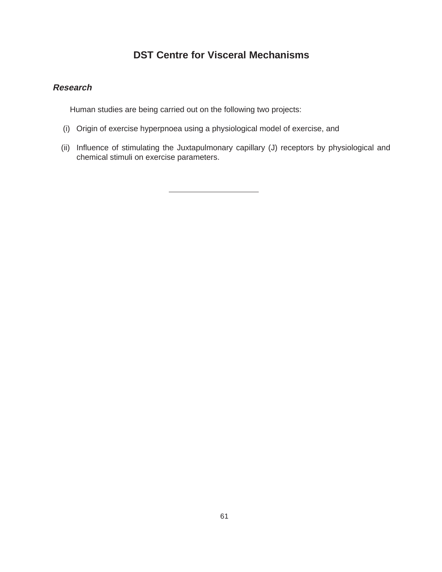## **DST Centre for Visceral Mechanisms**

#### **Research**

Human studies are being carried out on the following two projects:

- (i) Origin of exercise hyperpnoea using a physiological model of exercise, and
- (ii) Influence of stimulating the Juxtapulmonary capillary (J) receptors by physiological and chemical stimuli on exercise parameters.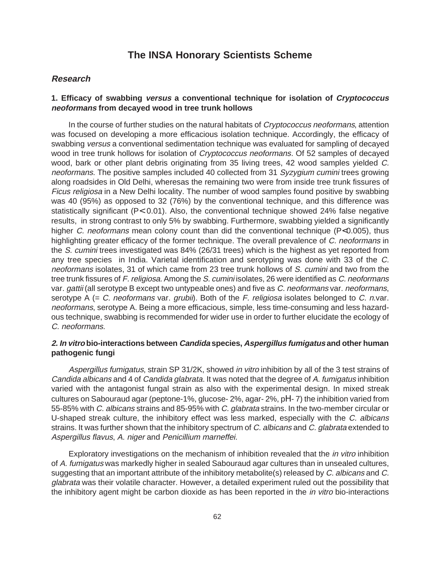### **The INSA Honorary Scientists Scheme**

#### **Research**

#### **1. Efficacy of swabbing versus a conventional technique for isolation of Cryptococcus neoformans from decayed wood in tree trunk hollows**

In the course of further studies on the natural habitats of *Cryptococcus neoformans*, attention was focused on developing a more efficacious isolation technique. Accordingly, the efficacy of swabbing versus a conventional sedimentation technique was evaluated for sampling of decayed wood in tree trunk hollows for isolation of *Cryptococcus neoformans*. Of 52 samples of decayed wood, bark or other plant debris originating from 35 living trees, 42 wood samples yielded C. neoformans. The positive samples included 40 collected from 31 Syzygium cumini trees growing along roadsides in Old Delhi, wheresas the remaining two were from inside tree trunk fissures of Ficus religiosa in a New Delhi locality. The number of wood samples found positive by swabbing was 40 (95%) as opposed to 32 (76%) by the conventional technique, and this difference was statistically significant (P< 0.01). Also, the conventional technique showed 24% false negative results, in strong contrast to only 5% by swabbing. Furthermore, swabbing yielded a significantly higher C. neoformans mean colony count than did the conventional technique (P<0.005), thus highlighting greater efficacy of the former technique. The overall prevalence of C. neoformans in the S. cumini trees investigated was 84% (26/31 trees) which is the highest as yet reported from any tree species in India. Varietal identification and serotyping was done with 33 of the C. neoformans isolates, 31 of which came from 23 tree trunk hollows of S. cumini and two from the tree trunk fissures of F. religiosa. Among the S. cumini isolates, 26 were identified as C. neoformans var. gattii (all serotype B except two untypeable ones) and five as C. neoformans var. neoformans, serotype A  $(= C.$  neoformans var. grubii). Both of the F. religiosa isolates belonged to C. n.var. neoformans, serotype A. Being a more efficacious, simple, less time-consuming and less hazardous technique, swabbing is recommended for wider use in order to further elucidate the ecology of C. neoformans.

#### **2. In vitro bio-interactions between Candida species, Aspergillus fumigatus and other human pathogenic fungi**

Aspergillus fumigatus, strain SP 31/2K, showed in vitro inhibition by all of the 3 test strains of Candida albicans and 4 of Candida glabrata. It was noted that the degree of A. fumigatus inhibition varied with the antagonist fungal strain as also with the experimental design. In mixed streak cultures on Sabouraud agar (peptone-1%, glucose- 2%, agar- 2%, pΗ- 7) the inhibition varied from 55-85% with C. albicans strains and 85-95% with C. glabrata strains. In the two-member circular or U-shaped streak culture, the inhibitory effect was less marked, especially with the C. albicans strains. It was further shown that the inhibitory spectrum of C. albicans and C. glabrata extended to Aspergillus flavus, A. niger and Penicillium marneffei.

Exploratory investigations on the mechanism of inhibition revealed that the *in vitro* inhibition of A. fumigatus was markedly higher in sealed Sabouraud agar cultures than in unsealed cultures, suggesting that an important attribute of the inhibitory metabolite(s) released by C. albicans and C. glabrata was their volatile character. However, a detailed experiment ruled out the possibility that the inhibitory agent might be carbon dioxide as has been reported in the *in vitro* bio-interactions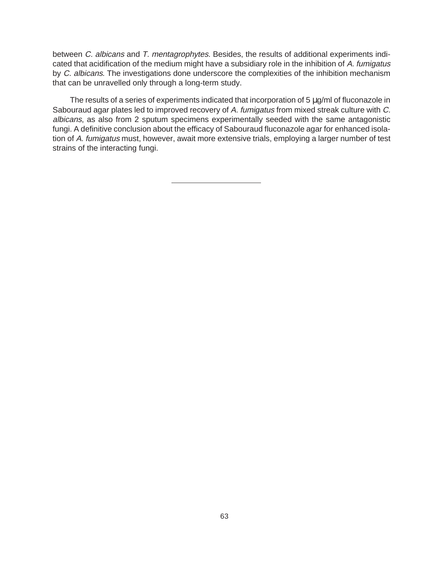between C. albicans and T. mentagrophytes. Besides, the results of additional experiments indicated that acidification of the medium might have a subsidiary role in the inhibition of A. fumigatus by C. albicans. The investigations done underscore the complexities of the inhibition mechanism that can be unravelled only through a long-term study.

The results of a series of experiments indicated that incorporation of 5  $\mu$ g/ml of fluconazole in Sabouraud agar plates led to improved recovery of A. fumigatus from mixed streak culture with C. albicans, as also from 2 sputum specimens experimentally seeded with the same antagonistic fungi. A definitive conclusion about the efficacy of Sabouraud fluconazole agar for enhanced isolation of A. fumigatus must, however, await more extensive trials, employing a larger number of test strains of the interacting fungi.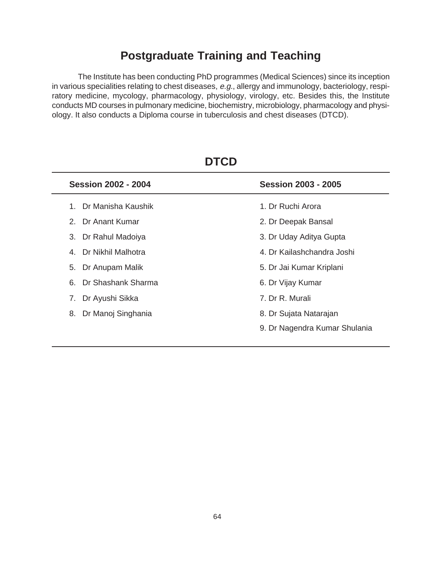## **Postgraduate Training and Teaching**

The Institute has been conducting PhD programmes (Medical Sciences) since its inception in various specialities relating to chest diseases, e.g., allergy and immunology, bacteriology, respiratory medicine, mycology, pharmacology, physiology, virology, etc. Besides this, the Institute conducts MD courses in pulmonary medicine, biochemistry, microbiology, pharmacology and physiology. It also conducts a Diploma course in tuberculosis and chest diseases (DTCD).

| <b>Session 2002 - 2004</b>    | <b>Session 2003 - 2005</b>    |
|-------------------------------|-------------------------------|
| Dr Manisha Kaushik<br>$1_{-}$ | 1. Dr Ruchi Arora             |
| 2. Dr Anant Kumar             | 2. Dr Deepak Bansal           |
| 3. Dr Rahul Madoiya           | 3. Dr Uday Aditya Gupta       |
| 4. Dr Nikhil Malhotra         | 4. Dr Kailashchandra Joshi    |
| Dr Anupam Malik<br>5.         | 5. Dr Jai Kumar Kriplani      |
| 6. Dr Shashank Sharma         | 6. Dr Vijay Kumar             |
| 7.<br>Dr Ayushi Sikka         | 7. Dr R. Murali               |
| 8. Dr Manoj Singhania         | 8. Dr Sujata Natarajan        |
|                               | 9. Dr Nagendra Kumar Shulania |
|                               |                               |

**DTCD**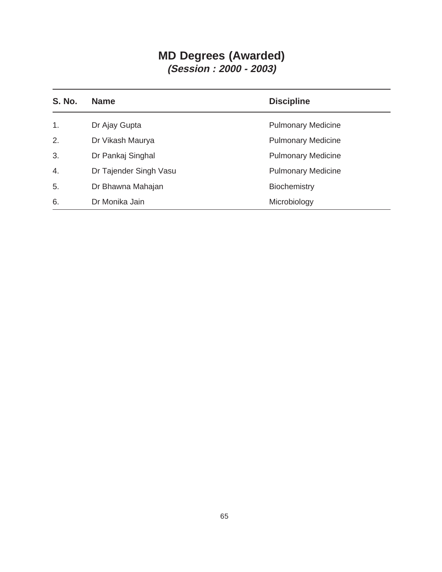## **MD Degrees (Awarded) (Session : 2000 - 2003)**

| <b>S. No.</b>  | <b>Name</b>            | <b>Discipline</b>         |
|----------------|------------------------|---------------------------|
| $\mathbf{1}$ . | Dr Ajay Gupta          | <b>Pulmonary Medicine</b> |
| 2.             | Dr Vikash Maurya       | <b>Pulmonary Medicine</b> |
| 3.             | Dr Pankaj Singhal      | <b>Pulmonary Medicine</b> |
| 4.             | Dr Tajender Singh Vasu | <b>Pulmonary Medicine</b> |
| 5.             | Dr Bhawna Mahajan      | Biochemistry              |
| 6.             | Dr Monika Jain         | Microbiology              |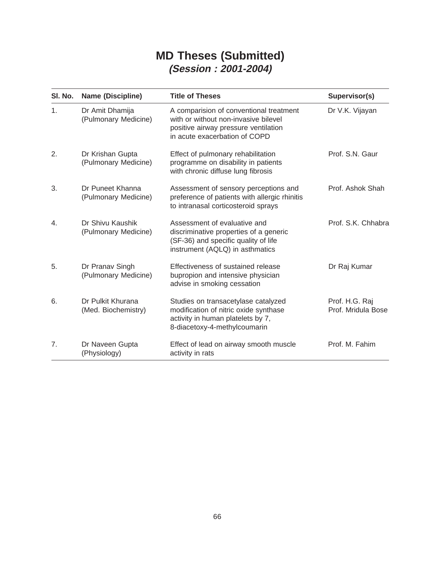## **MD Theses (Submitted) (Session : 2001-2004)**

| SI. No. | <b>Name (Discipline)</b>                 | <b>Title of Theses</b>                                                                                                                                   | Supervisor(s)                        |
|---------|------------------------------------------|----------------------------------------------------------------------------------------------------------------------------------------------------------|--------------------------------------|
| 1.      | Dr Amit Dhamija<br>(Pulmonary Medicine)  | A comparision of conventional treatment<br>with or without non-invasive bilevel<br>positive airway pressure ventilation<br>in acute exacerbation of COPD | Dr V.K. Vijayan                      |
| 2.      | Dr Krishan Gupta<br>(Pulmonary Medicine) | Effect of pulmonary rehabilitation<br>programme on disability in patients<br>with chronic diffuse lung fibrosis                                          | Prof. S.N. Gaur                      |
| 3.      | Dr Puneet Khanna<br>(Pulmonary Medicine) | Assessment of sensory perceptions and<br>preference of patients with allergic rhinitis<br>to intranasal corticosteroid sprays                            | Prof. Ashok Shah                     |
| 4.      | Dr Shivu Kaushik<br>(Pulmonary Medicine) | Assessment of evaluative and<br>discriminative properties of a generic<br>(SF-36) and specific quality of life<br>instrument (AQLQ) in asthmatics        | Prof. S.K. Chhabra                   |
| 5.      | Dr Pranav Singh<br>(Pulmonary Medicine)  | Effectiveness of sustained release<br>bupropion and intensive physician<br>advise in smoking cessation                                                   | Dr Raj Kumar                         |
| 6.      | Dr Pulkit Khurana<br>(Med. Biochemistry) | Studies on transacetylase catalyzed<br>modification of nitric oxide synthase<br>activity in human platelets by 7,<br>8-diacetoxy-4-methylcoumarin        | Prof. H.G. Raj<br>Prof. Mridula Bose |
| 7.      | Dr Naveen Gupta<br>(Physiology)          | Effect of lead on airway smooth muscle<br>activity in rats                                                                                               | Prof. M. Fahim                       |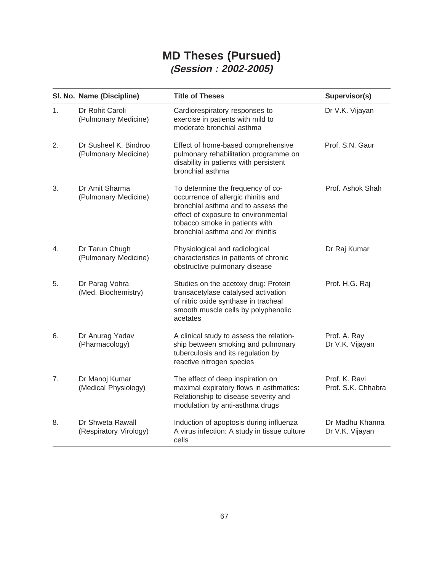## **MD Theses (Pursued) (Session : 2002-2005)**

|    | SI. No. Name (Discipline)                     | <b>Title of Theses</b>                                                                                                                                                                                                       | Supervisor(s)                       |
|----|-----------------------------------------------|------------------------------------------------------------------------------------------------------------------------------------------------------------------------------------------------------------------------------|-------------------------------------|
| 1. | Dr Rohit Caroli<br>(Pulmonary Medicine)       | Cardiorespiratory responses to<br>exercise in patients with mild to<br>moderate bronchial asthma                                                                                                                             | Dr V.K. Vijayan                     |
| 2. | Dr Susheel K. Bindroo<br>(Pulmonary Medicine) | Effect of home-based comprehensive<br>pulmonary rehabilitation programme on<br>disability in patients with persistent<br>bronchial asthma                                                                                    | Prof. S.N. Gaur                     |
| 3. | Dr Amit Sharma<br>(Pulmonary Medicine)        | To determine the frequency of co-<br>occurrence of allergic rhinitis and<br>bronchial asthma and to assess the<br>effect of exposure to environmental<br>tobacco smoke in patients with<br>bronchial asthma and /or rhinitis | Prof. Ashok Shah                    |
| 4. | Dr Tarun Chugh<br>(Pulmonary Medicine)        | Physiological and radiological<br>characteristics in patients of chronic<br>obstructive pulmonary disease                                                                                                                    | Dr Raj Kumar                        |
| 5. | Dr Parag Vohra<br>(Med. Biochemistry)         | Studies on the acetoxy drug: Protein<br>transacetylase catalysed activation<br>of nitric oxide synthase in tracheal<br>smooth muscle cells by polyphenolic<br>acetates                                                       | Prof. H.G. Raj                      |
| 6. | Dr Anurag Yadav<br>(Pharmacology)             | A clinical study to assess the relation-<br>ship between smoking and pulmonary<br>tuberculosis and its regulation by<br>reactive nitrogen species                                                                            | Prof. A. Ray<br>Dr V.K. Vijayan     |
| 7. | Dr Manoj Kumar<br>(Medical Physiology)        | The effect of deep inspiration on<br>maximal expiratory flows in asthmatics:<br>Relationship to disease severity and<br>modulation by anti-asthma drugs                                                                      | Prof. K. Ravi<br>Prof. S.K. Chhabra |
| 8. | Dr Shweta Rawall<br>(Respiratory Virology)    | Induction of apoptosis during influenza<br>A virus infection: A study in tissue culture<br>cells                                                                                                                             | Dr Madhu Khanna<br>Dr V.K. Vijayan  |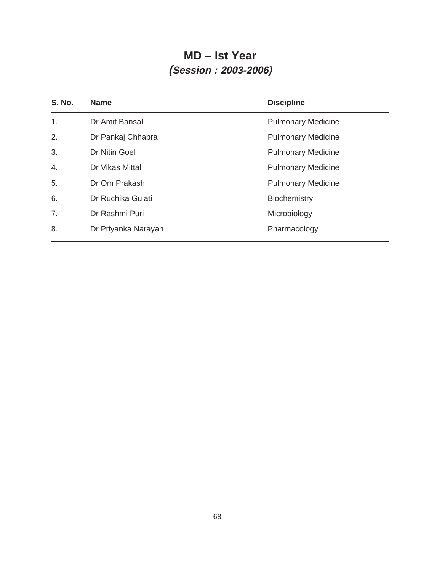## **MD – Ist Year (Session : 2003-2006)**

| <b>S. No.</b> | <b>Name</b>         | <b>Discipline</b>         |
|---------------|---------------------|---------------------------|
| 1.            | Dr Amit Bansal      | <b>Pulmonary Medicine</b> |
| 2.            | Dr Pankaj Chhabra   | <b>Pulmonary Medicine</b> |
| 3.            | Dr Nitin Goel       | <b>Pulmonary Medicine</b> |
| 4.            | Dr Vikas Mittal     | <b>Pulmonary Medicine</b> |
| 5.            | Dr Om Prakash       | <b>Pulmonary Medicine</b> |
| 6.            | Dr Ruchika Gulati   | Biochemistry              |
| 7.            | Dr Rashmi Puri      | Microbiology              |
| 8.            | Dr Priyanka Narayan | Pharmacology              |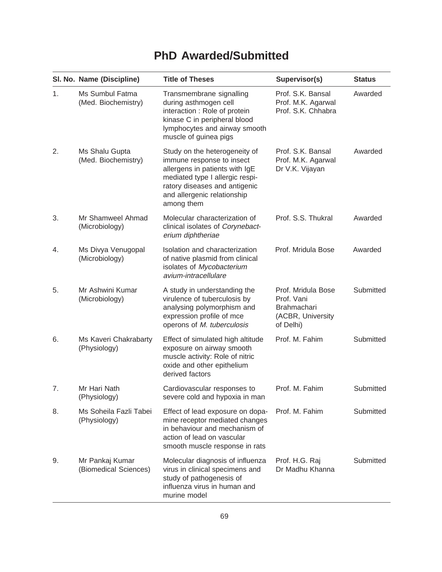# **PhD Awarded/Submitted**

|    | SI. No. Name (Discipline)                | <b>Title of Theses</b>                                                                                                                                                                                        | Supervisor(s)                                                                            | <b>Status</b> |
|----|------------------------------------------|---------------------------------------------------------------------------------------------------------------------------------------------------------------------------------------------------------------|------------------------------------------------------------------------------------------|---------------|
| 1. | Ms Sumbul Fatma<br>(Med. Biochemistry)   | Transmembrane signalling<br>during asthmogen cell<br>interaction : Role of protein<br>kinase C in peripheral blood<br>lymphocytes and airway smooth<br>muscle of guinea pigs                                  | Prof. S.K. Bansal<br>Prof. M.K. Agarwal<br>Prof. S.K. Chhabra                            | Awarded       |
| 2. | Ms Shalu Gupta<br>(Med. Biochemistry)    | Study on the heterogeneity of<br>immune response to insect<br>allergens in patients with IgE<br>mediated type I allergic respi-<br>ratory diseases and antigenic<br>and allergenic relationship<br>among them | Prof. S.K. Bansal<br>Prof. M.K. Agarwal<br>Dr V.K. Vijayan                               | Awarded       |
| 3. | Mr Shamweel Ahmad<br>(Microbiology)      | Molecular characterization of<br>clinical isolates of Corynebact-<br>erium diphtheriae                                                                                                                        | Prof. S.S. Thukral                                                                       | Awarded       |
| 4. | Ms Divya Venugopal<br>(Microbiology)     | Isolation and characterization<br>of native plasmid from clinical<br>isolates of Mycobacterium<br>avium-intracellulare                                                                                        | Prof. Mridula Bose                                                                       | Awarded       |
| 5. | Mr Ashwini Kumar<br>(Microbiology)       | A study in understanding the<br>virulence of tuberculosis by<br>analysing polymorphism and<br>expression profile of mce<br>operons of M. tuberculosis                                                         | Prof. Mridula Bose<br>Prof. Vani<br><b>Brahmachari</b><br>(ACBR, University<br>of Delhi) | Submitted     |
| 6. | Ms Kaveri Chakrabarty<br>(Physiology)    | Effect of simulated high altitude<br>exposure on airway smooth<br>muscle activity: Role of nitric<br>oxide and other epithelium<br>derived factors                                                            | Prof. M. Fahim                                                                           | Submitted     |
| 7. | Mr Hari Nath<br>(Physiology)             | Cardiovascular responses to<br>severe cold and hypoxia in man                                                                                                                                                 | Prof. M. Fahim                                                                           | Submitted     |
| 8. | Ms Soheila Fazli Tabei<br>(Physiology)   | Effect of lead exposure on dopa-<br>mine receptor mediated changes<br>in behaviour and mechanism of<br>action of lead on vascular<br>smooth muscle response in rats                                           | Prof. M. Fahim                                                                           | Submitted     |
| 9. | Mr Pankaj Kumar<br>(Biomedical Sciences) | Molecular diagnosis of influenza<br>virus in clinical specimens and<br>study of pathogenesis of<br>influenza virus in human and<br>murine model                                                               | Prof. H.G. Raj<br>Dr Madhu Khanna                                                        | Submitted     |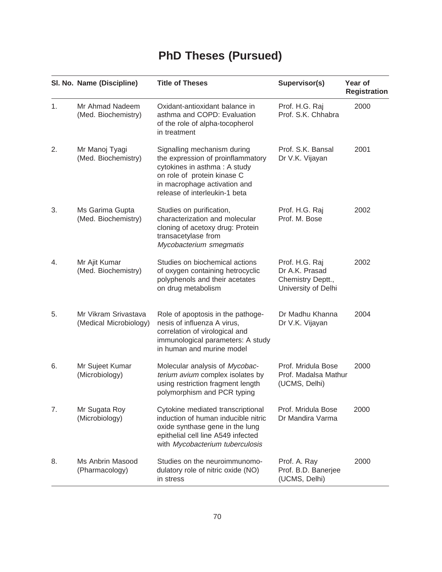# **PhD Theses (Pursued)**

|    | SI. No. Name (Discipline)                      | <b>Title of Theses</b>                                                                                                                                                                           | Supervisor(s)                                                                | Year of<br><b>Registration</b> |
|----|------------------------------------------------|--------------------------------------------------------------------------------------------------------------------------------------------------------------------------------------------------|------------------------------------------------------------------------------|--------------------------------|
| 1. | Mr Ahmad Nadeem<br>(Med. Biochemistry)         | Oxidant-antioxidant balance in<br>asthma and COPD: Evaluation<br>of the role of alpha-tocopherol<br>in treatment                                                                                 | Prof. H.G. Raj<br>Prof. S.K. Chhabra                                         | 2000                           |
| 2. | Mr Manoj Tyagi<br>(Med. Biochemistry)          | Signalling mechanism during<br>the expression of proinflammatory<br>cytokines in asthma: A study<br>on role of protein kinase C<br>in macrophage activation and<br>release of interleukin-1 beta | Prof. S.K. Bansal<br>Dr V.K. Vijayan                                         | 2001                           |
| 3. | Ms Garima Gupta<br>(Med. Biochemistry)         | Studies on purification,<br>characterization and molecular<br>cloning of acetoxy drug: Protein<br>transacetylase from<br>Mycobacterium smegmatis                                                 | Prof. H.G. Raj<br>Prof. M. Bose                                              | 2002                           |
| 4. | Mr Ajit Kumar<br>(Med. Biochemistry)           | Studies on biochemical actions<br>of oxygen containing hetrocyclic<br>polyphenols and their acetates<br>on drug metabolism                                                                       | Prof. H.G. Raj<br>Dr A.K. Prasad<br>Chemistry Deptt.,<br>University of Delhi | 2002                           |
| 5. | Mr Vikram Srivastava<br>(Medical Microbiology) | Role of apoptosis in the pathoge-<br>nesis of influenza A virus,<br>correlation of virological and<br>immunological parameters: A study<br>in human and murine model                             | Dr Madhu Khanna<br>Dr V.K. Vijayan                                           | 2004                           |
| 6. | Mr Sujeet Kumar<br>(Microbiology)              | Molecular analysis of Mycobac-<br>terium avium complex isolates by<br>using restriction fragment length<br>polymorphism and PCR typing                                                           | Prof. Mridula Bose<br>Prof. Madalsa Mathur<br>(UCMS, Delhi)                  | 2000                           |
| 7. | Mr Sugata Roy<br>(Microbiology)                | Cytokine mediated transcriptional<br>induction of human inducible nitric<br>oxide synthase gene in the lung<br>epithelial cell line A549 infected<br>with Mycobacterium tuberculosis             | Prof. Mridula Bose<br>Dr Mandira Varma                                       | 2000                           |
| 8. | Ms Anbrin Masood<br>(Pharmacology)             | Studies on the neuroimmunomo-<br>dulatory role of nitric oxide (NO)<br>in stress                                                                                                                 | Prof. A. Ray<br>Prof. B.D. Banerjee<br>(UCMS, Delhi)                         | 2000                           |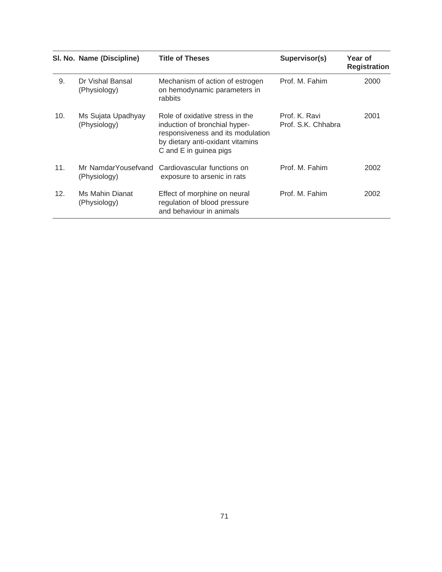|     | SI. No. Name (Discipline)           | <b>Title of Theses</b>                                                                                                                                              | Supervisor(s)                       | Year of<br><b>Registration</b> |
|-----|-------------------------------------|---------------------------------------------------------------------------------------------------------------------------------------------------------------------|-------------------------------------|--------------------------------|
| 9.  | Dr Vishal Bansal<br>(Physiology)    | Mechanism of action of estrogen<br>on hemodynamic parameters in<br>rabbits                                                                                          | Prof. M. Fahim                      | 2000                           |
| 10. | Ms Sujata Upadhyay<br>(Physiology)  | Role of oxidative stress in the<br>induction of bronchial hyper-<br>responsiveness and its modulation<br>by dietary anti-oxidant vitamins<br>C and E in guinea pigs | Prof. K. Ravi<br>Prof. S.K. Chhabra | 2001                           |
| 11. | Mr NamdarYousefvand<br>(Physiology) | Cardiovascular functions on<br>exposure to arsenic in rats                                                                                                          | Prof. M. Fahim                      | 2002                           |
| 12. | Ms Mahin Dianat<br>(Physiology)     | Effect of morphine on neural<br>regulation of blood pressure<br>and behaviour in animals                                                                            | Prof. M. Fahim                      | 2002                           |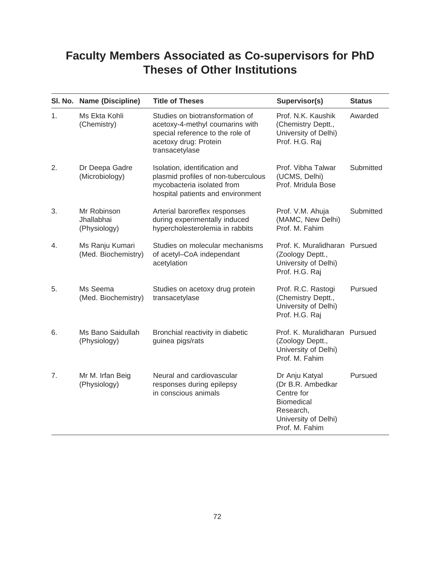## **Faculty Members Associated as Co-supervisors for PhD Theses of Other Institutions**

|    | SI. No. Name (Discipline)                 | <b>Title of Theses</b>                                                                                                                            | Supervisor(s)                                                                                                                 | <b>Status</b> |
|----|-------------------------------------------|---------------------------------------------------------------------------------------------------------------------------------------------------|-------------------------------------------------------------------------------------------------------------------------------|---------------|
| 1. | Ms Ekta Kohli<br>(Chemistry)              | Studies on biotransformation of<br>acetoxy-4-methyl coumarins with<br>special reference to the role of<br>acetoxy drug: Protein<br>transacetylase | Prof. N.K. Kaushik<br>(Chemistry Deptt.,<br>University of Delhi)<br>Prof. H.G. Raj                                            | Awarded       |
| 2. | Dr Deepa Gadre<br>(Microbiology)          | Isolation, identification and<br>plasmid profiles of non-tuberculous<br>mycobacteria isolated from<br>hospital patients and environment           | Prof. Vibha Talwar<br>(UCMS, Delhi)<br>Prof. Mridula Bose                                                                     | Submitted     |
| 3. | Mr Robinson<br>Jhallabhai<br>(Physiology) | Arterial baroreflex responses<br>during experimentally induced<br>hypercholesterolemia in rabbits                                                 | Prof. V.M. Ahuja<br>(MAMC, New Delhi)<br>Prof. M. Fahim                                                                       | Submitted     |
| 4. | Ms Ranju Kumari<br>(Med. Biochemistry)    | Studies on molecular mechanisms<br>of acetyl-CoA independant<br>acetylation                                                                       | Prof. K. Muralidharan Pursued<br>(Zoology Deptt.,<br>University of Delhi)<br>Prof. H.G. Raj                                   |               |
| 5. | Ms Seema<br>(Med. Biochemistry)           | Studies on acetoxy drug protein<br>transacetylase                                                                                                 | Prof. R.C. Rastogi<br>(Chemistry Deptt.,<br>University of Delhi)<br>Prof. H.G. Raj                                            | Pursued       |
| 6. | Ms Bano Saidullah<br>(Physiology)         | Bronchial reactivity in diabetic<br>guinea pigs/rats                                                                                              | Prof. K. Muralidharan Pursued<br>(Zoology Deptt.,<br>University of Delhi)<br>Prof. M. Fahim                                   |               |
| 7. | Mr M. Irfan Beig<br>(Physiology)          | Neural and cardiovascular<br>responses during epilepsy<br>in conscious animals                                                                    | Dr Anju Katyal<br>(Dr B.R. Ambedkar<br>Centre for<br><b>Biomedical</b><br>Research,<br>University of Delhi)<br>Prof. M. Fahim | Pursued       |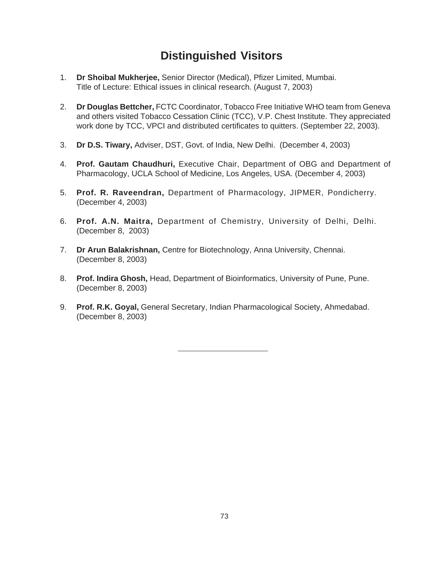### **Distinguished Visitors**

- 1. **Dr Shoibal Mukherjee,** Senior Director (Medical), Pfizer Limited, Mumbai. Title of Lecture: Ethical issues in clinical research. (August 7, 2003)
- 2. **Dr Douglas Bettcher,** FCTC Coordinator, Tobacco Free Initiative WHO team from Geneva and others visited Tobacco Cessation Clinic (TCC), V.P. Chest Institute. They appreciated work done by TCC, VPCI and distributed certificates to quitters. (September 22, 2003).
- 3. **Dr D.S. Tiwary,** Adviser, DST, Govt. of India, New Delhi. (December 4, 2003)
- 4. **Prof. Gautam Chaudhuri,** Executive Chair, Department of OBG and Department of Pharmacology, UCLA School of Medicine, Los Angeles, USA. (December 4, 2003)
- 5. **Prof. R. Raveendran,** Department of Pharmacology, JIPMER, Pondicherry. (December 4, 2003)
- 6. **Prof. A.N. Maitra,** Department of Chemistry, University of Delhi, Delhi. (December 8, 2003)
- 7. **Dr Arun Balakrishnan,** Centre for Biotechnology, Anna University, Chennai. (December 8, 2003)
- 8. **Prof. Indira Ghosh,** Head, Department of Bioinformatics, University of Pune, Pune. (December 8, 2003)
- 9. **Prof. R.K. Goyal,** General Secretary, Indian Pharmacological Society, Ahmedabad. (December 8, 2003)

73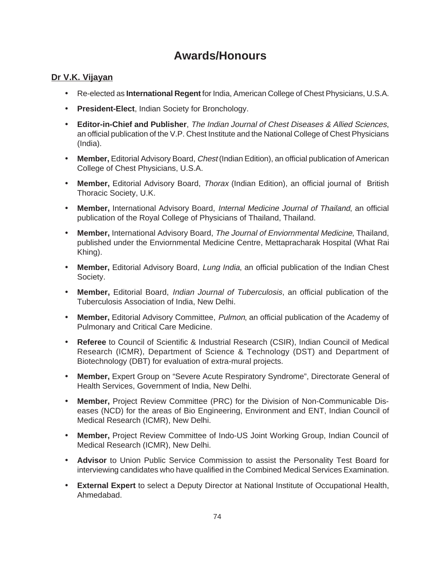### **Awards/Honours**

#### **Dr V.K. Vijayan**

- Re-elected as **International Regent** for India, American College of Chest Physicians, U.S.A.
- **President-Elect**, Indian Society for Bronchology.
- **Editor-in-Chief and Publisher**, The Indian Journal of Chest Diseases & Allied Sciences, an official publication of the V.P. Chest Institute and the National College of Chest Physicians (India).
- **Member,** Editorial Advisory Board, Chest (Indian Edition), an official publication of American College of Chest Physicians, U.S.A.
- **Member,** Editorial Advisory Board, Thorax (Indian Edition), an official journal of British Thoracic Society, U.K.
- **Member,** International Advisory Board, Internal Medicine Journal of Thailand, an official publication of the Royal College of Physicians of Thailand, Thailand.
- **Member,** International Advisory Board, The Journal of Enviornmental Medicine, Thailand, published under the Enviornmental Medicine Centre, Mettapracharak Hospital (What Rai Khing).
- **Member,** Editorial Advisory Board, Lung India, an official publication of the Indian Chest Society.
- **Member,** Editorial Board, Indian Journal of Tuberculosis, an official publication of the Tuberculosis Association of India, New Delhi.
- **Member,** Editorial Advisory Committee, Pulmon, an official publication of the Academy of Pulmonary and Critical Care Medicine.
- **Referee** to Council of Scientific & Industrial Research (CSIR), Indian Council of Medical Research (ICMR), Department of Science & Technology (DST) and Department of Biotechnology (DBT) for evaluation of extra-mural projects.
- **Member,** Expert Group on "Severe Acute Respiratory Syndrome", Directorate General of Health Services, Government of India, New Delhi.
- **Member,** Project Review Committee (PRC) for the Division of Non-Communicable Diseases (NCD) for the areas of Bio Engineering, Environment and ENT, Indian Council of Medical Research (ICMR), New Delhi.
- **Member,** Project Review Committee of Indo-US Joint Working Group, Indian Council of Medical Research (ICMR), New Delhi.
- **Advisor** to Union Public Service Commission to assist the Personality Test Board for interviewing candidates who have qualified in the Combined Medical Services Examination.
- **External Expert** to select a Deputy Director at National Institute of Occupational Health, Ahmedabad.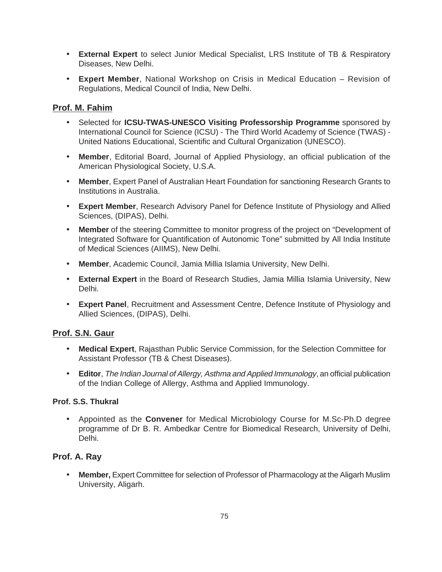- **External Expert** to select Junior Medical Specialist, LRS Institute of TB & Respiratory Diseases, New Delhi.
- **Expert Member**, National Workshop on Crisis in Medical Education Revision of Regulations, Medical Council of India, New Delhi.

#### **Prof. M. Fahim**

- Selected for **ICSU-TWAS-UNESCO Visiting Professorship Programme** sponsored by International Council for Science (ICSU) - The Third World Academy of Science (TWAS) - United Nations Educational, Scientific and Cultural Organization (UNESCO).
- **Member**, Editorial Board, Journal of Applied Physiology, an official publication of the American Physiological Society, U.S.A.
- **Member**, Expert Panel of Australian Heart Foundation for sanctioning Research Grants to Institutions in Australia.
- **Expert Member**, Research Advisory Panel for Defence Institute of Physiology and Allied Sciences, (DIPAS), Delhi.
- **Member** of the steering Committee to monitor progress of the project on "Development of Integrated Software for Quantification of Autonomic Tone" submitted by All India Institute of Medical Sciences (AIIMS), New Delhi.
- **Member**, Academic Council, Jamia Millia Islamia University, New Delhi.
- **External Expert** in the Board of Research Studies, Jamia Millia Islamia University, New Delhi.
- **Expert Panel**, Recruitment and Assessment Centre, Defence Institute of Physiology and Allied Sciences, (DIPAS), Delhi.

#### **Prof. S.N. Gaur**

- **Medical Expert**, Rajasthan Public Service Commission, for the Selection Committee for Assistant Professor (TB & Chest Diseases).
- **Editor**, The Indian Journal of Allergy, Asthma and Applied Immunology, an official publication of the Indian College of Allergy, Asthma and Applied Immunology.

#### **Prof. S.S. Thukral**

• Appointed as the **Convener** for Medical Microbiology Course for M.Sc-Ph.D degree programme of Dr B. R. Ambedkar Centre for Biomedical Research, University of Delhi, Delhi.

#### **Prof. A. Ray**

• **Member,** Expert Committee for selection of Professor of Pharmacology at the Aligarh Muslim University, Aligarh.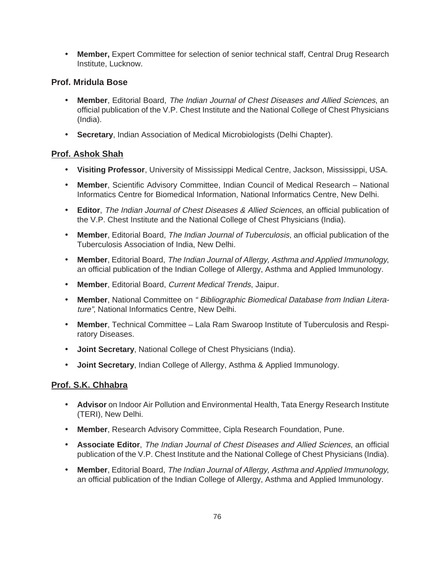• **Member,** Expert Committee for selection of senior technical staff, Central Drug Research Institute, Lucknow.

#### **Prof. Mridula Bose**

- **Member**, Editorial Board, The Indian Journal of Chest Diseases and Allied Sciences, an official publication of the V.P. Chest Institute and the National College of Chest Physicians (India).
- **Secretary**, Indian Association of Medical Microbiologists (Delhi Chapter).

#### **Prof. Ashok Shah**

- **Visiting Professor**, University of Mississippi Medical Centre, Jackson, Mississippi, USA.
- **Member**, Scientific Advisory Committee, Indian Council of Medical Research National Informatics Centre for Biomedical Information, National Informatics Centre, New Delhi.
- **Editor**, The Indian Journal of Chest Diseases & Allied Sciences, an official publication of the V.P. Chest Institute and the National College of Chest Physicians (India).
- **Member**, Editorial Board, The Indian Journal of Tuberculosis, an official publication of the Tuberculosis Association of India, New Delhi.
- **Member**, Editorial Board, The Indian Journal of Allergy, Asthma and Applied Immunology, an official publication of the Indian College of Allergy, Asthma and Applied Immunology.
- **Member**, Editorial Board, Current Medical Trends, Jaipur.
- **Member**, National Committee on " Bibliographic Biomedical Database from Indian Literature", National Informatics Centre, New Delhi.
- **Member**, Technical Committee Lala Ram Swaroop Institute of Tuberculosis and Respiratory Diseases.
- **Joint Secretary**, National College of Chest Physicians (India).
- **Joint Secretary**, Indian College of Allergy, Asthma & Applied Immunology.

#### **Prof. S.K. Chhabra**

- **Advisor** on Indoor Air Pollution and Environmental Health, Tata Energy Research Institute (TERI), New Delhi.
- **Member**, Research Advisory Committee, Cipla Research Foundation, Pune.
- **Associate Editor**, The Indian Journal of Chest Diseases and Allied Sciences, an official publication of the V.P. Chest Institute and the National College of Chest Physicians (India).
- **Member**, Editorial Board, The Indian Journal of Allergy, Asthma and Applied Immunology, an official publication of the Indian College of Allergy, Asthma and Applied Immunology.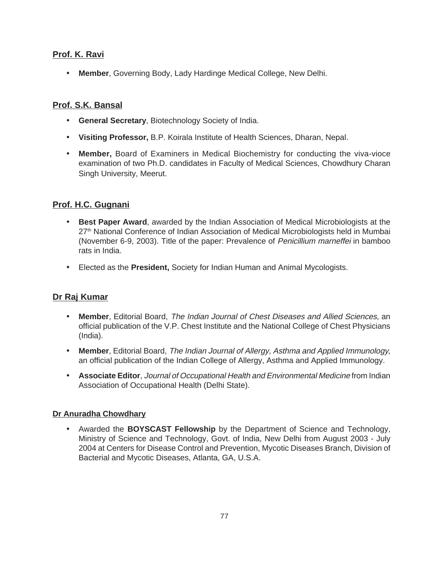#### **Prof. K. Ravi**

• **Member**, Governing Body, Lady Hardinge Medical College, New Delhi.

#### **Prof. S.K. Bansal**

- **General Secretary**, Biotechnology Society of India.
- **Visiting Professor,** B.P. Koirala Institute of Health Sciences, Dharan, Nepal.
- **Member,** Board of Examiners in Medical Biochemistry for conducting the viva-vioce examination of two Ph.D. candidates in Faculty of Medical Sciences, Chowdhury Charan Singh University, Meerut.

#### **Prof. H.C. Gugnani**

- **Best Paper Award**, awarded by the Indian Association of Medical Microbiologists at the 27<sup>th</sup> National Conference of Indian Association of Medical Microbiologists held in Mumbai (November 6-9, 2003). Title of the paper: Prevalence of Penicillium marneffei in bamboo rats in India.
- Elected as the **President,** Society for Indian Human and Animal Mycologists.

#### **Dr Raj Kumar**

- **Member**, Editorial Board, The Indian Journal of Chest Diseases and Allied Sciences, an official publication of the V.P. Chest Institute and the National College of Chest Physicians (India).
- **Member**, Editorial Board, The Indian Journal of Allergy, Asthma and Applied Immunology, an official publication of the Indian College of Allergy, Asthma and Applied Immunology.
- **Associate Editor**, Journal of Occupational Health and Environmental Medicine from Indian Association of Occupational Health (Delhi State).

#### **Dr Anuradha Chowdhary**

• Awarded the **BOYSCAST Fellowship** by the Department of Science and Technology, Ministry of Science and Technology, Govt. of India, New Delhi from August 2003 - July 2004 at Centers for Disease Control and Prevention, Mycotic Diseases Branch, Division of Bacterial and Mycotic Diseases, Atlanta, GA, U.S.A.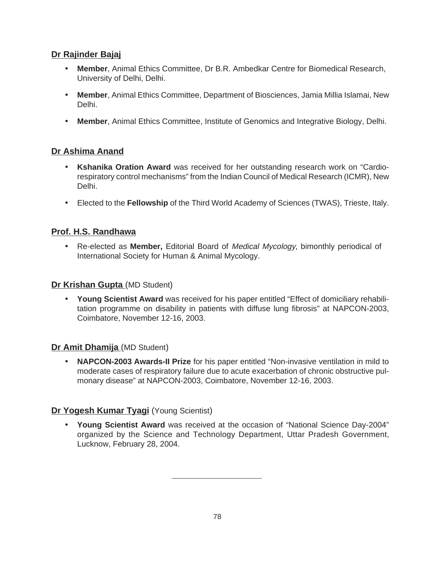#### **Dr Rajinder Bajaj**

- **Member**, Animal Ethics Committee, Dr B.R. Ambedkar Centre for Biomedical Research, University of Delhi, Delhi.
- **Member**, Animal Ethics Committee, Department of Biosciences, Jamia Millia Islamai, New Delhi.
- **Member**, Animal Ethics Committee, Institute of Genomics and Integrative Biology, Delhi.

#### **Dr Ashima Anand**

- **Kshanika Oration Award** was received for her outstanding research work on "Cardiorespiratory control mechanisms" from the Indian Council of Medical Research (ICMR), New Delhi.
- Elected to the **Fellowship** of the Third World Academy of Sciences (TWAS), Trieste, Italy.

#### **Prof. H.S. Randhawa**

• Re-elected as **Member,** Editorial Board of Medical Mycology, bimonthly periodical of International Society for Human & Animal Mycology.

#### **Dr Krishan Gupta** (MD Student)

• **Young Scientist Award** was received for his paper entitled "Effect of domiciliary rehabilitation programme on disability in patients with diffuse lung fibrosis" at NAPCON-2003, Coimbatore, November 12-16, 2003.

#### **Dr Amit Dhamija** (MD Student)

• **NAPCON-2003 Awards-II Prize** for his paper entitled "Non-invasive ventilation in mild to moderate cases of respiratory failure due to acute exacerbation of chronic obstructive pulmonary disease" at NAPCON-2003, Coimbatore, November 12-16, 2003.

#### **Dr Yogesh Kumar Tyagi** (Young Scientist)

• **Young Scientist Award** was received at the occasion of "National Science Day-2004" organized by the Science and Technology Department, Uttar Pradesh Government, Lucknow, February 28, 2004.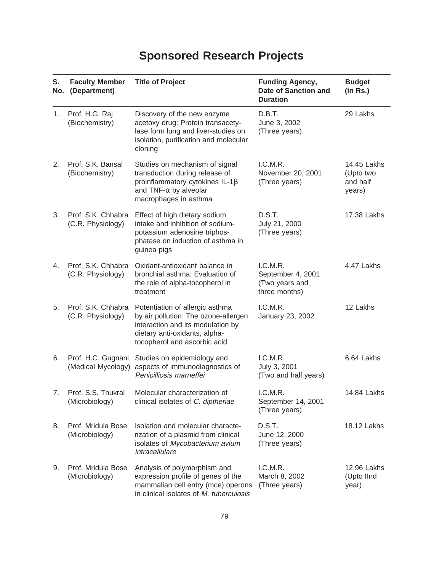# **Sponsored Research Projects**

| S.<br>No. | <b>Faculty Member</b><br>(Department)    | <b>Title of Project</b>                                                                                                                                                       | <b>Funding Agency,</b><br><b>Date of Sanction and</b><br><b>Duration</b> | <b>Budget</b><br>(in Rs.)                      |
|-----------|------------------------------------------|-------------------------------------------------------------------------------------------------------------------------------------------------------------------------------|--------------------------------------------------------------------------|------------------------------------------------|
| 1.        | Prof. H.G. Raj<br>(Biochemistry)         | Discovery of the new enzyme<br>acetoxy drug: Protein transacety-<br>lase form lung and liver-studies on<br>isolation, purification and molecular<br>cloning                   | D.B.T.<br>June 3, 2002<br>(Three years)                                  | 29 Lakhs                                       |
| 2.        | Prof. S.K. Bansal<br>(Biochemistry)      | Studies on mechanism of signal<br>transduction during release of<br>proinflammatory cytokines IL-1 $\beta$<br>and TNF- $\alpha$ by alveolar<br>macrophages in asthma          | I.C.M.R.<br>November 20, 2001<br>(Three years)                           | 14.45 Lakhs<br>(Upto two<br>and half<br>years) |
| 3.        | Prof. S.K. Chhabra<br>(C.R. Physiology)  | Effect of high dietary sodium<br>intake and inhibition of sodium-<br>potassium adenosine triphos-<br>phatase on induction of asthma in<br>guinea pigs                         | D.S.T.<br>July 21, 2000<br>(Three years)                                 | 17.38 Lakhs                                    |
| 4.        | Prof. S.K. Chhabra<br>(C.R. Physiology)  | Oxidant-antioxidant balance in<br>bronchial asthma: Evaluation of<br>the role of alpha-tocopherol in<br>treatment                                                             | I.C.M.R.<br>September 4, 2001<br>(Two years and<br>three months)         | 4.47 Lakhs                                     |
| 5.        | Prof. S.K. Chhabra<br>(C.R. Physiology)  | Potentiation of allergic asthma<br>by air pollution: The ozone-allergen<br>interaction and its modulation by<br>dietary anti-oxidants, alpha-<br>tocopherol and ascorbic acid | I.C.M.R.<br>January 23, 2002                                             | 12 Lakhs                                       |
| 6.        | Prof. H.C. Gugnani<br>(Medical Mycology) | Studies on epidemiology and<br>aspects of immunodiagnostics of<br>Penicilliosis marneffei                                                                                     | I.C.M.R.<br>July 3, 2001<br>(Two and half years)                         | 6.64 Lakhs                                     |
| 7.        | Prof. S.S. Thukral<br>(Microbiology)     | Molecular characterization of<br>clinical isolates of C. diptheriae                                                                                                           | I.C.M.R.<br>September 14, 2001<br>(Three years)                          | 14.84 Lakhs                                    |
| 8.        | Prof. Mridula Bose<br>(Microbiology)     | Isolation and molecular characte-<br>rization of a plasmid from clinical<br>isolates of Mycobacterium avium<br>intracellulare                                                 | D.S.T.<br>June 12, 2000<br>(Three years)                                 | 18.12 Lakhs                                    |
| 9.        | Prof. Mridula Bose<br>(Microbiology)     | Analysis of polymorphism and<br>expression profile of genes of the<br>mammalian cell entry (mce) operons<br>in clinical isolates of M. tuberculosis                           | I.C.M.R.<br>March 8, 2002<br>(Three years)                               | 12.96 Lakhs<br>(Upto IInd<br>year)             |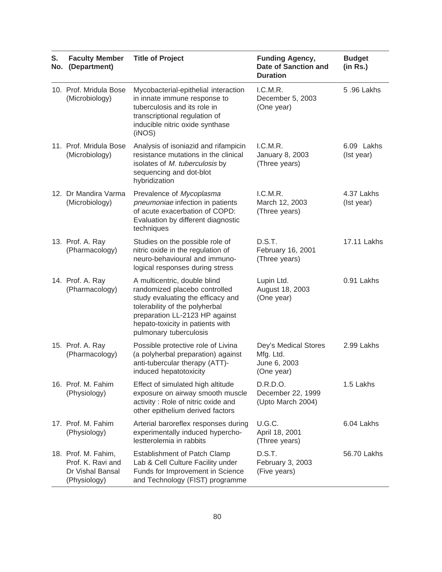| S.<br>No. | <b>Faculty Member</b><br>(Department)                                        | <b>Title of Project</b>                                                                                                                                                                                                              | <b>Funding Agency,</b><br><b>Date of Sanction and</b><br><b>Duration</b> | <b>Budget</b><br>(in Rs.) |
|-----------|------------------------------------------------------------------------------|--------------------------------------------------------------------------------------------------------------------------------------------------------------------------------------------------------------------------------------|--------------------------------------------------------------------------|---------------------------|
|           | 10. Prof. Mridula Bose<br>(Microbiology)                                     | Mycobacterial-epithelial interaction<br>in innate immune response to<br>tuberculosis and its role in<br>transcriptional regulation of<br>inducible nitric oxide synthase<br>(iNOS)                                                   | I.C.M.R.<br>December 5, 2003<br>(One year)                               | 5.96 Lakhs                |
|           | 11. Prof. Mridula Bose<br>(Microbiology)                                     | Analysis of isoniazid and rifampicin<br>resistance mutations in the clinical<br>isolates of M. tuberculosis by<br>sequencing and dot-blot<br>hybridization                                                                           | I.C.M.R.<br><b>January 8, 2003</b><br>(Three years)                      | 6.09 Lakhs<br>(Ist year)  |
|           | 12. Dr Mandira Varma<br>(Microbiology)                                       | Prevalence of Mycoplasma<br>pneumoniae infection in patients<br>of acute exacerbation of COPD:<br>Evaluation by different diagnostic<br>techniques                                                                                   | I.C.M.R.<br>March 12, 2003<br>(Three years)                              | 4.37 Lakhs<br>(Ist year)  |
|           | 13. Prof. A. Ray<br>(Pharmacology)                                           | Studies on the possible role of<br>nitric oxide in the regulation of<br>neuro-behavioural and immuno-<br>logical responses during stress                                                                                             | D.S.T.<br>February 16, 2001<br>(Three years)                             | 17.11 Lakhs               |
|           | 14. Prof. A. Ray<br>(Pharmacology)                                           | A multicentric, double blind<br>randomized placebo controlled<br>study evaluating the efficacy and<br>tolerability of the polyherbal<br>preparation LL-2123 HP against<br>hepato-toxicity in patients with<br>pulmonary tuberculosis | Lupin Ltd.<br>August 18, 2003<br>(One year)                              | 0.91 Lakhs                |
|           | 15. Prof. A. Ray<br>(Pharmacology)                                           | Possible protective role of Livina<br>(a polyherbal preparation) against<br>anti-tubercular therapy (ATT)-<br>induced hepatotoxicity                                                                                                 | Dey's Medical Stores<br>Mfg. Ltd.<br>June 6, 2003<br>(One year)          | 2.99 Lakhs                |
|           | 16. Prof. M. Fahim<br>(Physiology)                                           | Effect of simulated high altitude<br>exposure on airway smooth muscle<br>activity: Role of nitric oxide and<br>other epithelium derived factors                                                                                      | D.R.D.O.<br>December 22, 1999<br>(Upto March 2004)                       | 1.5 Lakhs                 |
|           | 17. Prof. M. Fahim<br>(Physiology)                                           | Arterial baroreflex responses during<br>experimentally induced hypercho-<br>lestterolemia in rabbits                                                                                                                                 | U.G.C.<br>April 18, 2001<br>(Three years)                                | 6.04 Lakhs                |
|           | 18. Prof. M. Fahim,<br>Prof. K. Ravi and<br>Dr Vishal Bansal<br>(Physiology) | <b>Establishment of Patch Clamp</b><br>Lab & Cell Culture Facility under<br>Funds for Improvement in Science<br>and Technology (FIST) programme                                                                                      | D.S.T.<br>February 3, 2003<br>(Five years)                               | 56.70 Lakhs               |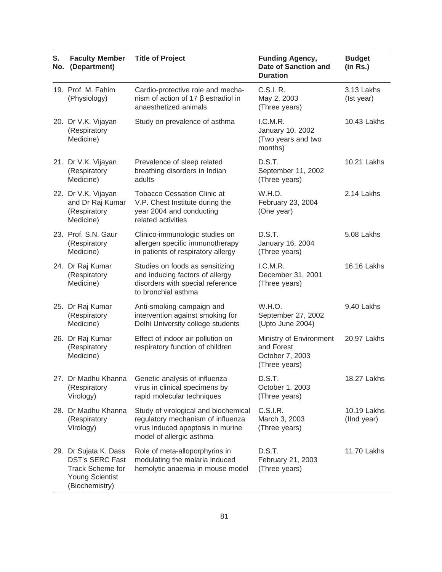| S.<br>No. | <b>Faculty Member</b><br>(Department)                                                                                  | <b>Title of Project</b>                                                                                                                    | <b>Funding Agency,</b><br><b>Date of Sanction and</b><br><b>Duration</b>  | <b>Budget</b><br>(in Rs.)  |
|-----------|------------------------------------------------------------------------------------------------------------------------|--------------------------------------------------------------------------------------------------------------------------------------------|---------------------------------------------------------------------------|----------------------------|
|           | 19. Prof. M. Fahim<br>(Physiology)                                                                                     | Cardio-protective role and mecha-<br>nism of action of 17 $\beta$ estradiol in<br>anaesthetized animals                                    | C.S.I. R.<br>May 2, 2003<br>(Three years)                                 | 3.13 Lakhs<br>(Ist year)   |
|           | 20. Dr V.K. Vijayan<br>(Respiratory<br>Medicine)                                                                       | Study on prevalence of asthma                                                                                                              | L.C.M.R.<br>January 10, 2002<br>(Two years and two<br>months)             | 10.43 Lakhs                |
|           | 21. Dr V.K. Vijayan<br>(Respiratory<br>Medicine)                                                                       | Prevalence of sleep related<br>breathing disorders in Indian<br>adults                                                                     | D.S.T.<br>September 11, 2002<br>(Three years)                             | 10.21 Lakhs                |
|           | 22. Dr V.K. Vijayan<br>and Dr Raj Kumar<br>(Respiratory<br>Medicine)                                                   | <b>Tobacco Cessation Clinic at</b><br>V.P. Chest Institute during the<br>year 2004 and conducting<br>related activities                    | W.H.O.<br>February 23, 2004<br>(One year)                                 | 2.14 Lakhs                 |
|           | 23. Prof. S.N. Gaur<br>(Respiratory<br>Medicine)                                                                       | Clinico-immunologic studies on<br>allergen specific immunotherapy<br>in patients of respiratory allergy                                    | D.S.T.<br>January 16, 2004<br>(Three years)                               | 5.08 Lakhs                 |
|           | 24. Dr Raj Kumar<br>(Respiratory<br>Medicine)                                                                          | Studies on foods as sensitizing<br>and inducing factors of allergy<br>disorders with special reference<br>to bronchial asthma              | L.C.M.R.<br>December 31, 2001<br>(Three years)                            | 16.16 Lakhs                |
|           | 25. Dr Raj Kumar<br>(Respiratory<br>Medicine)                                                                          | Anti-smoking campaign and<br>intervention against smoking for<br>Delhi University college students                                         | W.H.O.<br>September 27, 2002<br>(Upto June 2004)                          | 9.40 Lakhs                 |
|           | 26. Dr Raj Kumar<br>(Respiratory<br>Medicine)                                                                          | Effect of indoor air pollution on<br>respiratory function of children                                                                      | Ministry of Environment<br>and Forest<br>October 7, 2003<br>(Three years) | 20.97 Lakhs                |
|           | 27. Dr Madhu Khanna<br>(Respiratory<br>Virology)                                                                       | Genetic analysis of influenza<br>virus in clinical specimens by<br>rapid molecular techniques                                              | D.S.T.<br>October 1, 2003<br>(Three years)                                | 18.27 Lakhs                |
|           | 28. Dr Madhu Khanna<br>(Respiratory<br>Virology)                                                                       | Study of virological and biochemical<br>regulatory mechanism of influenza<br>virus induced apoptosis in murine<br>model of allergic asthma | C.S.I.R.<br>March 3, 2003<br>(Three years)                                | 10.19 Lakhs<br>(lind year) |
|           | 29. Dr Sujata K. Dass<br><b>DST's SERC Fast</b><br><b>Track Scheme for</b><br><b>Young Scientist</b><br>(Biochemistry) | Role of meta-alloporphyrins in<br>modulating the malaria induced<br>hemolytic anaemia in mouse model                                       | D.S.T.<br>February 21, 2003<br>(Three years)                              | 11.70 Lakhs                |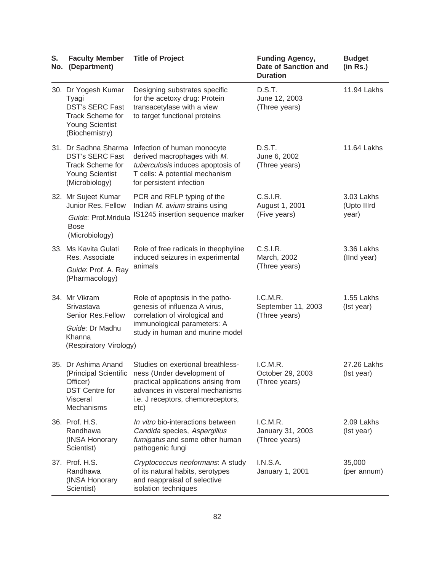| S.<br>No. | <b>Faculty Member</b><br>(Department)                                                                                         | <b>Title of Project</b>                                                                                                                                                                                      | <b>Funding Agency,</b><br>Date of Sanction and<br><b>Duration</b> | <b>Budget</b><br>(in Rs.)          |
|-----------|-------------------------------------------------------------------------------------------------------------------------------|--------------------------------------------------------------------------------------------------------------------------------------------------------------------------------------------------------------|-------------------------------------------------------------------|------------------------------------|
|           | 30. Dr Yogesh Kumar<br>Tyagi<br><b>DST's SERC Fast</b><br><b>Track Scheme for</b><br><b>Young Scientist</b><br>(Biochemistry) | Designing substrates specific<br>for the acetoxy drug: Protein<br>transacetylase with a view<br>to target functional proteins                                                                                | D.S.T.<br>June 12, 2003<br>(Three years)                          | 11.94 Lakhs                        |
|           | 31. Dr Sadhna Sharma<br><b>DST's SERC Fast</b><br>Track Scheme for<br><b>Young Scientist</b><br>(Microbiology)                | Infection of human monocyte<br>derived macrophages with M.<br>tuberculosis induces apoptosis of<br>T cells: A potential mechanism<br>for persistent infection                                                | D.S.T.<br>June 6, 2002<br>(Three years)                           | 11.64 Lakhs                        |
|           | 32. Mr Sujeet Kumar<br>Junior Res. Fellow<br>Guide: Prof.Mridula<br><b>Bose</b><br>(Microbiology)                             | PCR and RFLP typing of the<br>Indian M. avium strains using<br>IS1245 insertion sequence marker                                                                                                              | C.S.I.R.<br>August 1, 2001<br>(Five years)                        | 3.03 Lakhs<br>(Upto IIIrd<br>year) |
|           | 33. Ms Kavita Gulati<br>Res. Associate<br>Guide: Prof. A. Ray<br>(Pharmacology)                                               | Role of free radicals in theophyline<br>induced seizures in experimental<br>animals                                                                                                                          | C.S.I.R.<br>March, 2002<br>(Three years)                          | 3.36 Lakhs<br>(lind year)          |
|           | 34. Mr Vikram<br>Srivastava<br>Senior Res.Fellow<br>Guide: Dr Madhu<br>Khanna<br>(Respiratory Virology)                       | Role of apoptosis in the patho-<br>genesis of influenza A virus,<br>correlation of virological and<br>immunological parameters: A<br>study in human and murine model                                         | I.C.M.R.<br>September 11, 2003<br>(Three years)                   | 1.55 Lakhs<br>(Ist year)           |
|           | 35. Dr Ashima Anand<br>Officer)<br><b>DST Centre for</b><br>Visceral<br>Mechanisms                                            | Studies on exertional breathless-<br>(Principal Scientific ness (Under development of<br>practical applications arising from<br>advances in visceral mechanisms<br>i.e. J receptors, chemoreceptors,<br>etc) | I.C.M.R.<br>October 29, 2003<br>(Three years)                     | 27.26 Lakhs<br>(Ist year)          |
|           | 36. Prof. H.S.<br>Randhawa<br>(INSA Honorary<br>Scientist)                                                                    | In vitro bio-interactions between<br>Candida species, Aspergillus<br>fumigatus and some other human<br>pathogenic fungi                                                                                      | I.C.M.R.<br>January 31, 2003<br>(Three years)                     | 2.09 Lakhs<br>(Ist year)           |
|           | 37. Prof. H.S.<br>Randhawa<br>(INSA Honorary<br>Scientist)                                                                    | Cryptococcus neoformans: A study<br>of its natural habits, serotypes<br>and reappraisal of selective<br>isolation techniques                                                                                 | <b>I.N.S.A.</b><br>January 1, 2001                                | 35,000<br>(per annum)              |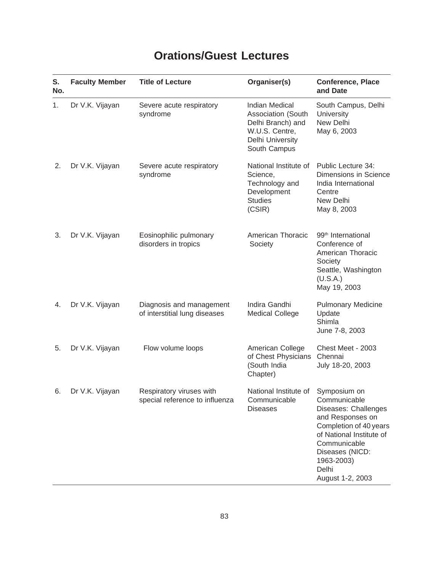## **Orations/Guest Lectures**

| S.<br>No. | <b>Faculty Member</b> | <b>Title of Lecture</b>                                    | Organiser(s)                                                                                                           | <b>Conference, Place</b><br>and Date                                                                                                                                                                         |
|-----------|-----------------------|------------------------------------------------------------|------------------------------------------------------------------------------------------------------------------------|--------------------------------------------------------------------------------------------------------------------------------------------------------------------------------------------------------------|
| 1.        | Dr V.K. Vijayan       | Severe acute respiratory<br>syndrome                       | <b>Indian Medical</b><br>Association (South<br>Delhi Branch) and<br>W.U.S. Centre,<br>Delhi University<br>South Campus | South Campus, Delhi<br><b>University</b><br>New Delhi<br>May 6, 2003                                                                                                                                         |
| 2.        | Dr V.K. Vijayan       | Severe acute respiratory<br>syndrome                       | National Institute of<br>Science,<br>Technology and<br>Development<br><b>Studies</b><br>(CSIR)                         | Public Lecture 34:<br>Dimensions in Science<br>India International<br>Centre<br>New Delhi<br>May 8, 2003                                                                                                     |
| 3.        | Dr V.K. Vijayan       | Eosinophilic pulmonary<br>disorders in tropics             | American Thoracic<br>Society                                                                                           | 99 <sup>th</sup> International<br>Conference of<br>American Thoracic<br>Society<br>Seattle, Washington<br>(U.S.A.)<br>May 19, 2003                                                                           |
| 4.        | Dr V.K. Vijayan       | Diagnosis and management<br>of interstitial lung diseases  | Indira Gandhi<br><b>Medical College</b>                                                                                | <b>Pulmonary Medicine</b><br>Update<br>Shimla<br>June 7-8, 2003                                                                                                                                              |
| 5.        | Dr V.K. Vijayan       | Flow volume loops                                          | American College<br>of Chest Physicians<br>(South India<br>Chapter)                                                    | Chest Meet - 2003<br>Chennai<br>July 18-20, 2003                                                                                                                                                             |
| 6.        | Dr V.K. Vijayan       | Respiratory viruses with<br>special reference to influenza | National Institute of<br>Communicable<br><b>Diseases</b>                                                               | Symposium on<br>Communicable<br>Diseases: Challenges<br>and Responses on<br>Completion of 40 years<br>of National Institute of<br>Communicable<br>Diseases (NICD:<br>1963-2003)<br>Delhi<br>August 1-2, 2003 |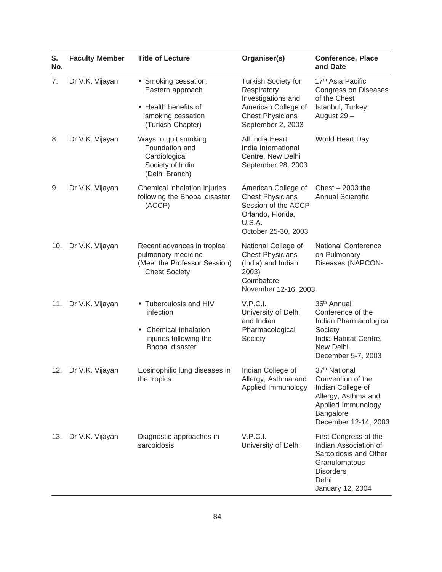| S.<br>No. | <b>Faculty Member</b> | <b>Title of Lecture</b>                                                                                                            | Organiser(s)                                                                                                                           | <b>Conference, Place</b><br>and Date                                                                                                                  |
|-----------|-----------------------|------------------------------------------------------------------------------------------------------------------------------------|----------------------------------------------------------------------------------------------------------------------------------------|-------------------------------------------------------------------------------------------------------------------------------------------------------|
| 7.        | Dr V.K. Vijayan       | • Smoking cessation:<br>Eastern approach<br>• Health benefits of<br>smoking cessation<br>(Turkish Chapter)                         | <b>Turkish Society for</b><br>Respiratory<br>Investigations and<br>American College of<br><b>Chest Physicians</b><br>September 2, 2003 | 17 <sup>th</sup> Asia Pacific<br><b>Congress on Diseases</b><br>of the Chest<br>Istanbul, Turkey<br>August 29 -                                       |
| 8.        | Dr V.K. Vijayan       | Ways to quit smoking<br>Foundation and<br>Cardiological<br>Society of India<br>(Delhi Branch)                                      | All India Heart<br>India International<br>Centre, New Delhi<br>September 28, 2003                                                      | World Heart Day                                                                                                                                       |
| 9.        | Dr V.K. Vijayan       | Chemical inhalation injuries<br>following the Bhopal disaster<br>(ACCP)                                                            | American College of<br><b>Chest Physicians</b><br>Session of the ACCP<br>Orlando, Florida,<br>U.S.A.<br>October 25-30, 2003            | Chest $-2003$ the<br><b>Annual Scientific</b>                                                                                                         |
| 10.       | Dr V.K. Vijayan       | Recent advances in tropical<br>pulmonary medicine<br>(Meet the Professor Session)<br><b>Chest Society</b>                          | National College of<br><b>Chest Physicians</b><br>(India) and Indian<br>2003)<br>Coimbatore<br>November 12-16, 2003                    | <b>National Conference</b><br>on Pulmonary<br>Diseases (NAPCON-                                                                                       |
| 11.       | Dr V.K. Vijayan       | • Tuberculosis and HIV<br>infection<br><b>Chemical inhalation</b><br>$\bullet$<br>injuries following the<br><b>Bhopal disaster</b> | V.P.C.I.<br>University of Delhi<br>and Indian<br>Pharmacological<br>Society                                                            | 36 <sup>th</sup> Annual<br>Conference of the<br>Indian Pharmacological<br>Society<br>India Habitat Centre,<br>New Delhi<br>December 5-7, 2003         |
| 12.       | Dr V.K. Vijayan       | Eosinophilic lung diseases in<br>the tropics                                                                                       | Indian College of<br>Allergy, Asthma and<br>Applied Immunology                                                                         | 37 <sup>th</sup> National<br>Convention of the<br>Indian College of<br>Allergy, Asthma and<br>Applied Immunology<br>Bangalore<br>December 12-14, 2003 |
|           | 13. Dr V.K. Vijayan   | Diagnostic approaches in<br>sarcoidosis                                                                                            | V.P.C.I.<br>University of Delhi                                                                                                        | First Congress of the<br>Indian Association of<br>Sarcoidosis and Other<br>Granulomatous<br><b>Disorders</b><br>Delhi<br>January 12, 2004             |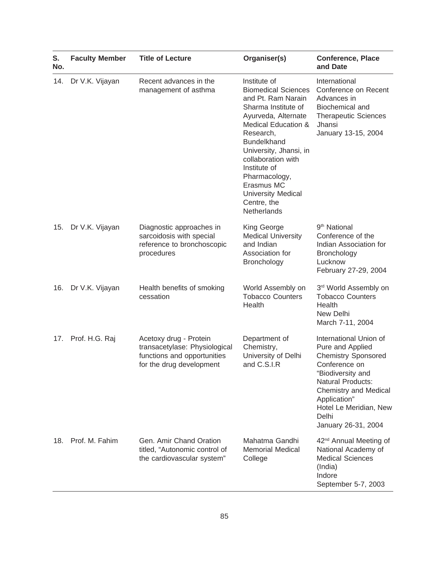| S.<br>No. | <b>Faculty Member</b> | <b>Title of Lecture</b>                                                                                            | Organiser(s)                                                                                                                                                                                                                                                                                                                              | <b>Conference, Place</b><br>and Date                                                                                                                                                                                                                 |
|-----------|-----------------------|--------------------------------------------------------------------------------------------------------------------|-------------------------------------------------------------------------------------------------------------------------------------------------------------------------------------------------------------------------------------------------------------------------------------------------------------------------------------------|------------------------------------------------------------------------------------------------------------------------------------------------------------------------------------------------------------------------------------------------------|
| 14.       | Dr V.K. Vijayan       | Recent advances in the<br>management of asthma                                                                     | Institute of<br><b>Biomedical Sciences</b><br>and Pt. Ram Narain<br>Sharma Institute of<br>Ayurveda, Alternate<br>Medical Education &<br>Research,<br><b>Bundelkhand</b><br>University, Jhansi, in<br>collaboration with<br>Institute of<br>Pharmacology,<br>Erasmus MC<br><b>University Medical</b><br>Centre, the<br><b>Netherlands</b> | International<br>Conference on Recent<br>Advances in<br>Biochemical and<br><b>Therapeutic Sciences</b><br>Jhansi<br>January 13-15, 2004                                                                                                              |
| 15.       | Dr V.K. Vijayan       | Diagnostic approaches in<br>sarcoidosis with special<br>reference to bronchoscopic<br>procedures                   | King George<br><b>Medical University</b><br>and Indian<br>Association for<br><b>Bronchology</b>                                                                                                                                                                                                                                           | 9 <sup>th</sup> National<br>Conference of the<br>Indian Association for<br>Bronchology<br>Lucknow<br>February 27-29, 2004                                                                                                                            |
| 16.       | Dr V.K. Vijayan       | Health benefits of smoking<br>cessation                                                                            | World Assembly on<br><b>Tobacco Counters</b><br>Health                                                                                                                                                                                                                                                                                    | 3rd World Assembly on<br><b>Tobacco Counters</b><br>Health<br>New Delhi<br>March 7-11, 2004                                                                                                                                                          |
| 17.       | Prof. H.G. Raj        | Acetoxy drug - Protein<br>transacetylase: Physiological<br>functions and opportunities<br>for the drug development | Department of<br>Chemistry,<br>University of Delhi<br>and C.S.I.R                                                                                                                                                                                                                                                                         | International Union of<br>Pure and Applied<br><b>Chemistry Sponsored</b><br>Conference on<br>"Biodiversity and<br><b>Natural Products:</b><br><b>Chemistry and Medical</b><br>Application"<br>Hotel Le Meridian, New<br>Delhi<br>January 26-31, 2004 |
| 18.       | Prof. M. Fahim        | Gen. Amir Chand Oration<br>titled, "Autonomic control of<br>the cardiovascular system"                             | Mahatma Gandhi<br><b>Memorial Medical</b><br>College                                                                                                                                                                                                                                                                                      | 42 <sup>nd</sup> Annual Meeting of<br>National Academy of<br><b>Medical Sciences</b><br>(India)<br>Indore<br>September 5-7, 2003                                                                                                                     |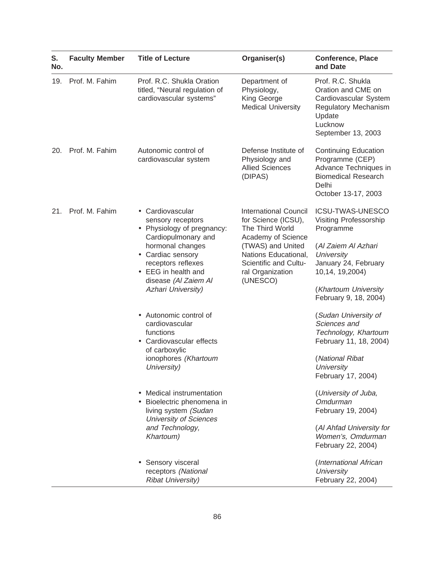| S.<br>No. | <b>Faculty Member</b> | <b>Title of Lecture</b>                                                                                                                                                                                                                                                                                                                                                   | Organiser(s)                                                                                                                                                                                | <b>Conference, Place</b><br>and Date                                                                                                                                                                                                                                                                                |
|-----------|-----------------------|---------------------------------------------------------------------------------------------------------------------------------------------------------------------------------------------------------------------------------------------------------------------------------------------------------------------------------------------------------------------------|---------------------------------------------------------------------------------------------------------------------------------------------------------------------------------------------|---------------------------------------------------------------------------------------------------------------------------------------------------------------------------------------------------------------------------------------------------------------------------------------------------------------------|
| 19.       | Prof. M. Fahim        | Prof. R.C. Shukla Oration<br>titled, "Neural regulation of<br>cardiovascular systems"                                                                                                                                                                                                                                                                                     | Department of<br>Physiology,<br>King George<br><b>Medical University</b>                                                                                                                    | Prof. R.C. Shukla<br>Oration and CME on<br>Cardiovascular System<br>Regulatory Mechanism<br>Update<br>Lucknow<br>September 13, 2003                                                                                                                                                                                 |
| 20.       | Prof. M. Fahim        | Autonomic control of<br>cardiovascular system                                                                                                                                                                                                                                                                                                                             | Defense Institute of<br>Physiology and<br><b>Allied Sciences</b><br>(DIPAS)                                                                                                                 | <b>Continuing Education</b><br>Programme (CEP)<br>Advance Techniques in<br><b>Biomedical Research</b><br>Delhi<br>October 13-17, 2003                                                                                                                                                                               |
| 21.       | Prof. M. Fahim        | • Cardiovascular<br>sensory receptors<br>• Physiology of pregnancy:<br>Cardiopulmonary and<br>hormonal changes<br>• Cardiac sensory<br>receptors reflexes<br>• EEG in health and<br>disease (Al Zaiem Al<br>Azhari University)<br>• Autonomic control of<br>cardiovascular<br>functions<br>Cardiovascular effects<br>of carboxylic<br>ionophores (Khartoum<br>University) | International Council<br>for Science (ICSU),<br>The Third World<br>Academy of Science<br>(TWAS) and United<br>Nations Educational,<br>Scientific and Cultu-<br>ral Organization<br>(UNESCO) | ICSU-TWAS-UNESCO<br>Visiting Professorship<br>Programme<br>(Al Zaiem Al Azhari<br>University<br>January 24, February<br>10,14, 19,2004)<br>(Khartoum University<br>February 9, 18, 2004)<br>(Sudan University of<br>Sciences and<br>Technology, Khartoum<br>February 11, 18, 2004)<br>(National Ribat<br>University |
|           |                       | Medical instrumentation<br>Bioelectric phenomena in<br>living system (Sudan<br><b>University of Sciences</b><br>and Technology,<br>Khartoum)                                                                                                                                                                                                                              |                                                                                                                                                                                             | February 17, 2004)<br>(University of Juba,<br>Omdurman<br>February 19, 2004)<br>(Al Ahfad University for<br>Women's, Omdurman<br>February 22, 2004)                                                                                                                                                                 |
|           |                       | Sensory visceral<br>receptors (National<br><b>Ribat University)</b>                                                                                                                                                                                                                                                                                                       |                                                                                                                                                                                             | (International African<br><b>University</b><br>February 22, 2004)                                                                                                                                                                                                                                                   |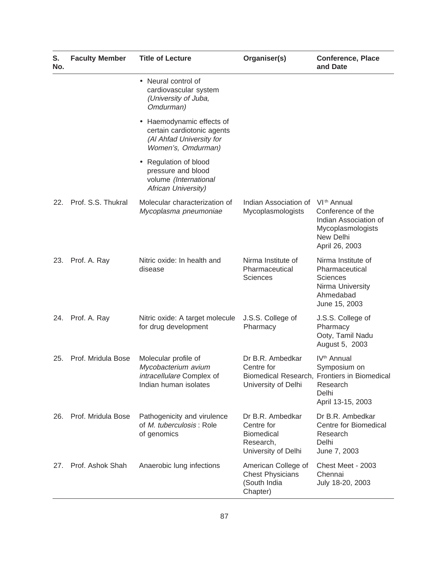| S.<br>No. | <b>Faculty Member</b> | <b>Title of Lecture</b>                                                                                              | Organiser(s)                                                                     | <b>Conference, Place</b><br>and Date                                                                                              |
|-----------|-----------------------|----------------------------------------------------------------------------------------------------------------------|----------------------------------------------------------------------------------|-----------------------------------------------------------------------------------------------------------------------------------|
|           |                       | • Neural control of<br>cardiovascular system<br>(University of Juba,<br>Omdurman)                                    |                                                                                  |                                                                                                                                   |
|           |                       | Haemodynamic effects of<br>$\bullet$<br>certain cardiotonic agents<br>(Al Ahfad University for<br>Women's, Omdurman) |                                                                                  |                                                                                                                                   |
|           |                       | Regulation of blood<br>$\bullet$<br>pressure and blood<br>volume (International<br>African University)               |                                                                                  |                                                                                                                                   |
| 22.       | Prof. S.S. Thukral    | Molecular characterization of<br>Mycoplasma pneumoniae                                                               | Indian Association of<br>Mycoplasmologists                                       | VI <sup>th</sup> Annual<br>Conference of the<br>Indian Association of<br>Mycoplasmologists<br>New Delhi<br>April 26, 2003         |
| 23.       | Prof. A. Ray          | Nitric oxide: In health and<br>disease                                                                               | Nirma Institute of<br>Pharmaceutical<br>Sciences                                 | Nirma Institute of<br>Pharmaceutical<br><b>Sciences</b><br>Nirma University<br>Ahmedabad<br>June 15, 2003                         |
|           | 24. Prof. A. Ray      | Nitric oxide: A target molecule<br>for drug development                                                              | J.S.S. College of<br>Pharmacy                                                    | J.S.S. College of<br>Pharmacy<br>Ooty, Tamil Nadu<br>August 5, 2003                                                               |
| 25.       | Prof. Mridula Bose    | Molecular profile of<br>Mycobacterium avium<br>intracellulare Complex of<br>Indian human isolates                    | Dr B.R. Ambedkar<br>Centre for<br>University of Delhi                            | IV <sup>th</sup> Annual<br>Symposium on<br>Biomedical Research, Frontiers in Biomedical<br>Research<br>Delhi<br>April 13-15, 2003 |
| 26.       | Prof. Mridula Bose    | Pathogenicity and virulence<br>of M. tuberculosis: Role<br>of genomics                                               | Dr B.R. Ambedkar<br>Centre for<br>Biomedical<br>Research,<br>University of Delhi | Dr B.R. Ambedkar<br>Centre for Biomedical<br>Research<br>Delhi<br>June 7, 2003                                                    |
| 27.       | Prof. Ashok Shah      | Anaerobic lung infections                                                                                            | American College of<br><b>Chest Physicians</b><br>(South India<br>Chapter)       | Chest Meet - 2003<br>Chennai<br>July 18-20, 2003                                                                                  |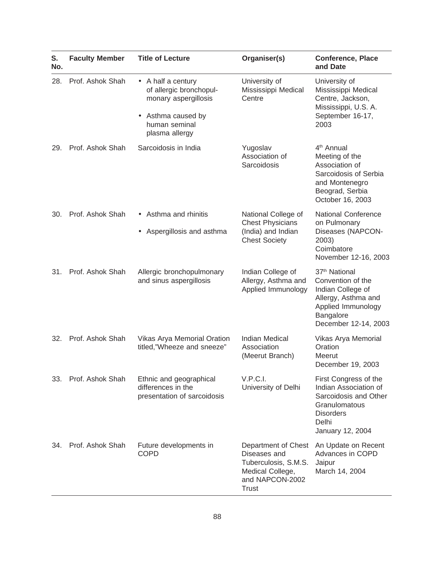| S.<br>No. | <b>Faculty Member</b> | <b>Title of Lecture</b>                                                      | Organiser(s)                                                                                                | <b>Conference, Place</b><br>and Date                                                                                                                  |
|-----------|-----------------------|------------------------------------------------------------------------------|-------------------------------------------------------------------------------------------------------------|-------------------------------------------------------------------------------------------------------------------------------------------------------|
| 28.       | Prof. Ashok Shah      | • A half a century<br>of allergic bronchopul-<br>monary aspergillosis        | University of<br>Mississippi Medical<br>Centre                                                              | University of<br>Mississippi Medical<br>Centre, Jackson,<br>Mississippi, U.S. A.                                                                      |
|           |                       | Asthma caused by<br>$\bullet$<br>human seminal<br>plasma allergy             |                                                                                                             | September 16-17,<br>2003                                                                                                                              |
| 29.       | Prof. Ashok Shah      | Sarcoidosis in India                                                         | Yugoslav<br>Association of<br>Sarcoidosis                                                                   | 4 <sup>th</sup> Annual<br>Meeting of the<br>Association of<br>Sarcoidosis of Serbia<br>and Montenegro<br>Beograd, Serbia<br>October 16, 2003          |
| 30.       | Prof. Ashok Shah      | • Asthma and rhinitis                                                        | National College of<br><b>Chest Physicians</b>                                                              | <b>National Conference</b><br>on Pulmonary                                                                                                            |
|           |                       | Aspergillosis and asthma<br>$\bullet$                                        | (India) and Indian<br><b>Chest Society</b>                                                                  | Diseases (NAPCON-<br>2003)<br>Coimbatore<br>November 12-16, 2003                                                                                      |
| 31.       | Prof. Ashok Shah      | Allergic bronchopulmonary<br>and sinus aspergillosis                         | Indian College of<br>Allergy, Asthma and<br>Applied Immunology                                              | 37 <sup>th</sup> National<br>Convention of the<br>Indian College of<br>Allergy, Asthma and<br>Applied Immunology<br>Bangalore<br>December 12-14, 2003 |
| 32.       | Prof. Ashok Shah      | Vikas Arya Memorial Oration<br>titled,"Wheeze and sneeze"                    | <b>Indian Medical</b><br>Association<br>(Meerut Branch)                                                     | Vikas Arya Memorial<br>Oration<br>Meerut<br>December 19, 2003                                                                                         |
| 33.       | Prof. Ashok Shah      | Ethnic and geographical<br>differences in the<br>presentation of sarcoidosis | V.P.C.I.<br>University of Delhi                                                                             | First Congress of the<br>Indian Association of<br>Sarcoidosis and Other<br>Granulomatous<br><b>Disorders</b><br>Delhi<br>January 12, 2004             |
| 34.       | Prof. Ashok Shah      | Future developments in<br><b>COPD</b>                                        | Department of Chest<br>Diseases and<br>Tuberculosis, S.M.S.<br>Medical College,<br>and NAPCON-2002<br>Trust | An Update on Recent<br>Advances in COPD<br>Jaipur<br>March 14, 2004                                                                                   |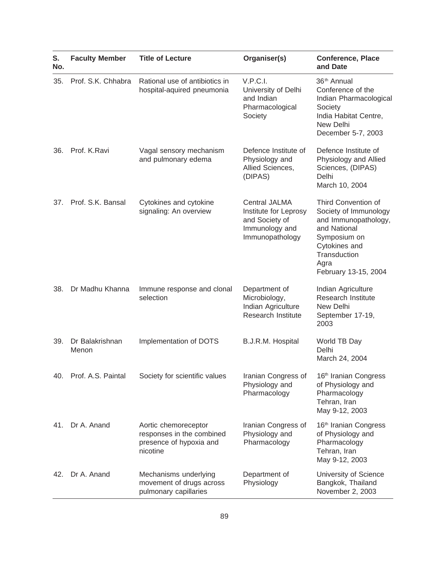| S.<br>No. | <b>Faculty Member</b>    | <b>Title of Lecture</b>                                                                  | Organiser(s)                                                                                  | <b>Conference, Place</b><br>and Date                                                                                                                                  |
|-----------|--------------------------|------------------------------------------------------------------------------------------|-----------------------------------------------------------------------------------------------|-----------------------------------------------------------------------------------------------------------------------------------------------------------------------|
| 35.       | Prof. S.K. Chhabra       | Rational use of antibiotics in<br>hospital-aquired pneumonia                             | V.P.C.I.<br>University of Delhi<br>and Indian<br>Pharmacological<br>Society                   | 36 <sup>th</sup> Annual<br>Conference of the<br>Indian Pharmacological<br>Society<br>India Habitat Centre,<br>New Delhi<br>December 5-7, 2003                         |
| 36.       | Prof. K.Ravi             | Vagal sensory mechanism<br>and pulmonary edema                                           | Defence Institute of<br>Physiology and<br>Allied Sciences,<br>(DIPAS)                         | Defence Institute of<br>Physiology and Allied<br>Sciences, (DIPAS)<br>Delhi<br>March 10, 2004                                                                         |
| 37.       | Prof. S.K. Bansal        | Cytokines and cytokine<br>signaling: An overview                                         | Central JALMA<br>Institute for Leprosy<br>and Society of<br>Immunology and<br>Immunopathology | Third Convention of<br>Society of Immunology<br>and Immunopathology,<br>and National<br>Symposium on<br>Cytokines and<br>Transduction<br>Agra<br>February 13-15, 2004 |
| 38.       | Dr Madhu Khanna          | Immune response and clonal<br>selection                                                  | Department of<br>Microbiology,<br>Indian Agriculture<br>Research Institute                    | Indian Agriculture<br>Research Institute<br>New Delhi<br>September 17-19,<br>2003                                                                                     |
| 39.       | Dr Balakrishnan<br>Menon | Implementation of DOTS                                                                   | B.J.R.M. Hospital                                                                             | World TB Day<br>Delhi<br>March 24, 2004                                                                                                                               |
|           | 40. Prof. A.S. Paintal   | Society for scientific values                                                            | Iranian Congress of<br>Physiology and<br>Pharmacology                                         | 16th Iranian Congress<br>of Physiology and<br>Pharmacology<br>Tehran, Iran<br>May 9-12, 2003                                                                          |
| 41.       | Dr A. Anand              | Aortic chemoreceptor<br>responses in the combined<br>presence of hypoxia and<br>nicotine | Iranian Congress of<br>Physiology and<br>Pharmacology                                         | 16 <sup>th</sup> Iranian Congress<br>of Physiology and<br>Pharmacology<br>Tehran, Iran<br>May 9-12, 2003                                                              |
| 42.       | Dr A. Anand              | Mechanisms underlying<br>movement of drugs across<br>pulmonary capillaries               | Department of<br>Physiology                                                                   | University of Science<br>Bangkok, Thailand<br>November 2, 2003                                                                                                        |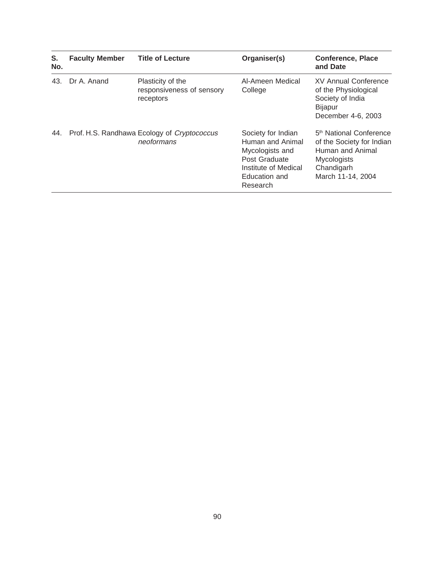| S.<br>No. | <b>Faculty Member</b> | <b>Title of Lecture</b>                                     | Organiser(s)                                                                                                                    | <b>Conference, Place</b><br>and Date                                                                                                          |
|-----------|-----------------------|-------------------------------------------------------------|---------------------------------------------------------------------------------------------------------------------------------|-----------------------------------------------------------------------------------------------------------------------------------------------|
| 43.       | Dr A. Anand           | Plasticity of the<br>responsiveness of sensory<br>receptors | Al-Ameen Medical<br>College                                                                                                     | <b>XV Annual Conference</b><br>of the Physiological<br>Society of India<br><b>Bijapur</b><br>December 4-6, 2003                               |
| 44.       |                       | Prof. H.S. Randhawa Ecology of Cryptococcus<br>neoformans   | Society for Indian<br>Human and Animal<br>Mycologists and<br>Post Graduate<br>Institute of Medical<br>Education and<br>Research | 5 <sup>th</sup> National Conference<br>of the Society for Indian<br>Human and Animal<br><b>Mycologists</b><br>Chandigarh<br>March 11-14, 2004 |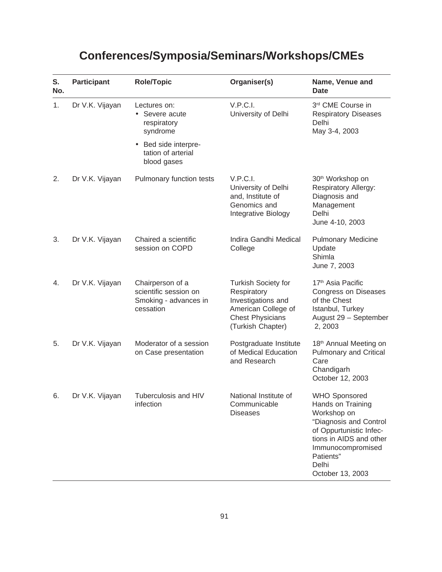| S.<br>No. | <b>Participant</b> | <b>Role/Topic</b>                                                               | Organiser(s)                                                                                                                           | Name, Venue and<br><b>Date</b>                                                                                                                                                                          |
|-----------|--------------------|---------------------------------------------------------------------------------|----------------------------------------------------------------------------------------------------------------------------------------|---------------------------------------------------------------------------------------------------------------------------------------------------------------------------------------------------------|
| 1.        | Dr V.K. Vijayan    | Lectures on:<br>Severe acute<br>respiratory<br>syndrome                         | V.P.C.I.<br>University of Delhi                                                                                                        | 3rd CME Course in<br><b>Respiratory Diseases</b><br>Delhi<br>May 3-4, 2003                                                                                                                              |
|           |                    | Bed side interpre-<br>$\bullet$<br>tation of arterial<br>blood gases            |                                                                                                                                        |                                                                                                                                                                                                         |
| 2.        | Dr V.K. Vijayan    | Pulmonary function tests                                                        | V.P.C.I.<br>University of Delhi<br>and, Institute of<br>Genomics and<br>Integrative Biology                                            | 30 <sup>th</sup> Workshop on<br>Respiratory Allergy:<br>Diagnosis and<br>Management<br>Delhi<br>June 4-10, 2003                                                                                         |
| 3.        | Dr V.K. Vijayan    | Chaired a scientific<br>session on COPD                                         | Indira Gandhi Medical<br>College                                                                                                       | <b>Pulmonary Medicine</b><br>Update<br>Shimla<br>June 7, 2003                                                                                                                                           |
| 4.        | Dr V.K. Vijayan    | Chairperson of a<br>scientific session on<br>Smoking - advances in<br>cessation | <b>Turkish Society for</b><br>Respiratory<br>Investigations and<br>American College of<br><b>Chest Physicians</b><br>(Turkish Chapter) | 17 <sup>th</sup> Asia Pacific<br>Congress on Diseases<br>of the Chest<br>Istanbul, Turkey<br>August 29 - September<br>2, 2003                                                                           |
| 5.        | Dr V.K. Vijayan    | Moderator of a session<br>on Case presentation                                  | Postgraduate Institute<br>of Medical Education<br>and Research                                                                         | 18 <sup>th</sup> Annual Meeting on<br><b>Pulmonary and Critical</b><br>Care<br>Chandigarh<br>October 12, 2003                                                                                           |
| 6.        | Dr V.K. Vijayan    | Tuberculosis and HIV<br>infection                                               | National Institute of<br>Communicable<br><b>Diseases</b>                                                                               | <b>WHO Sponsored</b><br>Hands on Training<br>Workshop on<br>"Diagnosis and Control<br>of Oppurtunistic Infec-<br>tions in AIDS and other<br>Immunocompromised<br>Patients"<br>Delhi<br>October 13, 2003 |

# **Conferences/Symposia/Seminars/Workshops/CMEs**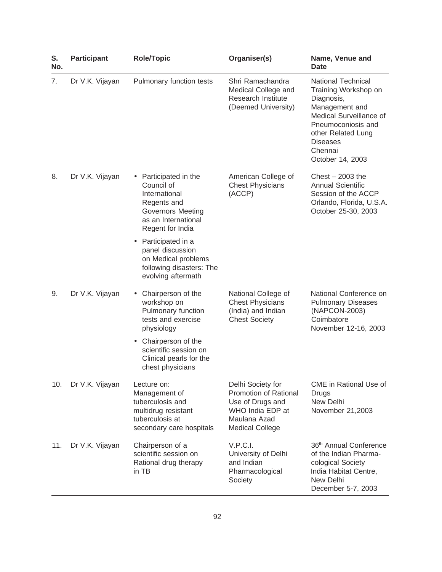| S.<br>No. | <b>Participant</b> | <b>Role/Topic</b>                                                                                                                                     | Organiser(s)                                                                                                                        | Name, Venue and<br>Date                                                                                                                                                                                    |
|-----------|--------------------|-------------------------------------------------------------------------------------------------------------------------------------------------------|-------------------------------------------------------------------------------------------------------------------------------------|------------------------------------------------------------------------------------------------------------------------------------------------------------------------------------------------------------|
| 7.        | Dr V.K. Vijayan    | Pulmonary function tests                                                                                                                              | Shri Ramachandra<br>Medical College and<br>Research Institute<br>(Deemed University)                                                | <b>National Technical</b><br>Training Workshop on<br>Diagnosis,<br>Management and<br>Medical Surveillance of<br>Pneumoconiosis and<br>other Related Lung<br><b>Diseases</b><br>Chennai<br>October 14, 2003 |
| 8.        | Dr V.K. Vijayan    | Participated in the<br>$\bullet$<br>Council of<br>International<br>Regents and<br><b>Governors Meeting</b><br>as an International<br>Regent for India | American College of<br><b>Chest Physicians</b><br>(ACCP)                                                                            | Chest $-2003$ the<br><b>Annual Scientific</b><br>Session of the ACCP<br>Orlando, Florida, U.S.A.<br>October 25-30, 2003                                                                                    |
|           |                    | • Participated in a<br>panel discussion<br>on Medical problems<br>following disasters: The<br>evolving aftermath                                      |                                                                                                                                     |                                                                                                                                                                                                            |
| 9.        | Dr V.K. Vijayan    | Chairperson of the<br>workshop on<br>Pulmonary function<br>tests and exercise<br>physiology                                                           | National College of<br><b>Chest Physicians</b><br>(India) and Indian<br><b>Chest Society</b>                                        | National Conference on<br><b>Pulmonary Diseases</b><br>(NAPCON-2003)<br>Coimbatore<br>November 12-16, 2003                                                                                                 |
|           |                    | Chairperson of the<br>$\bullet$<br>scientific session on<br>Clinical pearls for the<br>chest physicians                                               |                                                                                                                                     |                                                                                                                                                                                                            |
| 10.       | Dr V.K. Vijayan    | Lecture on:<br>Management of<br>tuberculosis and<br>multidrug resistant<br>tuberculosis at<br>secondary care hospitals                                | Delhi Society for<br><b>Promotion of Rational</b><br>Use of Drugs and<br>WHO India EDP at<br>Maulana Azad<br><b>Medical College</b> | CME in Rational Use of<br>Drugs<br>New Delhi<br>November 21,2003                                                                                                                                           |
| 11.       | Dr V.K. Vijayan    | Chairperson of a<br>scientific session on<br>Rational drug therapy<br>in TB                                                                           | V.P.C.I.<br>University of Delhi<br>and Indian<br>Pharmacological<br>Society                                                         | 36th Annual Conference<br>of the Indian Pharma-<br>cological Society<br>India Habitat Centre,<br>New Delhi<br>December 5-7, 2003                                                                           |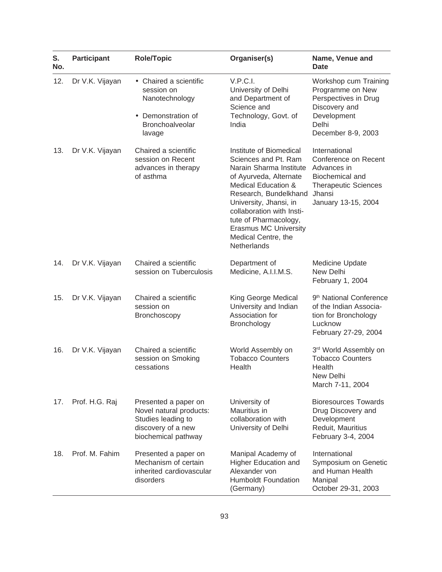| S.<br>No. | <b>Participant</b> | <b>Role/Topic</b>                                                                                                  | Organiser(s)                                                                                                                                                                                                                                                                                               | Name, Venue and<br><b>Date</b>                                                                                                          |
|-----------|--------------------|--------------------------------------------------------------------------------------------------------------------|------------------------------------------------------------------------------------------------------------------------------------------------------------------------------------------------------------------------------------------------------------------------------------------------------------|-----------------------------------------------------------------------------------------------------------------------------------------|
| 12.       | Dr V.K. Vijayan    | • Chaired a scientific<br>session on<br>Nanotechnology                                                             | V.P.C.I.<br>University of Delhi<br>and Department of<br>Science and                                                                                                                                                                                                                                        | Workshop cum Training<br>Programme on New<br>Perspectives in Drug<br>Discovery and                                                      |
|           |                    | Demonstration of<br>$\bullet$<br><b>Bronchoalveolar</b><br>lavage                                                  | Technology, Govt. of<br>India                                                                                                                                                                                                                                                                              | Development<br>Delhi<br>December 8-9, 2003                                                                                              |
| 13.       | Dr V.K. Vijayan    | Chaired a scientific<br>session on Recent<br>advances in therapy<br>of asthma                                      | Institute of Biomedical<br>Sciences and Pt. Ram<br>Narain Sharma Institute<br>of Ayurveda, Alternate<br>Medical Education &<br>Research, Bundelkhand<br>University, Jhansi, in<br>collaboration with Insti-<br>tute of Pharmacology,<br><b>Erasmus MC University</b><br>Medical Centre, the<br>Netherlands | International<br>Conference on Recent<br>Advances in<br>Biochemical and<br><b>Therapeutic Sciences</b><br>Jhansi<br>January 13-15, 2004 |
| 14.       | Dr V.K. Vijayan    | Chaired a scientific<br>session on Tuberculosis                                                                    | Department of<br>Medicine, A.I.I.M.S.                                                                                                                                                                                                                                                                      | Medicine Update<br>New Delhi<br>February 1, 2004                                                                                        |
| 15.       | Dr V.K. Vijayan    | Chaired a scientific<br>session on<br>Bronchoscopy                                                                 | King George Medical<br>University and Indian<br>Association for<br><b>Bronchology</b>                                                                                                                                                                                                                      | 9 <sup>th</sup> National Conference<br>of the Indian Associa-<br>tion for Bronchology<br>Lucknow<br>February 27-29, 2004                |
| 16.       | Dr V.K. Vijayan    | Chaired a scientific<br>session on Smoking<br>cessations                                                           | World Assembly on<br><b>Tobacco Counters</b><br>Health                                                                                                                                                                                                                                                     | 3rd World Assembly on<br><b>Tobacco Counters</b><br>Health<br>New Delhi<br>March 7-11, 2004                                             |
| 17.       | Prof. H.G. Raj     | Presented a paper on<br>Novel natural products:<br>Studies leading to<br>discovery of a new<br>biochemical pathway | University of<br>Mauritius in<br>collaboration with<br>University of Delhi                                                                                                                                                                                                                                 | <b>Bioresources Towards</b><br>Drug Discovery and<br>Development<br>Reduit, Mauritius<br>February 3-4, 2004                             |
| 18.       | Prof. M. Fahim     | Presented a paper on<br>Mechanism of certain<br>inherited cardiovascular<br>disorders                              | Manipal Academy of<br><b>Higher Education and</b><br>Alexander von<br><b>Humboldt Foundation</b><br>(Germany)                                                                                                                                                                                              | International<br>Symposium on Genetic<br>and Human Health<br>Manipal<br>October 29-31, 2003                                             |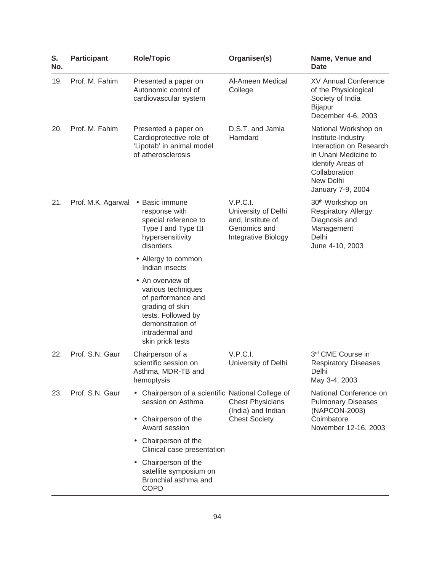| S.<br>No. | <b>Participant</b>                | Role/Topic                                                                                                                                                       | Organiser(s)                                                                                         | Name, Venue and<br>Date                                                                                                                                               |
|-----------|-----------------------------------|------------------------------------------------------------------------------------------------------------------------------------------------------------------|------------------------------------------------------------------------------------------------------|-----------------------------------------------------------------------------------------------------------------------------------------------------------------------|
| 19.       | Prof. M. Fahim                    | Presented a paper on<br>Autonomic control of<br>cardiovascular system                                                                                            | Al-Ameen Medical<br>College                                                                          | <b>XV Annual Conference</b><br>of the Physiological<br>Society of India<br><b>Bijapur</b><br>December 4-6, 2003                                                       |
| 20.       | Prof. M. Fahim                    | Presented a paper on<br>Cardioprotective role of<br>'Lipotab' in animal model<br>of atherosclerosis                                                              | D.S.T. and Jamia<br>Hamdard                                                                          | National Workshop on<br>Institute-Industry<br>Interaction on Research<br>in Unani Medicine to<br>Identify Areas of<br>Collaboration<br>New Delhi<br>January 7-9, 2004 |
| 21.       | Prof. M.K. Agarwal . Basic immune | response with<br>special reference to<br>Type I and Type III<br>hypersensitivity<br>disorders                                                                    | V.P.C.I.<br>University of Delhi<br>and, Institute of<br>Genomics and<br>Delhi<br>Integrative Biology | 30 <sup>th</sup> Workshop on<br><b>Respiratory Allergy:</b><br>Diagnosis and<br>Management<br>June 4-10, 2003                                                         |
|           |                                   | • Allergy to common<br>Indian insects                                                                                                                            |                                                                                                      |                                                                                                                                                                       |
|           |                                   | • An overview of<br>various techniques<br>of performance and<br>grading of skin<br>tests. Followed by<br>demonstration of<br>intradermal and<br>skin prick tests |                                                                                                      |                                                                                                                                                                       |
| 22.       | Prof. S.N. Gaur                   | Chairperson of a<br>scientific session on<br>Asthma, MDR-TB and<br>hemoptysis                                                                                    | V.P.C.I.<br>University of Delhi                                                                      | 3rd CME Course in<br><b>Respiratory Diseases</b><br>Delhi<br>May 3-4, 2003                                                                                            |
| 23.       | Prof. S.N. Gaur                   | Chairperson of a scientific National College of<br>session on Asthma                                                                                             | <b>Chest Physicians</b><br>(India) and Indian                                                        | National Conference on<br><b>Pulmonary Diseases</b><br>(NAPCON-2003)                                                                                                  |
|           |                                   | Chairperson of the<br>$\bullet$<br>Award session                                                                                                                 | <b>Chest Society</b>                                                                                 | Coimbatore<br>November 12-16, 2003                                                                                                                                    |
|           |                                   | • Chairperson of the<br>Clinical case presentation                                                                                                               |                                                                                                      |                                                                                                                                                                       |
|           |                                   | Chairperson of the<br>$\bullet$<br>satellite symposium on<br>Bronchial asthma and<br><b>COPD</b>                                                                 |                                                                                                      |                                                                                                                                                                       |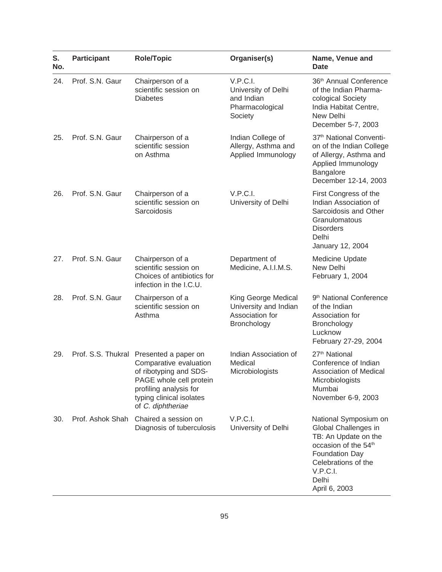| S.<br>No. | <b>Participant</b> | <b>Role/Topic</b>                                                                                                                                                                                 | Organiser(s)                                                                   | Name, Venue and<br>Date                                                                                                                                                                  |
|-----------|--------------------|---------------------------------------------------------------------------------------------------------------------------------------------------------------------------------------------------|--------------------------------------------------------------------------------|------------------------------------------------------------------------------------------------------------------------------------------------------------------------------------------|
| 24.       | Prof. S.N. Gaur    | Chairperson of a<br>scientific session on<br><b>Diabetes</b>                                                                                                                                      | V.P.C.I.<br>University of Delhi<br>and Indian<br>Pharmacological<br>Society    | 36 <sup>th</sup> Annual Conference<br>of the Indian Pharma-<br>cological Society<br>India Habitat Centre,<br>New Delhi<br>December 5-7, 2003                                             |
| 25.       | Prof. S.N. Gaur    | Chairperson of a<br>scientific session<br>on Asthma                                                                                                                                               | Indian College of<br>Allergy, Asthma and<br>Applied Immunology                 | 37 <sup>th</sup> National Conventi-<br>on of the Indian College<br>of Allergy, Asthma and<br>Applied Immunology<br>Bangalore<br>December 12-14, 2003                                     |
| 26.       | Prof. S.N. Gaur    | Chairperson of a<br>scientific session on<br>Sarcoidosis                                                                                                                                          | V.P.C.I.<br>University of Delhi                                                | First Congress of the<br>Indian Association of<br>Sarcoidosis and Other<br>Granulomatous<br><b>Disorders</b><br>Delhi<br>January 12, 2004                                                |
| 27.       | Prof. S.N. Gaur    | Chairperson of a<br>scientific session on<br>Choices of antibiotics for<br>infection in the I.C.U.                                                                                                | Department of<br>Medicine, A.I.I.M.S.                                          | Medicine Update<br>New Delhi<br>February 1, 2004                                                                                                                                         |
| 28.       | Prof. S.N. Gaur    | Chairperson of a<br>scientific session on<br>Asthma                                                                                                                                               | King George Medical<br>University and Indian<br>Association for<br>Bronchology | 9 <sup>th</sup> National Conference<br>of the Indian<br>Association for<br><b>Bronchology</b><br>Lucknow<br>February 27-29, 2004                                                         |
| 29.       |                    | Prof. S.S. Thukral Presented a paper on<br>Comparative evaluation<br>of ribotyping and SDS-<br>PAGE whole cell protein<br>profiling analysis for<br>typing clinical isolates<br>of C. diphtheriae | Indian Association of<br>Medical<br>Microbiologists                            | 27 <sup>th</sup> National<br>Conference of Indian<br>Association of Medical<br>Microbiologists<br>Mumbai<br>November 6-9, 2003                                                           |
| 30.       | Prof. Ashok Shah   | Chaired a session on<br>Diagnosis of tuberculosis                                                                                                                                                 | V.P.C.I.<br>University of Delhi                                                | National Symposium on<br>Global Challenges in<br>TB: An Update on the<br>occasion of the 54 <sup>th</sup><br>Foundation Day<br>Celebrations of the<br>V.P.C.I.<br>Delhi<br>April 6, 2003 |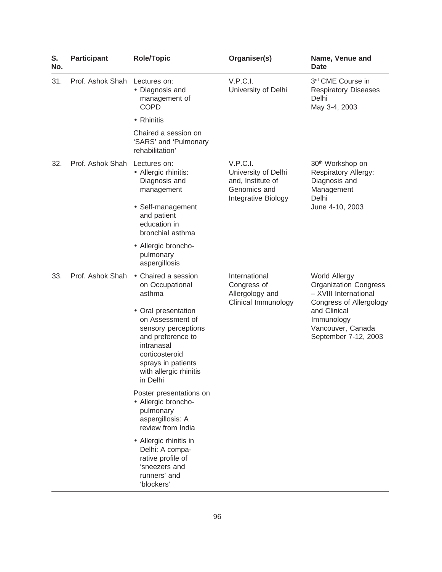| S.<br>No. | <b>Participant</b> | <b>Role/Topic</b>                                                                                                                                                               | Organiser(s)                                                                                                                 | Name, Venue and<br><b>Date</b>                                                                                  |
|-----------|--------------------|---------------------------------------------------------------------------------------------------------------------------------------------------------------------------------|------------------------------------------------------------------------------------------------------------------------------|-----------------------------------------------------------------------------------------------------------------|
| 31.       | Prof. Ashok Shah   | Lectures on:<br>• Diagnosis and<br>management of<br><b>COPD</b>                                                                                                                 | V.P.C.I.<br>University of Delhi                                                                                              | 3rd CME Course in<br><b>Respiratory Diseases</b><br>Delhi<br>May 3-4, 2003                                      |
|           |                    | • Rhinitis                                                                                                                                                                      |                                                                                                                              |                                                                                                                 |
|           |                    | Chaired a session on<br>'SARS' and 'Pulmonary<br>rehabilitation'                                                                                                                |                                                                                                                              |                                                                                                                 |
| 32.       | Prof. Ashok Shah   | Lectures on:<br>• Allergic rhinitis:<br>Diagnosis and<br>management                                                                                                             | V.P.C.I.<br>University of Delhi<br>and, Institute of<br>Genomics and                                                         | 30 <sup>th</sup> Workshop on<br>Respiratory Allergy:<br>Diagnosis and<br>Management<br>Delhi<br>June 4-10, 2003 |
|           |                    | • Self-management<br>and patient<br>education in<br>bronchial asthma                                                                                                            | Integrative Biology                                                                                                          |                                                                                                                 |
|           |                    | • Allergic broncho-<br>pulmonary<br>aspergillosis                                                                                                                               |                                                                                                                              |                                                                                                                 |
| 33.       | Prof. Ashok Shah   | • Chaired a session<br>on Occupational<br>asthma                                                                                                                                | International<br><b>World Allergy</b><br>Congress of<br>Allergology and<br>Clinical Immunology<br>and Clinical<br>Immunology | <b>Organization Congress</b><br>- XVIII International<br><b>Congress of Allergology</b>                         |
|           |                    | • Oral presentation<br>on Assessment of<br>sensory perceptions<br>and preference to<br>intranasal<br>corticosteroid<br>sprays in patients<br>with allergic rhinitis<br>in Delhi |                                                                                                                              | Vancouver, Canada<br>September 7-12, 2003                                                                       |
|           |                    | Poster presentations on<br>• Allergic broncho-<br>pulmonary<br>aspergillosis: A<br>review from India                                                                            |                                                                                                                              |                                                                                                                 |
|           |                    | • Allergic rhinitis in<br>Delhi: A compa-<br>rative profile of<br>'sneezers and<br>runners' and<br>'blockers'                                                                   |                                                                                                                              |                                                                                                                 |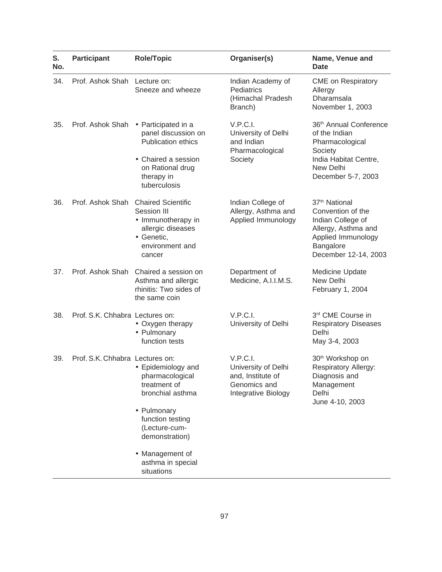| S.<br>No. | <b>Participant</b>              | <b>Role/Topic</b>                                                                                                                                | Organiser(s)                                                                                | Name, Venue and<br><b>Date</b>                                                                                                                        |
|-----------|---------------------------------|--------------------------------------------------------------------------------------------------------------------------------------------------|---------------------------------------------------------------------------------------------|-------------------------------------------------------------------------------------------------------------------------------------------------------|
| 34.       | Prof. Ashok Shah Lecture on:    | Sneeze and wheeze                                                                                                                                | Indian Academy of<br>Pediatrics<br>(Himachal Pradesh<br>Branch)                             | <b>CME</b> on Respiratory<br>Allergy<br>Dharamsala<br>November 1, 2003                                                                                |
| 35.       | Prof. Ashok Shah                | • Participated in a<br>panel discussion on<br><b>Publication ethics</b><br>• Chaired a session<br>on Rational drug<br>therapy in<br>tuberculosis | V.P.C.I.<br>University of Delhi<br>and Indian<br>Pharmacological<br>Society                 | 36 <sup>th</sup> Annual Conference<br>of the Indian<br>Pharmacological<br>Society<br>India Habitat Centre,<br>New Delhi<br>December 5-7, 2003         |
| 36.       | Prof. Ashok Shah                | <b>Chaired Scientific</b><br>Session III<br>• Immunotherapy in<br>allergic diseases<br>• Genetic,<br>environment and<br>cancer                   | Indian College of<br>Allergy, Asthma and<br>Applied Immunology                              | 37 <sup>th</sup> National<br>Convention of the<br>Indian College of<br>Allergy, Asthma and<br>Applied Immunology<br>Bangalore<br>December 12-14, 2003 |
| 37.       | Prof. Ashok Shah                | Chaired a session on<br>Asthma and allergic<br>rhinitis: Two sides of<br>the same coin                                                           | Department of<br>Medicine, A.I.I.M.S.                                                       | Medicine Update<br>New Delhi<br>February 1, 2004                                                                                                      |
| 38.       | Prof. S.K. Chhabra Lectures on: | • Oxygen therapy<br>• Pulmonary<br>function tests                                                                                                | V.P.C.I.<br>University of Delhi                                                             | 3rd CME Course in<br><b>Respiratory Diseases</b><br>Delhi<br>May 3-4, 2003                                                                            |
| 39.       | Prof. S.K. Chhabra Lectures on: | • Epidemiology and<br>pharmacological<br>treatment of<br>bronchial asthma                                                                        | V.P.C.I.<br>University of Delhi<br>and, Institute of<br>Genomics and<br>Integrative Biology | 30 <sup>th</sup> Workshop on<br><b>Respiratory Allergy:</b><br>Diagnosis and<br>Management<br>Delhi<br>June 4-10, 2003                                |
|           |                                 | • Pulmonary<br>function testing<br>(Lecture-cum-<br>demonstration)                                                                               |                                                                                             |                                                                                                                                                       |
|           |                                 | • Management of<br>asthma in special<br>situations                                                                                               |                                                                                             |                                                                                                                                                       |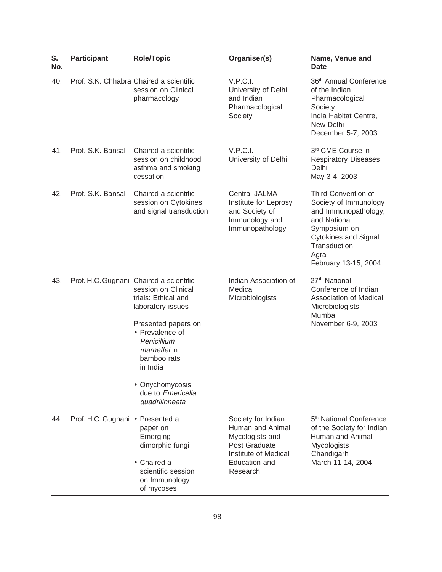| S.<br>No. | <b>Participant</b>               | <b>Role/Topic</b>                                                                                                                                                                                                                                                               | Organiser(s)                                                                                                                    | Name, Venue and<br><b>Date</b>                                                                                                                                                      |
|-----------|----------------------------------|---------------------------------------------------------------------------------------------------------------------------------------------------------------------------------------------------------------------------------------------------------------------------------|---------------------------------------------------------------------------------------------------------------------------------|-------------------------------------------------------------------------------------------------------------------------------------------------------------------------------------|
| 40.       |                                  | Prof. S.K. Chhabra Chaired a scientific<br>session on Clinical<br>pharmacology                                                                                                                                                                                                  | V.P.C.I.<br>University of Delhi<br>and Indian<br>Pharmacological<br>Society                                                     | 36 <sup>th</sup> Annual Conference<br>of the Indian<br>Pharmacological<br>Society<br>India Habitat Centre,<br>New Delhi<br>December 5-7, 2003                                       |
| 41.       | Prof. S.K. Bansal                | Chaired a scientific<br>session on childhood<br>asthma and smoking<br>cessation                                                                                                                                                                                                 | V.P.C.I.<br>University of Delhi                                                                                                 | 3rd CME Course in<br><b>Respiratory Diseases</b><br>Delhi<br>May 3-4, 2003                                                                                                          |
| 42.       | Prof. S.K. Bansal                | Chaired a scientific<br>session on Cytokines<br>and signal transduction                                                                                                                                                                                                         | <b>Central JALMA</b><br>Institute for Leprosy<br>and Society of<br>Immunology and<br>Immunopathology                            | Third Convention of<br>Society of Immunology<br>and Immunopathology,<br>and National<br>Symposium on<br><b>Cytokines and Signal</b><br>Transduction<br>Agra<br>February 13-15, 2004 |
| 43.       |                                  | Prof. H.C. Gugnani Chaired a scientific<br>session on Clinical<br>trials: Ethical and<br>laboratory issues<br>Presented papers on<br>• Prevalence of<br>Penicillium<br><i>marneffei</i> in<br>bamboo rats<br>in India<br>• Onychomycosis<br>due to Emericella<br>quadrilinneata | Indian Association of<br>Medical<br>Microbiologists                                                                             | 27 <sup>th</sup> National<br>Conference of Indian<br>Association of Medical<br>Microbiologists<br>Mumbai<br>November 6-9, 2003                                                      |
| 44.       | Prof. H.C. Gugnani · Presented a | paper on<br>Emerging<br>dimorphic fungi<br>• Chaired a<br>scientific session<br>on Immunology<br>of mycoses                                                                                                                                                                     | Society for Indian<br>Human and Animal<br>Mycologists and<br>Post Graduate<br>Institute of Medical<br>Education and<br>Research | 5 <sup>th</sup> National Conference<br>of the Society for Indian<br>Human and Animal<br>Mycologists<br>Chandigarh<br>March 11-14, 2004                                              |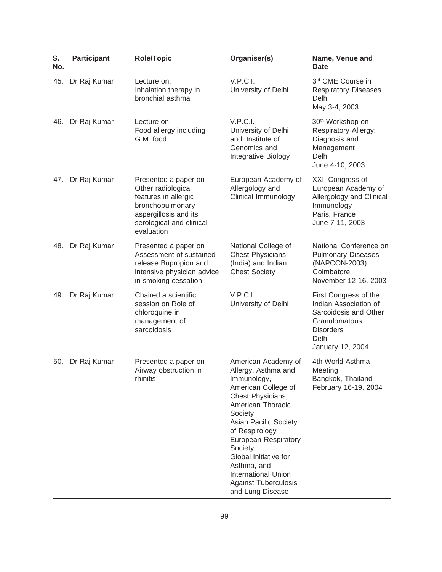| S.<br>No. | <b>Participant</b> | <b>Role/Topic</b>                                                                                                                                         | Organiser(s)                                                                                                                                                                                                                                                                                                                                                | Name, Venue and<br>Date                                                                                                                   |
|-----------|--------------------|-----------------------------------------------------------------------------------------------------------------------------------------------------------|-------------------------------------------------------------------------------------------------------------------------------------------------------------------------------------------------------------------------------------------------------------------------------------------------------------------------------------------------------------|-------------------------------------------------------------------------------------------------------------------------------------------|
| 45.       | Dr Raj Kumar       | Lecture on:<br>Inhalation therapy in<br>bronchial asthma                                                                                                  | V.P.C.I.<br>University of Delhi                                                                                                                                                                                                                                                                                                                             | 3rd CME Course in<br><b>Respiratory Diseases</b><br>Delhi<br>May 3-4, 2003                                                                |
| 46.       | Dr Raj Kumar       | Lecture on:<br>Food allergy including<br>G.M. food                                                                                                        | V.P.C.I.<br>University of Delhi<br>and, Institute of<br>Genomics and<br>Integrative Biology                                                                                                                                                                                                                                                                 | 30 <sup>th</sup> Workshop on<br>Respiratory Allergy:<br>Diagnosis and<br>Management<br>Delhi<br>June 4-10, 2003                           |
| 47.       | Dr Raj Kumar       | Presented a paper on<br>Other radiological<br>features in allergic<br>bronchopulmonary<br>aspergillosis and its<br>serological and clinical<br>evaluation | European Academy of<br>Allergology and<br>Clinical Immunology                                                                                                                                                                                                                                                                                               | XXII Congress of<br>European Academy of<br>Allergology and Clinical<br>Immunology<br>Paris, France<br>June 7-11, 2003                     |
| 48.       | Dr Raj Kumar       | Presented a paper on<br>Assessment of sustained<br>release Bupropion and<br>intensive physician advice<br>in smoking cessation                            | National College of<br><b>Chest Physicians</b><br>(India) and Indian<br><b>Chest Society</b>                                                                                                                                                                                                                                                                | National Conference on<br><b>Pulmonary Diseases</b><br>(NAPCON-2003)<br>Coimbatore<br>November 12-16, 2003                                |
| 49.       | Dr Raj Kumar       | Chaired a scientific<br>session on Role of<br>chloroquine in<br>management of<br>sarcoidosis                                                              | V.P.C.I.<br>University of Delhi                                                                                                                                                                                                                                                                                                                             | First Congress of the<br>Indian Association of<br>Sarcoidosis and Other<br>Granulomatous<br><b>Disorders</b><br>Delhi<br>January 12, 2004 |
| 50.       | Dr Raj Kumar       | Presented a paper on<br>Airway obstruction in<br>rhinitis                                                                                                 | American Academy of<br>Allergy, Asthma and<br>Immunology,<br>American College of<br>Chest Physicians,<br>American Thoracic<br>Society<br><b>Asian Pacific Society</b><br>of Respirology<br><b>European Respiratory</b><br>Society,<br>Global Initiative for<br>Asthma, and<br><b>International Union</b><br><b>Against Tuberculosis</b><br>and Lung Disease | 4th World Asthma<br>Meeting<br>Bangkok, Thailand<br>February 16-19, 2004                                                                  |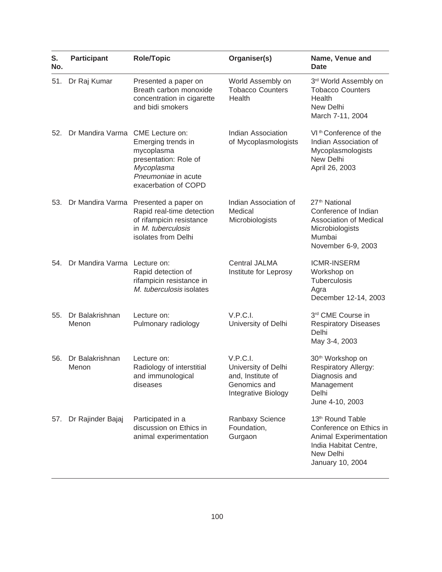| S.<br>No. | Participant              | <b>Role/Topic</b>                                                                                                                           | Organiser(s)                                                                                | Name, Venue and<br><b>Date</b>                                                                                                              |
|-----------|--------------------------|---------------------------------------------------------------------------------------------------------------------------------------------|---------------------------------------------------------------------------------------------|---------------------------------------------------------------------------------------------------------------------------------------------|
| 51.       | Dr Raj Kumar             | Presented a paper on<br>Breath carbon monoxide<br>concentration in cigarette<br>and bidi smokers                                            | World Assembly on<br><b>Tobacco Counters</b><br>Health                                      | 3rd World Assembly on<br><b>Tobacco Counters</b><br>Health<br>New Delhi<br>March 7-11, 2004                                                 |
| 52.       | Dr Mandira Varma         | CME Lecture on:<br>Emerging trends in<br>mycoplasma<br>presentation: Role of<br>Mycoplasma<br>Pneumoniae in acute<br>exacerbation of COPD   | Indian Association<br>of Mycoplasmologists                                                  | VI <sup>th</sup> Conference of the<br>Indian Association of<br>Mycoplasmologists<br>New Delhi<br>April 26, 2003                             |
| 53.       |                          | Dr Mandira Varma Presented a paper on<br>Rapid real-time detection<br>of rifampicin resistance<br>in M. tuberculosis<br>isolates from Delhi | Indian Association of<br>Medical<br>Microbiologists                                         | 27 <sup>th</sup> National<br>Conference of Indian<br>Association of Medical<br>Microbiologists<br>Mumbai<br>November 6-9, 2003              |
| 54.       | Dr Mandira Varma         | Lecture on:<br>Rapid detection of<br>rifampicin resistance in<br>M. tuberculosis isolates                                                   | Central JALMA<br>Institute for Leprosy                                                      | <b>ICMR-INSERM</b><br>Workshop on<br>Tuberculosis<br>Agra<br>December 12-14, 2003                                                           |
| 55.       | Dr Balakrishnan<br>Menon | Lecture on:<br>Pulmonary radiology                                                                                                          | V.P.C.I.<br>University of Delhi                                                             | 3rd CME Course in<br><b>Respiratory Diseases</b><br>Delhi<br>May 3-4, 2003                                                                  |
| 56.       | Dr Balakrishnan<br>Menon | Lecture on:<br>Radiology of interstitial<br>and immunological<br>diseases                                                                   | V.P.C.I.<br>University of Delhi<br>and, Institute of<br>Genomics and<br>Integrative Biology | 30 <sup>th</sup> Workshop on<br><b>Respiratory Allergy:</b><br>Diagnosis and<br>Management<br>Delhi<br>June 4-10, 2003                      |
| 57.       | Dr Rajinder Bajaj        | Participated in a<br>discussion on Ethics in<br>animal experimentation                                                                      | Ranbaxy Science<br>Foundation,<br>Gurgaon                                                   | 13 <sup>th</sup> Round Table<br>Conference on Ethics in<br>Animal Experimentation<br>India Habitat Centre,<br>New Delhi<br>January 10, 2004 |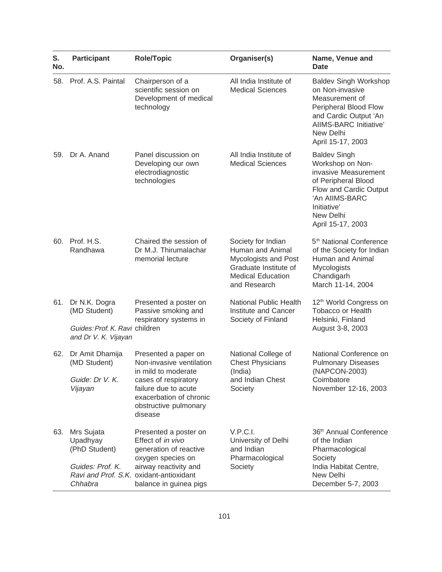| S.<br>No. | <b>Participant</b>                                                                      | <b>Role/Topic</b>                                                                                                                                                                       | Organiser(s)                                                                                                                        | Name, Venue and<br>Date                                                                                                                                                             |
|-----------|-----------------------------------------------------------------------------------------|-----------------------------------------------------------------------------------------------------------------------------------------------------------------------------------------|-------------------------------------------------------------------------------------------------------------------------------------|-------------------------------------------------------------------------------------------------------------------------------------------------------------------------------------|
| 58.       | Prof. A.S. Paintal                                                                      | Chairperson of a<br>scientific session on<br>Development of medical<br>technology                                                                                                       | All India Institute of<br><b>Medical Sciences</b>                                                                                   | <b>Baldev Singh Workshop</b><br>on Non-invasive<br>Measurement of<br>Peripheral Blood Flow<br>and Cardic Output 'An<br>AIIMS-BARC Initiative'<br>New Delhi<br>April 15-17, 2003     |
| 59.       | Dr A. Anand                                                                             | Panel discussion on<br>Developing our own<br>electrodiagnostic<br>technologies                                                                                                          | All India Institute of<br><b>Medical Sciences</b>                                                                                   | <b>Baldev Singh</b><br>Workshop on Non-<br>invasive Measurement<br>of Peripheral Blood<br>Flow and Cardic Output<br>'An AIIMS-BARC<br>Initiative'<br>New Delhi<br>April 15-17, 2003 |
| 60.       | Prof. H.S.<br>Randhawa                                                                  | Chaired the session of<br>Dr M.J. Thirumalachar<br>memorial lecture                                                                                                                     | Society for Indian<br>Human and Animal<br>Mycologists and Post<br>Graduate Institute of<br><b>Medical Education</b><br>and Research | 5 <sup>th</sup> National Conference<br>of the Society for Indian<br>Human and Animal<br><b>Mycologists</b><br>Chandigarh<br>March 11-14, 2004                                       |
| 61.       | Dr N.K. Dogra<br>(MD Student)<br>Guides: Prof. K. Ravi children<br>and Dr V. K. Vijayan | Presented a poster on<br>Passive smoking and<br>respiratory systems in                                                                                                                  | <b>National Public Health</b><br>Institute and Cancer<br>Society of Finland                                                         | 12 <sup>th</sup> World Congress on<br><b>Tobacco or Health</b><br>Helsinki, Finland<br>August 3-8, 2003                                                                             |
| 62.       | Dr Amit Dhamija<br>(MD Student)<br>Guide: Dr V. K.<br>Vijayan                           | Presented a paper on<br>Non-invasive ventilation<br>in mild to moderate<br>cases of respiratory<br>failure due to acute<br>exacerbation of chronic<br>obstructive pulmonary<br>disease  | National College of<br><b>Chest Physicians</b><br>(India)<br>and Indian Chest<br>Society                                            | National Conference on<br><b>Pulmonary Diseases</b><br>(NAPCON-2003)<br>Coimbatore<br>November 12-16, 2003                                                                          |
| 63.       | Mrs Sujata<br>Upadhyay<br>(PhD Student)<br>Guides: Prof. K.<br>Chhabra                  | Presented a poster on<br>Effect of in vivo<br>generation of reactive<br>oxygen species on<br>airway reactivity and<br>Ravi and Prof. S.K. oxidant-antioxidant<br>balance in guinea pigs | V.P.C.I.<br>University of Delhi<br>and Indian<br>Pharmacological<br>Society                                                         | 36 <sup>th</sup> Annual Conference<br>of the Indian<br>Pharmacological<br>Society<br>India Habitat Centre,<br>New Delhi<br>December 5-7, 2003                                       |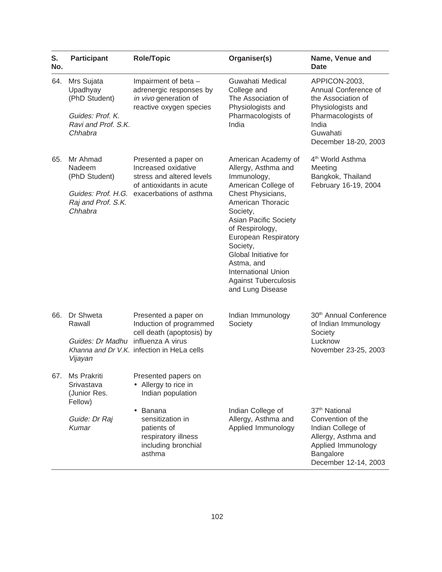| S.<br>No. | <b>Participant</b>                                                   | <b>Role/Topic</b>                                                                                                                                  | Organiser(s)                                                                                                                                                                                                                                                                                                               | Name, Venue and<br><b>Date</b>                                                                                                                        |
|-----------|----------------------------------------------------------------------|----------------------------------------------------------------------------------------------------------------------------------------------------|----------------------------------------------------------------------------------------------------------------------------------------------------------------------------------------------------------------------------------------------------------------------------------------------------------------------------|-------------------------------------------------------------------------------------------------------------------------------------------------------|
| 64.       | Mrs Sujata<br>Upadhyay<br>(PhD Student)<br>Guides: Prof. K.          | Impairment of beta -<br>adrenergic responses by<br>in vivo generation of<br>reactive oxygen species                                                | Guwahati Medical<br>College and<br>The Association of<br>Physiologists and<br>Pharmacologists of                                                                                                                                                                                                                           | APPICON-2003,<br>Annual Conference of<br>the Association of<br>Physiologists and<br>Pharmacologists of                                                |
|           | Ravi and Prof. S.K.<br>Chhabra                                       |                                                                                                                                                    | India                                                                                                                                                                                                                                                                                                                      | India<br>Guwahati<br>December 18-20, 2003                                                                                                             |
| 65.       | Mr Ahmad<br>Nadeem<br>(PhD Student)<br>Raj and Prof. S.K.<br>Chhabra | Presented a paper on<br>Increased oxidative<br>stress and altered levels<br>of antioxidants in acute<br>Guides: Prof. H.G. exacerbations of asthma | American Academy of<br>Allergy, Asthma and<br>Immunology,<br>American College of<br>Chest Physicians,<br>American Thoracic<br>Society,<br>Asian Pacific Society<br>of Respirology,<br>European Respiratory<br>Society,<br>Global Initiative for<br>Astma, and<br><b>International Union</b><br><b>Against Tuberculosis</b> | 4 <sup>th</sup> World Asthma<br>Meeting<br>Bangkok, Thailand<br>February 16-19, 2004                                                                  |
|           |                                                                      |                                                                                                                                                    | and Lung Disease                                                                                                                                                                                                                                                                                                           |                                                                                                                                                       |
| 66.       | Dr Shweta<br>Rawall                                                  | Presented a paper on<br>Induction of programmed<br>cell death (apoptosis) by                                                                       | Indian Immunology<br>Society                                                                                                                                                                                                                                                                                               | 30 <sup>th</sup> Annual Conference<br>of Indian Immunology<br>Society                                                                                 |
|           | Guides: Dr Madhu influenza A virus<br>Vijayan                        | Khanna and Dr V.K. infection in HeLa cells                                                                                                         |                                                                                                                                                                                                                                                                                                                            | Lucknow<br>November 23-25, 2003                                                                                                                       |
| 67.       | Ms Prakriti<br>Srivastava<br>(Junior Res.<br>Fellow)                 | Presented papers on<br>• Allergy to rice in<br>Indian population                                                                                   |                                                                                                                                                                                                                                                                                                                            |                                                                                                                                                       |
|           | Guide: Dr Raj<br>Kumar                                               | Banana<br>sensitization in<br>patients of<br>respiratory illness<br>including bronchial<br>asthma                                                  | Indian College of<br>Allergy, Asthma and<br>Applied Immunology                                                                                                                                                                                                                                                             | 37 <sup>th</sup> National<br>Convention of the<br>Indian College of<br>Allergy, Asthma and<br>Applied Immunology<br>Bangalore<br>December 12-14, 2003 |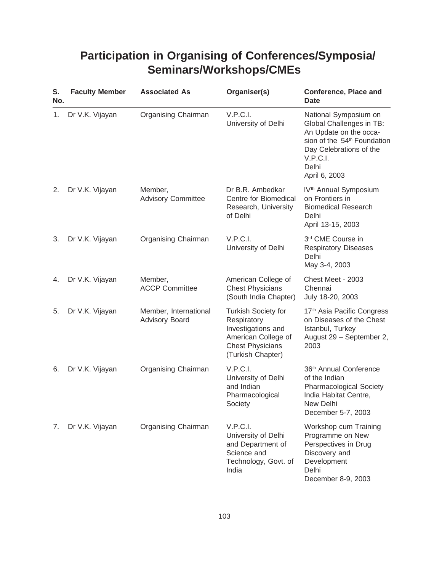## **Participation in Organising of Conferences/Symposia/ Seminars/Workshops/CMEs**

| S.<br>No. | <b>Faculty Member</b> | <b>Associated As</b>                           | Organiser(s)                                                                                                                           | <b>Conference, Place and</b><br><b>Date</b>                                                                                                                                             |
|-----------|-----------------------|------------------------------------------------|----------------------------------------------------------------------------------------------------------------------------------------|-----------------------------------------------------------------------------------------------------------------------------------------------------------------------------------------|
| 1.        | Dr V.K. Vijayan       | Organising Chairman                            | V.P.C.I.<br>University of Delhi                                                                                                        | National Symposium on<br>Global Challenges in TB:<br>An Update on the occa-<br>sion of the 54 <sup>th</sup> Foundation<br>Day Celebrations of the<br>V.P.C.I.<br>Delhi<br>April 6, 2003 |
| 2.        | Dr V.K. Vijayan       | Member,<br><b>Advisory Committee</b>           | Dr B.R. Ambedkar<br>Centre for Biomedical<br>Research, University<br>of Delhi                                                          | IV <sup>th</sup> Annual Symposium<br>on Frontiers in<br><b>Biomedical Research</b><br>Delhi<br>April 13-15, 2003                                                                        |
| 3.        | Dr V.K. Vijayan       | Organising Chairman                            | V.P.C.I.<br>University of Delhi                                                                                                        | 3rd CME Course in<br><b>Respiratory Diseases</b><br>Delhi<br>May 3-4, 2003                                                                                                              |
| 4.        | Dr V.K. Vijayan       | Member,<br><b>ACCP Committee</b>               | American College of<br><b>Chest Physicians</b><br>(South India Chapter)                                                                | Chest Meet - 2003<br>Chennai<br>July 18-20, 2003                                                                                                                                        |
| 5.        | Dr V.K. Vijayan       | Member, International<br><b>Advisory Board</b> | <b>Turkish Society for</b><br>Respiratory<br>Investigations and<br>American College of<br><b>Chest Physicians</b><br>(Turkish Chapter) | 17 <sup>th</sup> Asia Pacific Congress<br>on Diseases of the Chest<br>Istanbul, Turkey<br>August 29 - September 2,<br>2003                                                              |
| 6.        | Dr V.K. Vijayan       | Organising Chairman                            | V.P.C.I.<br>University of Delhi<br>and Indian<br>Pharmacological<br>Society                                                            | 36 <sup>th</sup> Annual Conference<br>of the Indian<br><b>Pharmacological Society</b><br>India Habitat Centre,<br>New Delhi<br>December 5-7, 2003                                       |
| 7.        | Dr V.K. Vijayan       | Organising Chairman                            | V.P.C.I.<br>University of Delhi<br>and Department of<br>Science and<br>Technology, Govt. of<br>India                                   | Workshop cum Training<br>Programme on New<br>Perspectives in Drug<br>Discovery and<br>Development<br>Delhi<br>December 8-9, 2003                                                        |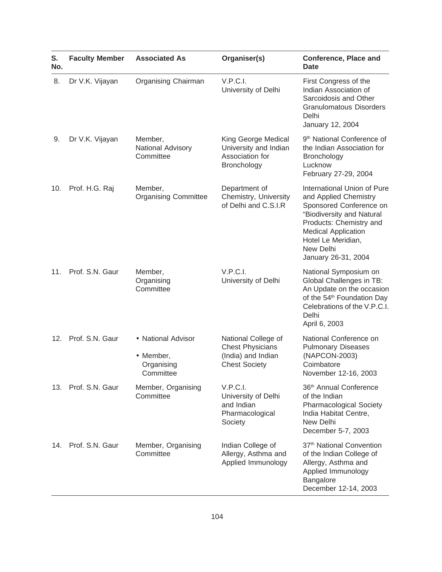| S.<br>No. | <b>Faculty Member</b> | <b>Associated As</b>                                       | Organiser(s)                                                                                 | <b>Conference, Place and</b><br><b>Date</b>                                                                                                                                                                                     |
|-----------|-----------------------|------------------------------------------------------------|----------------------------------------------------------------------------------------------|---------------------------------------------------------------------------------------------------------------------------------------------------------------------------------------------------------------------------------|
| 8.        | Dr V.K. Vijayan       | Organising Chairman                                        | V.P.C.I.<br>University of Delhi                                                              | First Congress of the<br>Indian Association of<br>Sarcoidosis and Other<br><b>Granulomatous Disorders</b><br>Delhi<br>January 12, 2004                                                                                          |
| 9.        | Dr V.K. Vijayan       | Member,<br>National Advisory<br>Committee                  | King George Medical<br>University and Indian<br>Association for<br>Bronchology               | 9 <sup>th</sup> National Conference of<br>the Indian Association for<br>Bronchology<br>Lucknow<br>February 27-29, 2004                                                                                                          |
| 10.       | Prof. H.G. Raj        | Member,<br><b>Organising Committee</b>                     | Department of<br>Chemistry, University<br>of Delhi and C.S.I.R                               | International Union of Pure<br>and Applied Chemistry<br>Sponsored Conference on<br>"Biodiversity and Natural<br>Products: Chemistry and<br><b>Medical Application</b><br>Hotel Le Meridian,<br>New Delhi<br>January 26-31, 2004 |
| 11.       | Prof. S.N. Gaur       | Member,<br>Organising<br>Committee                         | V.P.C.I.<br>University of Delhi                                                              | National Symposium on<br>Global Challenges in TB:<br>An Update on the occasion<br>of the 54 <sup>th</sup> Foundation Day<br>Celebrations of the V.P.C.I.<br>Delhi<br>April 6, 2003                                              |
| 12.       | Prof. S.N. Gaur       | • National Advisor<br>• Member,<br>Organising<br>Committee | National College of<br><b>Chest Physicians</b><br>(India) and Indian<br><b>Chest Society</b> | National Conference on<br><b>Pulmonary Diseases</b><br>(NAPCON-2003)<br>Coimbatore<br>November 12-16, 2003                                                                                                                      |
| 13.       | Prof. S.N. Gaur       | Member, Organising<br>Committee                            | V.P.C.I.<br>University of Delhi<br>and Indian<br>Pharmacological<br>Society                  | 36 <sup>th</sup> Annual Conference<br>of the Indian<br><b>Pharmacological Society</b><br>India Habitat Centre,<br>New Delhi<br>December 5-7, 2003                                                                               |
|           | 14. Prof. S.N. Gaur   | Member, Organising<br>Committee                            | Indian College of<br>Allergy, Asthma and<br>Applied Immunology                               | 37 <sup>th</sup> National Convention<br>of the Indian College of<br>Allergy, Asthma and<br>Applied Immunology<br>Bangalore<br>December 12-14, 2003                                                                              |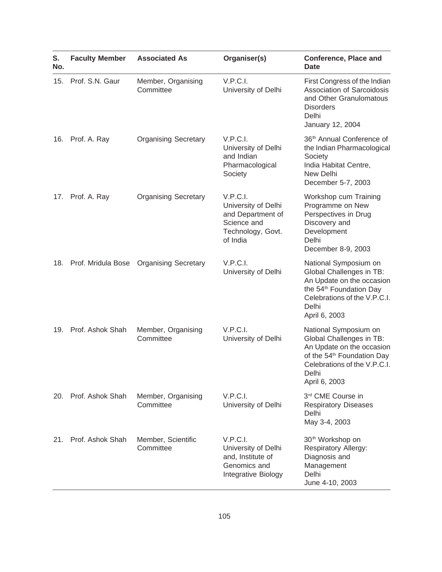| S.<br>No. | <b>Faculty Member</b>  | <b>Associated As</b>            | Organiser(s)                                                                                         | <b>Conference, Place and</b><br><b>Date</b>                                                                                                                                        |
|-----------|------------------------|---------------------------------|------------------------------------------------------------------------------------------------------|------------------------------------------------------------------------------------------------------------------------------------------------------------------------------------|
| 15.       | Prof. S.N. Gaur        | Member, Organising<br>Committee | V.P.C.I.<br>University of Delhi                                                                      | First Congress of the Indian<br>Association of Sarcoidosis<br>and Other Granulomatous<br><b>Disorders</b><br>Delhi<br>January 12, 2004                                             |
| 16.       | Prof. A. Ray           | <b>Organising Secretary</b>     | V.P.C.I.<br>University of Delhi<br>and Indian<br>Pharmacological<br>Society                          | 36 <sup>th</sup> Annual Conference of<br>the Indian Pharmacological<br>Society<br>India Habitat Centre,<br>New Delhi<br>December 5-7, 2003                                         |
|           | 17. Prof. A. Ray       | <b>Organising Secretary</b>     | V.P.C.I.<br>University of Delhi<br>and Department of<br>Science and<br>Technology, Govt.<br>of India | Workshop cum Training<br>Programme on New<br>Perspectives in Drug<br>Discovery and<br>Development<br>Delhi<br>December 8-9, 2003                                                   |
|           | 18. Prof. Mridula Bose | <b>Organising Secretary</b>     | V.P.C.I.<br>University of Delhi                                                                      | National Symposium on<br>Global Challenges in TB:<br>An Update on the occasion<br>the 54 <sup>th</sup> Foundation Day<br>Celebrations of the V.P.C.I.<br>Delhi<br>April 6, 2003    |
| 19.       | Prof. Ashok Shah       | Member, Organising<br>Committee | V.P.C.I.<br>University of Delhi                                                                      | National Symposium on<br>Global Challenges in TB:<br>An Update on the occasion<br>of the 54 <sup>th</sup> Foundation Day<br>Celebrations of the V.P.C.I.<br>Delhi<br>April 6, 2003 |
|           | 20. Prof. Ashok Shah   | Member, Organising<br>Committee | V.P.C.I.<br>University of Delhi                                                                      | 3rd CME Course in<br><b>Respiratory Diseases</b><br>Delhi<br>May 3-4, 2003                                                                                                         |
| 21.       | Prof. Ashok Shah       | Member, Scientific<br>Committee | V.P.C.I.<br>University of Delhi<br>and, Institute of<br>Genomics and<br>Integrative Biology          | 30 <sup>th</sup> Workshop on<br><b>Respiratory Allergy:</b><br>Diagnosis and<br>Management<br>Delhi<br>June 4-10, 2003                                                             |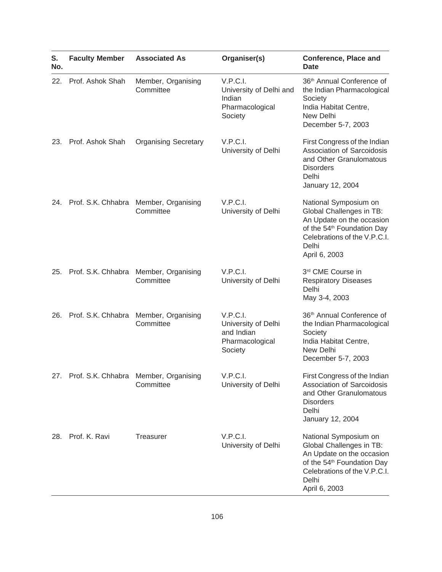| S.<br>No. | <b>Faculty Member</b>  | <b>Associated As</b>                                   | Organiser(s)                                                                | <b>Conference, Place and</b><br><b>Date</b>                                                                                                                                        |
|-----------|------------------------|--------------------------------------------------------|-----------------------------------------------------------------------------|------------------------------------------------------------------------------------------------------------------------------------------------------------------------------------|
| 22.       | Prof. Ashok Shah       | Member, Organising<br>Committee                        | V.P.C.I.<br>University of Delhi and<br>Indian<br>Pharmacological<br>Society | 36 <sup>th</sup> Annual Conference of<br>the Indian Pharmacological<br>Society<br>India Habitat Centre,<br>New Delhi<br>December 5-7, 2003                                         |
| 23.       | Prof. Ashok Shah       | <b>Organising Secretary</b>                            | V.P.C.I.<br>University of Delhi                                             | First Congress of the Indian<br>Association of Sarcoidosis<br>and Other Granulomatous<br><b>Disorders</b><br>Delhi<br>January 12, 2004                                             |
|           | 24. Prof. S.K. Chhabra | Member, Organising<br>Committee                        | V.P.C.I.<br>University of Delhi                                             | National Symposium on<br>Global Challenges in TB:<br>An Update on the occasion<br>of the 54 <sup>th</sup> Foundation Day<br>Celebrations of the V.P.C.I.<br>Delhi<br>April 6, 2003 |
| 25.       | Prof. S.K. Chhabra     | Member, Organising<br>Committee                        | V.P.C.I.<br>University of Delhi                                             | 3rd CME Course in<br><b>Respiratory Diseases</b><br>Delhi<br>May 3-4, 2003                                                                                                         |
| 26.       | Prof. S.K. Chhabra     | Member, Organising<br>Committee                        | V.P.C.I.<br>University of Delhi<br>and Indian<br>Pharmacological<br>Society | 36 <sup>th</sup> Annual Conference of<br>the Indian Pharmacological<br>Society<br>India Habitat Centre,<br>New Delhi<br>December 5-7, 2003                                         |
|           |                        | 27. Prof. S.K. Chhabra Member, Organising<br>Committee | V.P.C.I.<br>University of Delhi                                             | First Congress of the Indian<br>Association of Sarcoidosis<br>and Other Granulomatous<br><b>Disorders</b><br>Delhi<br>January 12, 2004                                             |
| 28.       | Prof. K. Ravi          | <b>Treasurer</b>                                       | V.P.C.I.<br>University of Delhi                                             | National Symposium on<br>Global Challenges in TB:<br>An Update on the occasion<br>of the 54 <sup>th</sup> Foundation Day<br>Celebrations of the V.P.C.I.<br>Delhi<br>April 6, 2003 |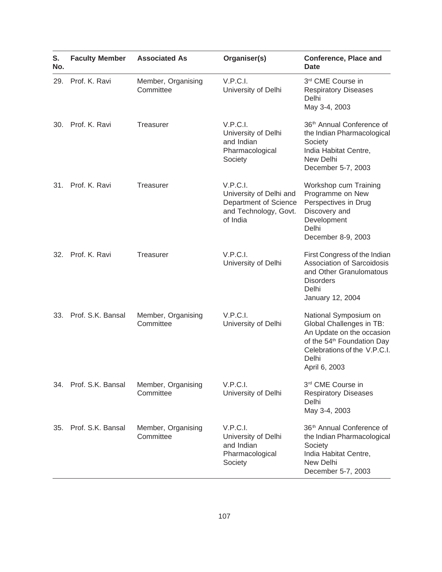| S.<br>No. | <b>Faculty Member</b> | <b>Associated As</b>            | Organiser(s)                                                                                      | <b>Conference, Place and</b><br><b>Date</b>                                                                                                                                        |
|-----------|-----------------------|---------------------------------|---------------------------------------------------------------------------------------------------|------------------------------------------------------------------------------------------------------------------------------------------------------------------------------------|
| 29.       | Prof. K. Ravi         | Member, Organising<br>Committee | V.P.C.I.<br>University of Delhi                                                                   | 3rd CME Course in<br><b>Respiratory Diseases</b><br>Delhi<br>May 3-4, 2003                                                                                                         |
| 30.       | Prof. K. Ravi         | <b>Treasurer</b>                | V.P.C.I.<br>University of Delhi<br>and Indian<br>Pharmacological<br>Society                       | 36 <sup>th</sup> Annual Conference of<br>the Indian Pharmacological<br>Society<br>India Habitat Centre,<br>New Delhi<br>December 5-7, 2003                                         |
| 31.       | Prof. K. Ravi         | <b>Treasurer</b>                | V.P.C.I.<br>University of Delhi and<br>Department of Science<br>and Technology, Govt.<br>of India | Workshop cum Training<br>Programme on New<br>Perspectives in Drug<br>Discovery and<br>Development<br>Delhi<br>December 8-9, 2003                                                   |
| 32.       | Prof. K. Ravi         | Treasurer                       | V.P.C.I.<br>University of Delhi                                                                   | First Congress of the Indian<br>Association of Sarcoidosis<br>and Other Granulomatous<br><b>Disorders</b><br>Delhi<br>January 12, 2004                                             |
| 33.       | Prof. S.K. Bansal     | Member, Organising<br>Committee | V.P.C.I.<br>University of Delhi                                                                   | National Symposium on<br>Global Challenges in TB:<br>An Update on the occasion<br>of the 54 <sup>th</sup> Foundation Day<br>Celebrations of the V.P.C.I.<br>Delhi<br>April 6, 2003 |
|           | 34. Prof. S.K. Bansal | Member, Organising<br>Committee | V.P.C.I.<br>University of Delhi                                                                   | 3rd CME Course in<br><b>Respiratory Diseases</b><br>Delhi<br>May 3-4, 2003                                                                                                         |
| 35.       | Prof. S.K. Bansal     | Member, Organising<br>Committee | V.P.C.I.<br>University of Delhi<br>and Indian<br>Pharmacological<br>Society                       | 36 <sup>th</sup> Annual Conference of<br>the Indian Pharmacological<br>Society<br>India Habitat Centre,<br>New Delhi<br>December 5-7, 2003                                         |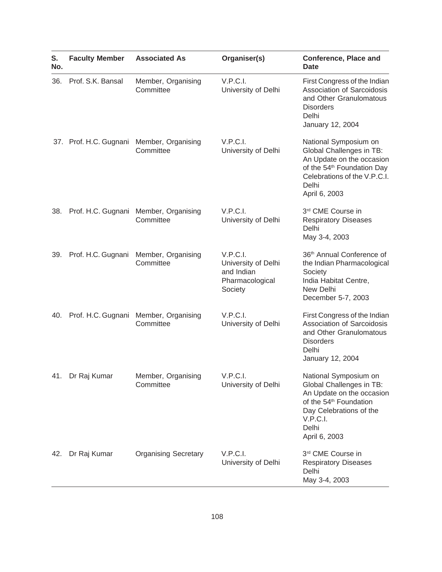| S.<br>No. | <b>Faculty Member</b>  | <b>Associated As</b>                                   | Organiser(s)                                                                | <b>Conference, Place and</b><br><b>Date</b>                                                                                                                                           |
|-----------|------------------------|--------------------------------------------------------|-----------------------------------------------------------------------------|---------------------------------------------------------------------------------------------------------------------------------------------------------------------------------------|
| 36.       | Prof. S.K. Bansal      | Member, Organising<br>Committee                        | V.P.C.I.<br>University of Delhi                                             | First Congress of the Indian<br>Association of Sarcoidosis<br>and Other Granulomatous<br><b>Disorders</b><br>Delhi<br>January 12, 2004                                                |
|           |                        | 37. Prof. H.C. Gugnani Member, Organising<br>Committee | V.P.C.I.<br>University of Delhi                                             | National Symposium on<br>Global Challenges in TB:<br>An Update on the occasion<br>of the 54 <sup>th</sup> Foundation Day<br>Celebrations of the V.P.C.I.<br>Delhi<br>April 6, 2003    |
|           |                        | 38. Prof. H.C. Gugnani Member, Organising<br>Committee | V.P.C.I.<br>University of Delhi                                             | 3rd CME Course in<br><b>Respiratory Diseases</b><br>Delhi<br>May 3-4, 2003                                                                                                            |
|           | 39. Prof. H.C. Gugnani | Member, Organising<br>Committee                        | V.P.C.I.<br>University of Delhi<br>and Indian<br>Pharmacological<br>Society | 36 <sup>th</sup> Annual Conference of<br>the Indian Pharmacological<br>Society<br>India Habitat Centre,<br>New Delhi<br>December 5-7, 2003                                            |
|           | 40. Prof. H.C. Gugnani | Member, Organising<br>Committee                        | V.P.C.I.<br>University of Delhi                                             | First Congress of the Indian<br><b>Association of Sarcoidosis</b><br>and Other Granulomatous<br><b>Disorders</b><br>Delhi<br>January 12, 2004                                         |
|           | 41. Dr Raj Kumar       | Member, Organising<br>Committee                        | V.P.C.I.<br>University of Delhi                                             | National Symposium on<br>Global Challenges in TB:<br>An Update on the occasion<br>of the 54 <sup>th</sup> Foundation<br>Day Celebrations of the<br>V.P.C.I.<br>Delhi<br>April 6, 2003 |
| 42.       | Dr Raj Kumar           | <b>Organising Secretary</b>                            | V.P.C.I.<br>University of Delhi                                             | 3rd CME Course in<br><b>Respiratory Diseases</b><br>Delhi<br>May 3-4, 2003                                                                                                            |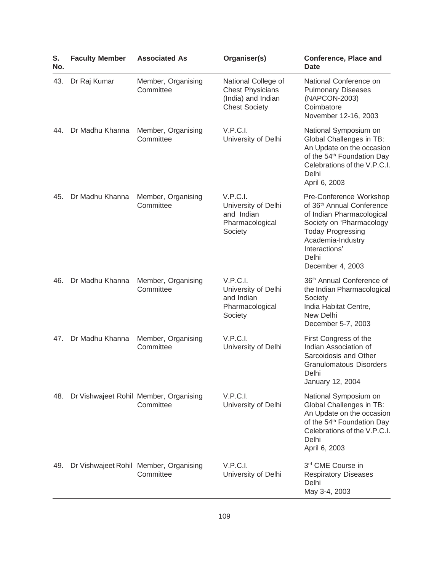| S.<br>No. | <b>Faculty Member</b> | <b>Associated As</b>                                | Organiser(s)                                                                                 | <b>Conference, Place and</b><br>Date                                                                                                                                                                                     |
|-----------|-----------------------|-----------------------------------------------------|----------------------------------------------------------------------------------------------|--------------------------------------------------------------------------------------------------------------------------------------------------------------------------------------------------------------------------|
| 43.       | Dr Raj Kumar          | Member, Organising<br>Committee                     | National College of<br><b>Chest Physicians</b><br>(India) and Indian<br><b>Chest Society</b> | National Conference on<br><b>Pulmonary Diseases</b><br>(NAPCON-2003)<br>Coimbatore<br>November 12-16, 2003                                                                                                               |
| 44.       | Dr Madhu Khanna       | Member, Organising<br>Committee                     | V.P.C.I.<br>University of Delhi                                                              | National Symposium on<br>Global Challenges in TB:<br>An Update on the occasion<br>of the 54 <sup>th</sup> Foundation Day<br>Celebrations of the V.P.C.I.<br>Delhi<br>April 6, 2003                                       |
| 45.       | Dr Madhu Khanna       | Member, Organising<br>Committee                     | V.P.C.I.<br>University of Delhi<br>and Indian<br>Pharmacological<br>Society                  | Pre-Conference Workshop<br>of 36 <sup>th</sup> Annual Conference<br>of Indian Pharmacological<br>Society on 'Pharmacology<br><b>Today Progressing</b><br>Academia-Industry<br>Interactions'<br>Delhi<br>December 4, 2003 |
| 46.       | Dr Madhu Khanna       | Member, Organising<br>Committee                     | V.P.C.I.<br>University of Delhi<br>and Indian<br>Pharmacological<br>Society                  | 36th Annual Conference of<br>the Indian Pharmacological<br>Society<br>India Habitat Centre,<br>New Delhi<br>December 5-7, 2003                                                                                           |
| 47.       | Dr Madhu Khanna       | Member, Organising<br>Committee                     | V.P.C.I.<br>University of Delhi                                                              | First Congress of the<br>Indian Association of<br>Sarcoidosis and Other<br><b>Granulomatous Disorders</b><br>Delhi<br>January 12, 2004                                                                                   |
| 48.       |                       | Dr Vishwajeet Rohil Member, Organising<br>Committee | V.P.C.I.<br>University of Delhi                                                              | National Symposium on<br>Global Challenges in TB:<br>An Update on the occasion<br>of the 54 <sup>th</sup> Foundation Day<br>Celebrations of the V.P.C.I.<br>Delhi<br>April 6, 2003                                       |
| 49.       |                       | Dr Vishwajeet Rohil Member, Organising<br>Committee | V.P.C.I.<br>University of Delhi                                                              | 3rd CME Course in<br><b>Respiratory Diseases</b><br>Delhi<br>May 3-4, 2003                                                                                                                                               |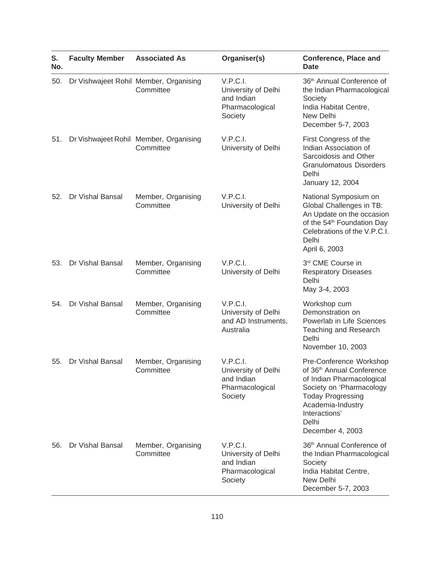| S.<br>No. | <b>Faculty Member</b> | <b>Associated As</b>                                | Organiser(s)                                                                | <b>Conference, Place and</b><br>Date                                                                                                                                                                                     |
|-----------|-----------------------|-----------------------------------------------------|-----------------------------------------------------------------------------|--------------------------------------------------------------------------------------------------------------------------------------------------------------------------------------------------------------------------|
| 50.       |                       | Dr Vishwajeet Rohil Member, Organising<br>Committee | V.P.C.I.<br>University of Delhi<br>and Indian<br>Pharmacological<br>Society | 36th Annual Conference of<br>the Indian Pharmacological<br>Society<br>India Habitat Centre,<br>New Delhi<br>December 5-7, 2003                                                                                           |
| 51.       |                       | Dr Vishwajeet Rohil Member, Organising<br>Committee | V.P.C.I.<br>University of Delhi                                             | First Congress of the<br>Indian Association of<br>Sarcoidosis and Other<br><b>Granulomatous Disorders</b><br>Delhi<br>January 12, 2004                                                                                   |
| 52.       | Dr Vishal Bansal      | Member, Organising<br>Committee                     | V.P.C.I.<br>University of Delhi                                             | National Symposium on<br>Global Challenges in TB:<br>An Update on the occasion<br>of the 54 <sup>th</sup> Foundation Day<br>Celebrations of the V.P.C.I.<br>Delhi<br>April 6, 2003                                       |
| 53.       | Dr Vishal Bansal      | Member, Organising<br>Committee                     | V.P.C.I.<br>University of Delhi                                             | 3rd CME Course in<br><b>Respiratory Diseases</b><br>Delhi<br>May 3-4, 2003                                                                                                                                               |
| 54.       | Dr Vishal Bansal      | Member, Organising<br>Committee                     | V.P.C.I.<br>University of Delhi<br>and AD Instruments,<br>Australia         | Workshop cum<br>Demonstration on<br>Powerlab in Life Sciences<br><b>Teaching and Research</b><br>Delhi<br>November 10, 2003                                                                                              |
| 55.       | Dr Vishal Bansal      | Member, Organising<br>Committee                     | V.P.C.I.<br>University of Delhi<br>and Indian<br>Pharmacological<br>Society | Pre-Conference Workshop<br>of 36 <sup>th</sup> Annual Conference<br>of Indian Pharmacological<br>Society on 'Pharmacology<br><b>Today Progressing</b><br>Academia-Industry<br>Interactions'<br>Delhi<br>December 4, 2003 |
| 56.       | Dr Vishal Bansal      | Member, Organising<br>Committee                     | V.P.C.I.<br>University of Delhi<br>and Indian<br>Pharmacological<br>Society | 36th Annual Conference of<br>the Indian Pharmacological<br>Society<br>India Habitat Centre,<br>New Delhi<br>December 5-7, 2003                                                                                           |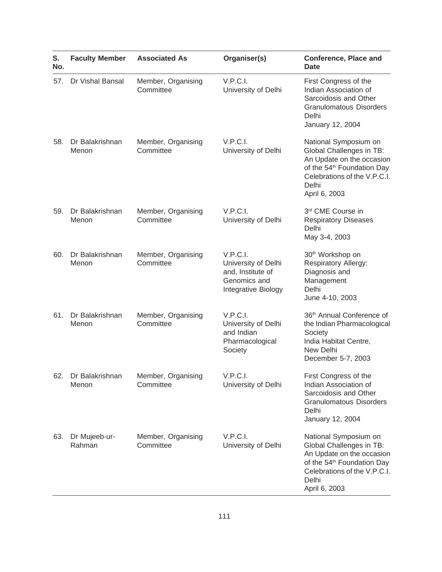| S.<br>No. | <b>Faculty Member</b>    | <b>Associated As</b>            | Organiser(s)                                                                                | <b>Conference, Place and</b><br>Date                                                                                                                                               |
|-----------|--------------------------|---------------------------------|---------------------------------------------------------------------------------------------|------------------------------------------------------------------------------------------------------------------------------------------------------------------------------------|
| 57.       | Dr Vishal Bansal         | Member, Organising<br>Committee | V.P.C.I.<br>University of Delhi                                                             | First Congress of the<br>Indian Association of<br>Sarcoidosis and Other<br><b>Granulomatous Disorders</b><br>Delhi<br>January 12, 2004                                             |
| 58.       | Dr Balakrishnan<br>Menon | Member, Organising<br>Committee | V.P.C.I.<br>University of Delhi                                                             | National Symposium on<br>Global Challenges in TB:<br>An Update on the occasion<br>of the 54 <sup>th</sup> Foundation Day<br>Celebrations of the V.P.C.I.<br>Delhi<br>April 6, 2003 |
| 59.       | Dr Balakrishnan<br>Menon | Member, Organising<br>Committee | V.P.C.I.<br>University of Delhi                                                             | 3rd CME Course in<br><b>Respiratory Diseases</b><br>Delhi<br>May 3-4, 2003                                                                                                         |
| 60.       | Dr Balakrishnan<br>Menon | Member, Organising<br>Committee | V.P.C.I.<br>University of Delhi<br>and, Institute of<br>Genomics and<br>Integrative Biology | 30 <sup>th</sup> Workshop on<br>Respiratory Allergy:<br>Diagnosis and<br>Management<br>Delhi<br>June 4-10, 2003                                                                    |
| 61.       | Dr Balakrishnan<br>Menon | Member, Organising<br>Committee | V.P.C.I.<br>University of Delhi<br>and Indian<br>Pharmacological<br>Society                 | 36th Annual Conference of<br>the Indian Pharmacological<br>Society<br>India Habitat Centre,<br>New Delhi<br>December 5-7, 2003                                                     |
| 62.       | Dr Balakrishnan<br>Menon | Member, Organising<br>Committee | V.P.C.I.<br>University of Delhi                                                             | First Congress of the<br>Indian Association of<br>Sarcoidosis and Other<br><b>Granulomatous Disorders</b><br>Delhi<br>January 12, 2004                                             |
| 63.       | Dr Mujeeb-ur-<br>Rahman  | Member, Organising<br>Committee | V.P.C.I.<br>University of Delhi                                                             | National Symposium on<br>Global Challenges in TB:<br>An Update on the occasion<br>of the 54 <sup>th</sup> Foundation Day<br>Celebrations of the V.P.C.I.<br>Delhi<br>April 6, 2003 |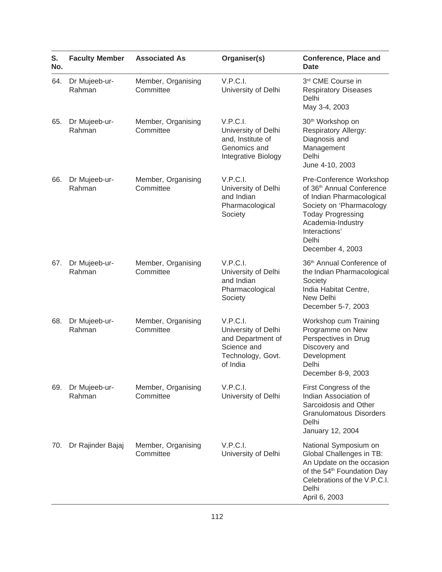| S.<br>No. | <b>Faculty Member</b>   | <b>Associated As</b>            | Organiser(s)                                                                                         | <b>Conference, Place and</b><br><b>Date</b>                                                                                                                                                                              |
|-----------|-------------------------|---------------------------------|------------------------------------------------------------------------------------------------------|--------------------------------------------------------------------------------------------------------------------------------------------------------------------------------------------------------------------------|
| 64.       | Dr Mujeeb-ur-<br>Rahman | Member, Organising<br>Committee | V.P.C.I.<br>University of Delhi                                                                      | 3rd CME Course in<br><b>Respiratory Diseases</b><br>Delhi<br>May 3-4, 2003                                                                                                                                               |
| 65.       | Dr Mujeeb-ur-<br>Rahman | Member, Organising<br>Committee | V.P.C.I.<br>University of Delhi<br>and, Institute of<br>Genomics and<br>Integrative Biology          | 30 <sup>th</sup> Workshop on<br><b>Respiratory Allergy:</b><br>Diagnosis and<br>Management<br>Delhi<br>June 4-10, 2003                                                                                                   |
| 66.       | Dr Mujeeb-ur-<br>Rahman | Member, Organising<br>Committee | V.P.C.I.<br>University of Delhi<br>and Indian<br>Pharmacological<br>Society                          | Pre-Conference Workshop<br>of 36 <sup>th</sup> Annual Conference<br>of Indian Pharmacological<br>Society on 'Pharmacology<br><b>Today Progressing</b><br>Academia-Industry<br>Interactions'<br>Delhi<br>December 4, 2003 |
| 67.       | Dr Mujeeb-ur-<br>Rahman | Member, Organising<br>Committee | V.P.C.I.<br>University of Delhi<br>and Indian<br>Pharmacological<br>Society                          | 36th Annual Conference of<br>the Indian Pharmacological<br>Society<br>India Habitat Centre,<br>New Delhi<br>December 5-7, 2003                                                                                           |
| 68.       | Dr Mujeeb-ur-<br>Rahman | Member, Organising<br>Committee | V.P.C.I.<br>University of Delhi<br>and Department of<br>Science and<br>Technology, Govt.<br>of India | Workshop cum Training<br>Programme on New<br>Perspectives in Drug<br>Discovery and<br>Development<br>Delhi<br>December 8-9, 2003                                                                                         |
| 69.       | Dr Mujeeb-ur-<br>Rahman | Member, Organising<br>Committee | V.P.C.I.<br>University of Delhi                                                                      | First Congress of the<br>Indian Association of<br>Sarcoidosis and Other<br><b>Granulomatous Disorders</b><br>Delhi<br>January 12, 2004                                                                                   |
| 70.       | Dr Rajinder Bajaj       | Member, Organising<br>Committee | V.P.C.I.<br>University of Delhi                                                                      | National Symposium on<br>Global Challenges in TB:<br>An Update on the occasion<br>of the 54 <sup>th</sup> Foundation Day<br>Celebrations of the V.P.C.I.<br>Delhi<br>April 6, 2003                                       |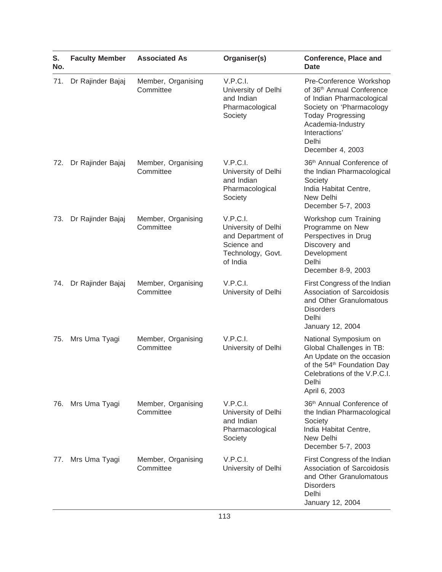| S.<br>No. | <b>Faculty Member</b> | <b>Associated As</b>            | Organiser(s)                                                                                         | <b>Conference, Place and</b><br><b>Date</b>                                                                                                                                                                              |
|-----------|-----------------------|---------------------------------|------------------------------------------------------------------------------------------------------|--------------------------------------------------------------------------------------------------------------------------------------------------------------------------------------------------------------------------|
| 71.       | Dr Rajinder Bajaj     | Member, Organising<br>Committee | V.P.C.I.<br>University of Delhi<br>and Indian<br>Pharmacological<br>Society                          | Pre-Conference Workshop<br>of 36 <sup>th</sup> Annual Conference<br>of Indian Pharmacological<br>Society on 'Pharmacology<br><b>Today Progressing</b><br>Academia-Industry<br>Interactions'<br>Delhi<br>December 4, 2003 |
| 72.       | Dr Rajinder Bajaj     | Member, Organising<br>Committee | V.P.C.I.<br>University of Delhi<br>and Indian<br>Pharmacological<br>Society                          | 36th Annual Conference of<br>the Indian Pharmacological<br>Society<br>India Habitat Centre,<br>New Delhi<br>December 5-7, 2003                                                                                           |
| 73.       | Dr Rajinder Bajaj     | Member, Organising<br>Committee | V.P.C.I.<br>University of Delhi<br>and Department of<br>Science and<br>Technology, Govt.<br>of India | Workshop cum Training<br>Programme on New<br>Perspectives in Drug<br>Discovery and<br>Development<br>Delhi<br>December 8-9, 2003                                                                                         |
| 74.       | Dr Rajinder Bajaj     | Member, Organising<br>Committee | V.P.C.I.<br>University of Delhi                                                                      | First Congress of the Indian<br>Association of Sarcoidosis<br>and Other Granulomatous<br><b>Disorders</b><br>Delhi<br>January 12, 2004                                                                                   |
| 75.       | Mrs Uma Tyagi         | Member, Organising<br>Committee | V.P.C.I.<br>University of Delhi                                                                      | National Symposium on<br>Global Challenges in TB:<br>An Update on the occasion<br>of the 54 <sup>th</sup> Foundation Day<br>Celebrations of the V.P.C.I.<br>Delhi<br>April 6, 2003                                       |
| 76.       | Mrs Uma Tyagi         | Member, Organising<br>Committee | V.P.C.I.<br>University of Delhi<br>and Indian<br>Pharmacological<br>Society                          | 36th Annual Conference of<br>the Indian Pharmacological<br>Society<br>India Habitat Centre,<br>New Delhi<br>December 5-7, 2003                                                                                           |
| 77.       | Mrs Uma Tyagi         | Member, Organising<br>Committee | V.P.C.I.<br>University of Delhi                                                                      | First Congress of the Indian<br>Association of Sarcoidosis<br>and Other Granulomatous<br><b>Disorders</b><br>Delhi<br>January 12, 2004                                                                                   |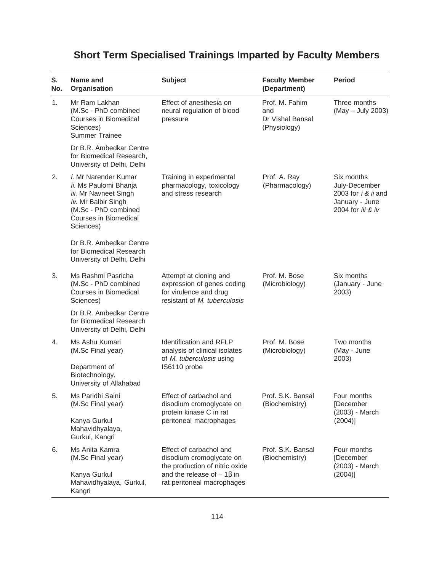## **Short Term Specialised Trainings Imparted by Faculty Members**

| S.<br>No. | Name and<br>Organisation                                                                                                                                           | <b>Subject</b>                                                                                                 | <b>Faculty Member</b><br>(Department)                     | <b>Period</b>                                                                                        |
|-----------|--------------------------------------------------------------------------------------------------------------------------------------------------------------------|----------------------------------------------------------------------------------------------------------------|-----------------------------------------------------------|------------------------------------------------------------------------------------------------------|
| 1.        | Mr Ram Lakhan<br>(M.Sc - PhD combined<br>Courses in Biomedical<br>Sciences)<br><b>Summer Trainee</b>                                                               | Effect of anesthesia on<br>neural regulation of blood<br>pressure                                              | Prof. M. Fahim<br>and<br>Dr Vishal Bansal<br>(Physiology) | Three months<br>(May - July 2003)                                                                    |
|           | Dr B.R. Ambedkar Centre<br>for Biomedical Research,<br>University of Delhi, Delhi                                                                                  |                                                                                                                |                                                           |                                                                                                      |
| 2.        | <i>i.</i> Mr Narender Kumar<br>ii. Ms Paulomi Bhanja<br>iii. Mr Navneet Singh<br>iv. Mr Balbir Singh<br>(M.Sc - PhD combined<br>Courses in Biomedical<br>Sciences) | Training in experimental<br>pharmacology, toxicology<br>and stress research                                    | Prof. A. Ray<br>(Pharmacology)                            | Six months<br>July-December<br>2003 for <i>i &amp; ii</i> and<br>January - June<br>2004 for iii & iv |
|           | Dr B.R. Ambedkar Centre<br>for Biomedical Research<br>University of Delhi, Delhi                                                                                   |                                                                                                                |                                                           |                                                                                                      |
| 3.        | Ms Rashmi Pasricha<br>(M.Sc - PhD combined<br>Courses in Biomedical<br>Sciences)                                                                                   | Attempt at cloning and<br>expression of genes coding<br>for virulence and drug<br>resistant of M. tuberculosis | Prof. M. Bose<br>(Microbiology)                           | Six months<br>(January - June<br>2003)                                                               |
|           | Dr B.R. Ambedkar Centre<br>for Biomedical Research<br>University of Delhi, Delhi                                                                                   |                                                                                                                |                                                           |                                                                                                      |
| 4.        | Ms Ashu Kumari<br>(M.Sc Final year)                                                                                                                                | <b>Identification and RFLP</b><br>analysis of clinical isolates<br>of M. tuberculosis using                    | Prof. M. Bose<br>(Microbiology)                           | Two months<br>(May - June<br>2003)                                                                   |
|           | Department of<br>Biotechnology,<br>University of Allahabad                                                                                                         | IS6110 probe                                                                                                   |                                                           |                                                                                                      |
| 5.        | Ms Paridhi Saini<br>(M.Sc Final year)                                                                                                                              | Effect of carbachol and<br>disodium cromoglycate on<br>protein kinase C in rat                                 | Prof. S.K. Bansal<br>(Biochemistry)                       | Four months<br>[December<br>(2003) - March                                                           |
|           | Kanya Gurkul<br>Mahavidhyalaya,<br>Gurkul, Kangri                                                                                                                  | peritoneal macrophages                                                                                         |                                                           | $(2004)$ ]                                                                                           |
| 6.        | Ms Anita Kamra<br>(M.Sc Final year)                                                                                                                                | Effect of carbachol and<br>disodium cromoglycate on<br>the production of nitric oxide                          | Prof. S.K. Bansal<br>(Biochemistry)                       | Four months<br>[December<br>(2003) - March                                                           |
|           | Kanya Gurkul<br>Mahavidhyalaya, Gurkul,<br>Kangri                                                                                                                  | and the release of $-1\beta$ in<br>rat peritoneal macrophages                                                  |                                                           | (2004)]                                                                                              |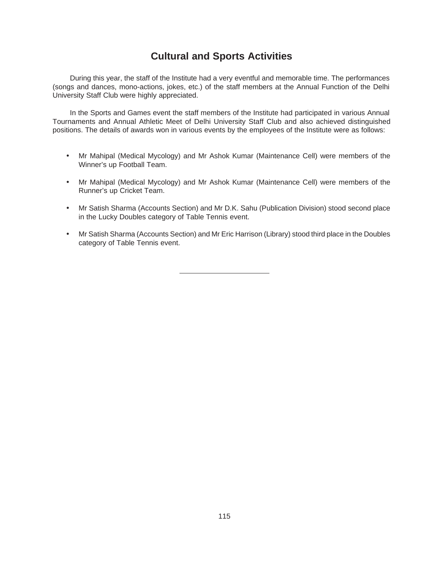## **Cultural and Sports Activities**

During this year, the staff of the Institute had a very eventful and memorable time. The performances (songs and dances, mono-actions, jokes, etc.) of the staff members at the Annual Function of the Delhi University Staff Club were highly appreciated.

In the Sports and Games event the staff members of the Institute had participated in various Annual Tournaments and Annual Athletic Meet of Delhi University Staff Club and also achieved distinguished positions. The details of awards won in various events by the employees of the Institute were as follows:

- Mr Mahipal (Medical Mycology) and Mr Ashok Kumar (Maintenance Cell) were members of the Winner's up Football Team.
- Mr Mahipal (Medical Mycology) and Mr Ashok Kumar (Maintenance Cell) were members of the Runner's up Cricket Team.
- Mr Satish Sharma (Accounts Section) and Mr D.K. Sahu (Publication Division) stood second place in the Lucky Doubles category of Table Tennis event.
- Mr Satish Sharma (Accounts Section) and Mr Eric Harrison (Library) stood third place in the Doubles category of Table Tennis event.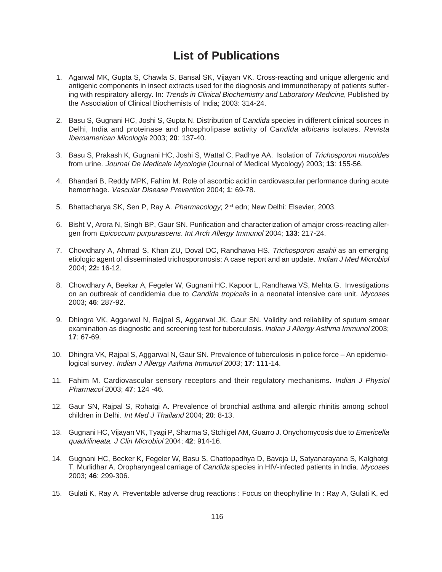## **List of Publications**

- 1. Agarwal MK, Gupta S, Chawla S, Bansal SK, Vijayan VK. Cross-reacting and unique allergenic and antigenic components in insect extracts used for the diagnosis and immunotherapy of patients suffering with respiratory allergy. In: Trends in Clinical Biochemistry and Laboratory Medicine, Published by the Association of Clinical Biochemists of India; 2003: 314-24.
- 2. Basu S, Gugnani HC, Joshi S, Gupta N. Distribution of Candida species in different clinical sources in Delhi, India and proteinase and phospholipase activity of Candida albicans isolates. Revista Iberoamerican Micologia 2003; **20**: 137-40.
- 3. Basu S, Prakash K, Gugnani HC, Joshi S, Wattal C, Padhye AA. Isolation of Trichosporon mucoides from urine. Journal De Medicale Mycologie (Journal of Medical Mycology) 2003; **13**: 155-56.
- 4. Bhandari B, Reddy MPK, Fahim M. Role of ascorbic acid in cardiovascular performance during acute hemorrhage. Vascular Disease Prevention 2004; **1**: 69-78.
- 5. Bhattacharya SK, Sen P, Ray A. Pharmacology; 2<sup>nd</sup> edn; New Delhi: Elsevier, 2003.
- 6. Bisht V, Arora N, Singh BP, Gaur SN. Purification and characterization of amajor cross-reacting allergen from Epicoccum purpurascens. Int Arch Allergy Immunol 2004; **133**: 217-24.
- 7. Chowdhary A, Ahmad S, Khan ZU, Doval DC, Randhawa HS. Trichosporon asahii as an emerging etiologic agent of disseminated trichosporonosis: A case report and an update. Indian J Med Microbiol 2004; **22:** 16-12.
- 8. Chowdhary A, Beekar A, Fegeler W, Gugnani HC, Kapoor L, Randhawa VS, Mehta G. Investigations on an outbreak of candidemia due to Candida tropicalis in a neonatal intensive care unit. Mycoses 2003; **46**: 287-92.
- 9. Dhingra VK, Aggarwal N, Rajpal S, Aggarwal JK, Gaur SN. Validity and reliability of sputum smear examination as diagnostic and screening test for tuberculosis. Indian J Allergy Asthma Immunol 2003; **17**: 67-69.
- 10. Dhingra VK, Rajpal S, Aggarwal N, Gaur SN. Prevalence of tuberculosis in police force An epidemiological survey. Indian J Allergy Asthma Immunol 2003; **17**: 111-14.
- 11. Fahim M. Cardiovascular sensory receptors and their regulatory mechanisms. Indian J Physiol Pharmacol 2003; **47**: 124 -46.
- 12. Gaur SN, Rajpal S, Rohatgi A. Prevalence of bronchial asthma and allergic rhinitis among school children in Delhi. Int Med J Thailand 2004; **20**: 8-13.
- 13. Gugnani HC, Vijayan VK, Tyagi P, Sharma S, Stchigel AM, Guarro J. Onychomycosis due to Emericella quadrilineata. J Clin Microbiol 2004; **42**: 914-16.
- 14. Gugnani HC, Becker K, Fegeler W, Basu S, Chattopadhya D, Baveja U, Satyanarayana S, Kalghatgi T, Murlidhar A. Oropharyngeal carriage of *Candida* species in HIV-infected patients in India. Mycoses 2003; **46**: 299-306.
- 15. Gulati K, Ray A. Preventable adverse drug reactions : Focus on theophylline In : Ray A, Gulati K, ed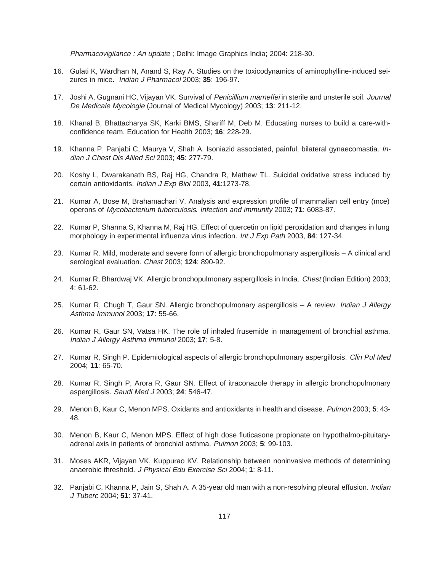Pharmacovigilance : An update ; Delhi: Image Graphics India; 2004: 218-30.

- 16. Gulati K, Wardhan N, Anand S, Ray A. Studies on the toxicodynamics of aminophylline-induced seizures in mice. Indian J Pharmacol 2003; **35**: 196-97.
- 17. Joshi A, Gugnani HC, Vijayan VK. Survival of Penicillium marneffei in sterile and unsterile soil. Journal De Medicale Mycologie (Journal of Medical Mycology) 2003; **13**: 211-12.
- 18. Khanal B, Bhattacharya SK, Karki BMS, Shariff M, Deb M. Educating nurses to build a care-withconfidence team. Education for Health 2003; **16**: 228-29.
- 19. Khanna P, Panjabi C, Maurya V, Shah A. Isoniazid associated, painful, bilateral gynaecomastia. Indian J Chest Dis Allied Sci 2003; **45**: 277-79.
- 20. Koshy L, Dwarakanath BS, Raj HG, Chandra R, Mathew TL. Suicidal oxidative stress induced by certain antioxidants. Indian J Exp Biol 2003, **41**:1273-78.
- 21. Kumar A, Bose M, Brahamachari V. Analysis and expression profile of mammalian cell entry (mce) operons of Mycobacterium tuberculosis. Infection and immunity 2003; **71**: 6083-87.
- 22. Kumar P, Sharma S, Khanna M, Raj HG. Effect of quercetin on lipid peroxidation and changes in lung morphology in experimental influenza virus infection. Int J Exp Path 2003, **84**: 127-34.
- 23. Kumar R. Mild, moderate and severe form of allergic bronchopulmonary aspergillosis A clinical and serological evaluation. Chest 2003; **124**: 890-92.
- 24. Kumar R, Bhardwaj VK. Allergic bronchopulmonary aspergillosis in India. Chest (Indian Edition) 2003; 4: 61-62.
- 25. Kumar R, Chugh T, Gaur SN. Allergic bronchopulmonary aspergillosis A review. *Indian J Allergy* Asthma Immunol 2003; **17**: 55-66.
- 26. Kumar R, Gaur SN, Vatsa HK. The role of inhaled frusemide in management of bronchial asthma. Indian J Allergy Asthma Immunol 2003; **17**: 5-8.
- 27. Kumar R, Singh P. Epidemiological aspects of allergic bronchopulmonary aspergillosis. Clin Pul Med 2004; **11**: 65-70.
- 28. Kumar R, Singh P, Arora R, Gaur SN. Effect of itraconazole therapy in allergic bronchopulmonary aspergillosis. Saudi Med J 2003; **24**: 546-47.
- 29. Menon B, Kaur C, Menon MPS. Oxidants and antioxidants in health and disease. Pulmon 2003; **5**: 43- 48.
- 30. Menon B, Kaur C, Menon MPS. Effect of high dose fluticasone propionate on hypothalmo-pituitaryadrenal axis in patients of bronchial asthma. Pulmon 2003; **5**: 99-103.
- 31. Moses AKR, Vijayan VK, Kuppurao KV. Relationship between noninvasive methods of determining anaerobic threshold. J Physical Edu Exercise Sci 2004; **1**: 8-11.
- 32. Panjabi C, Khanna P, Jain S, Shah A. A 35-year old man with a non-resolving pleural effusion. Indian J Tuberc 2004; **51**: 37-41.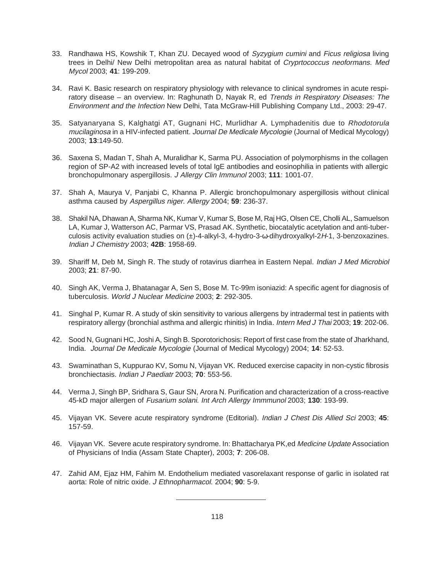- 33. Randhawa HS, Kowshik T, Khan ZU. Decayed wood of Syzygium cumini and Ficus religiosa living trees in Delhi/ New Delhi metropolitan area as natural habitat of Cryprtococcus neoformans. Med Mycol 2003; **41**: 199-209.
- 34. Ravi K. Basic research on respiratory physiology with relevance to clinical syndromes in acute respiratory disease – an overview. In: Raghunath D, Nayak R, ed Trends in Respiratory Diseases: The Environment and the Infection New Delhi, Tata McGraw-Hill Publishing Company Ltd., 2003: 29-47.
- 35. Satyanaryana S, Kalghatgi AT, Gugnani HC, Murlidhar A. Lymphadenitis due to Rhodotorula mucilaginosa in a HIV-infected patient. Journal De Medicale Mycologie (Journal of Medical Mycology) 2003; **13**:149-50.
- 36. Saxena S, Madan T, Shah A, Muralidhar K, Sarma PU. Association of polymorphisms in the collagen region of SP-A2 with increased levels of total IgE antibodies and eosinophilia in patients with allergic bronchopulmonary aspergillosis. J Allergy Clin Immunol 2003; **111**: 1001-07.
- 37. Shah A, Maurya V, Panjabi C, Khanna P. Allergic bronchopulmonary aspergillosis without clinical asthma caused by Aspergillus niger. Allergy 2004; **59**: 236-37.
- 38. Shakil NA, Dhawan A, Sharma NK, Kumar V, Kumar S, Bose M, Raj HG, Olsen CE, Cholli AL, Samuelson LA, Kumar J, Watterson AC, Parmar VS, Prasad AK. Synthetic, biocatalytic acetylation and anti-tuberculosis activity evaluation studies on (±)-4-alkyl-3, 4-hydro-3-ω-dihydroxyalkyl-2H-1, 3-benzoxazines. Indian J Chemistry 2003; **42B**: 1958-69.
- 39. Shariff M, Deb M, Singh R. The study of rotavirus diarrhea in Eastern Nepal. Indian J Med Microbiol 2003; **21**: 87-90.
- 40. Singh AK, Verma J, Bhatanagar A, Sen S, Bose M. Tc-99m isoniazid: A specific agent for diagnosis of tuberculosis. World J Nuclear Medicine 2003; **2**: 292-305.
- 41. Singhal P, Kumar R. A study of skin sensitivity to various allergens by intradermal test in patients with respiratory allergy (bronchial asthma and allergic rhinitis) in India. Intern Med J Thai 2003; **19**: 202-06.
- 42. Sood N, Gugnani HC, Joshi A, Singh B. Sporotorichosis: Report of first case from the state of Jharkhand, India. Journal De Medicale Mycologie (Journal of Medical Mycology) 2004; **14**: 52-53.
- 43. Swaminathan S, Kuppurao KV, Somu N, Vijayan VK. Reduced exercise capacity in non-cystic fibrosis bronchiectasis. Indian J Paediatr 2003; **70**: 553-56.
- 44. Verma J, Singh BP, Sridhara S, Gaur SN, Arora N. Purification and characterization of a cross-reactive 45-kD major allergen of Fusarium solani. Int Arch Allergy Immmunol 2003; **130**: 193-99.
- 45. Vijayan VK. Severe acute respiratory syndrome (Editorial). Indian J Chest Dis Allied Sci 2003; **45**: 157-59.
- 46. Vijayan VK. Severe acute respiratory syndrome. In: Bhattacharya PK, ed Medicine Update Association of Physicians of India (Assam State Chapter), 2003; **7**: 206-08.
- 47. Zahid AM, Ejaz HM, Fahim M. Endothelium mediated vasorelaxant response of garlic in isolated rat aorta: Role of nitric oxide. J Ethnopharmacol. 2004; **90**: 5-9.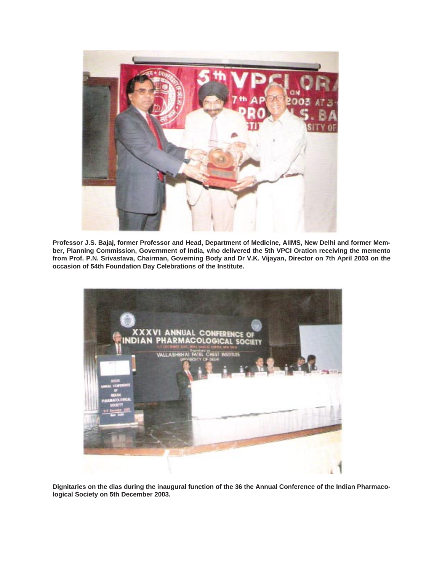

**Professor J.S. Bajaj, former Professor and Head, Department of Medicine, AIIMS, New Delhi and former Member, Planning Commission, Government of India, who delivered the 5th VPCI Oration receiving the memento from Prof. P.N. Srivastava, Chairman, Governing Body and Dr V.K. Vijayan, Director on 7th April 2003 on the occasion of 54th Foundation Day Celebrations of the Institute.**



**Dignitaries on the dias during the inaugural function of the 36 the Annual Conference of the Indian Pharmacological Society on 5th December 2003.**